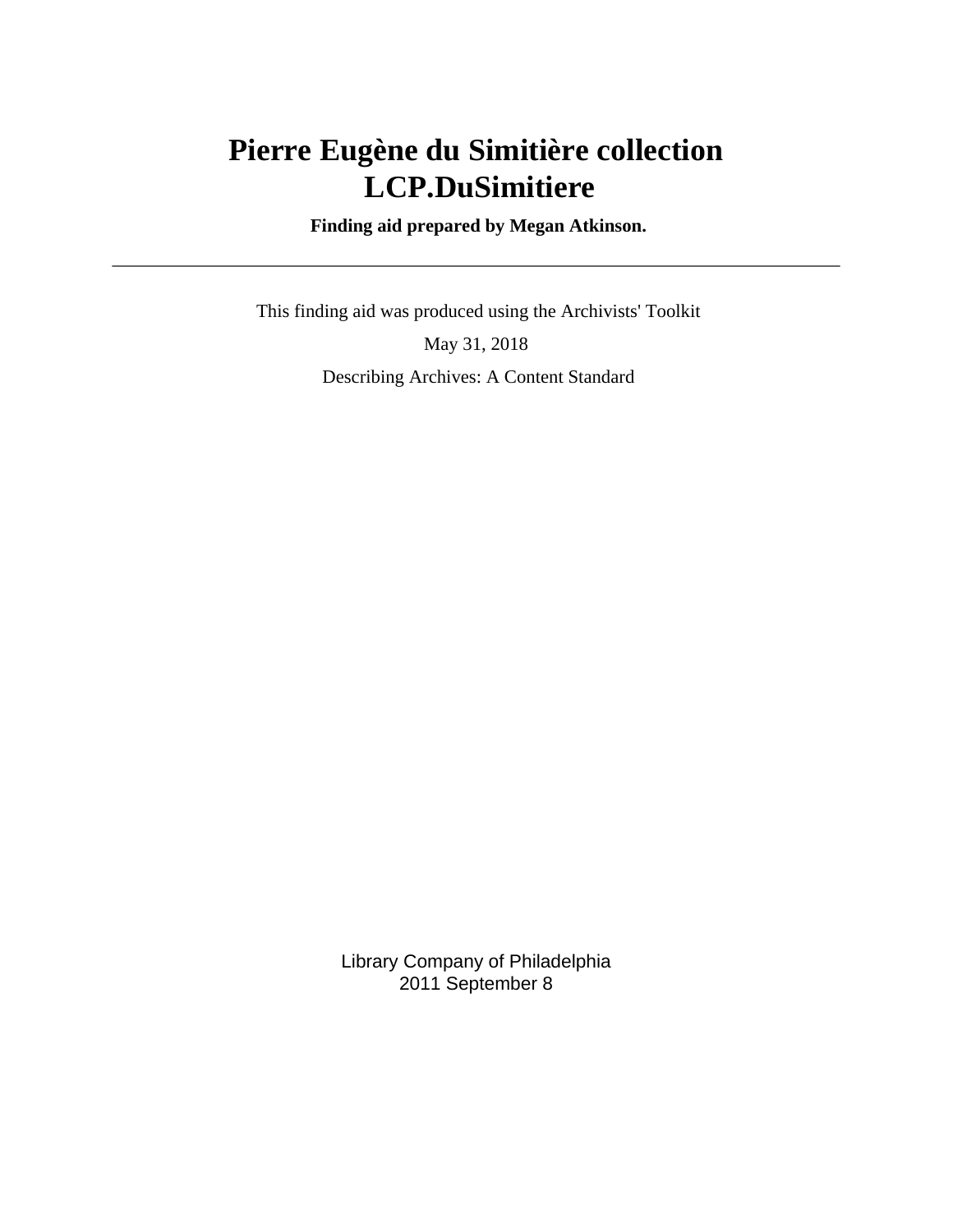# **Pierre Eugène du Simitière collection LCP.DuSimitiere**

 **Finding aid prepared by Megan Atkinson.**

 This finding aid was produced using the Archivists' Toolkit May 31, 2018 Describing Archives: A Content Standard

> Library Company of Philadelphia 2011 September 8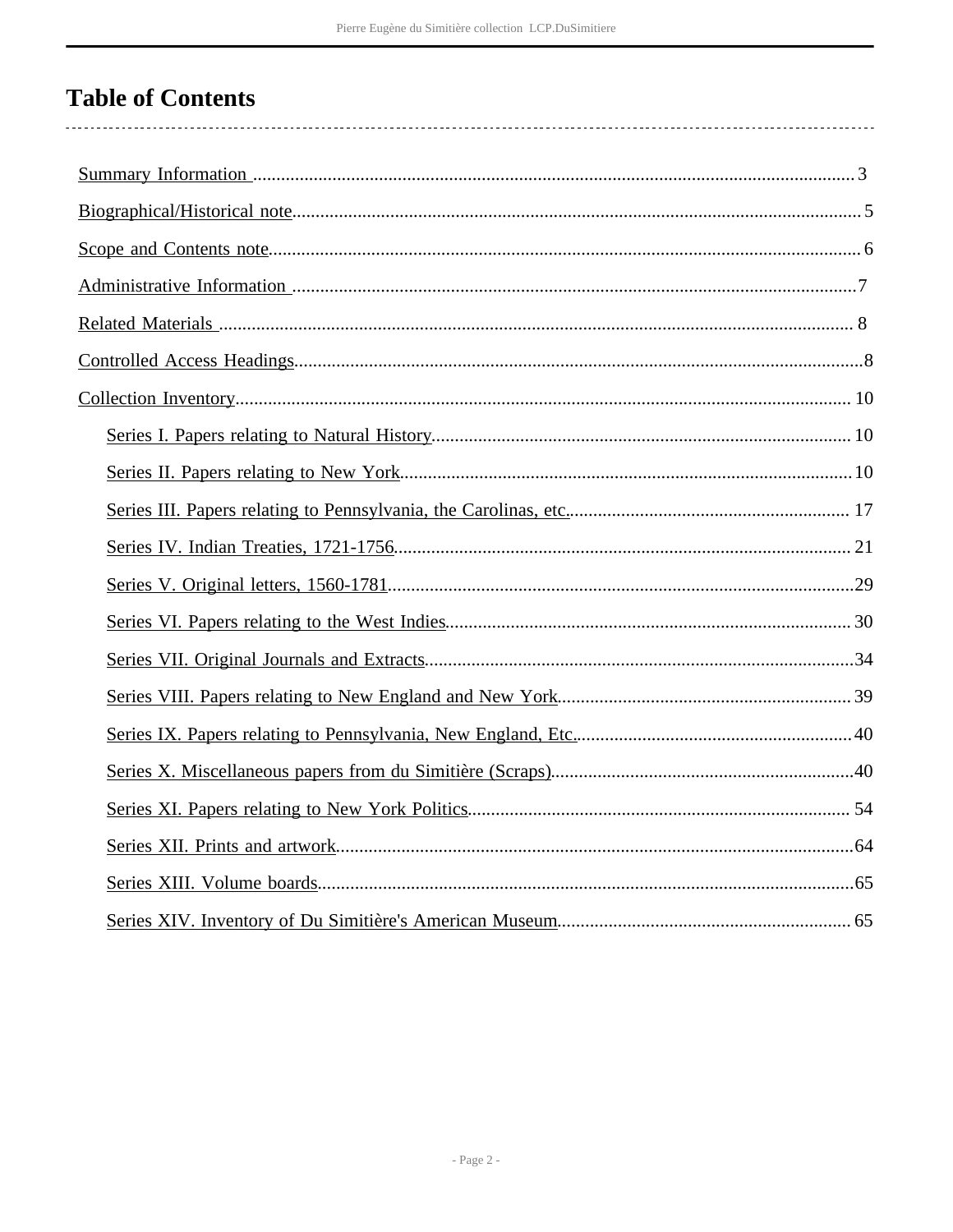# **Table of Contents**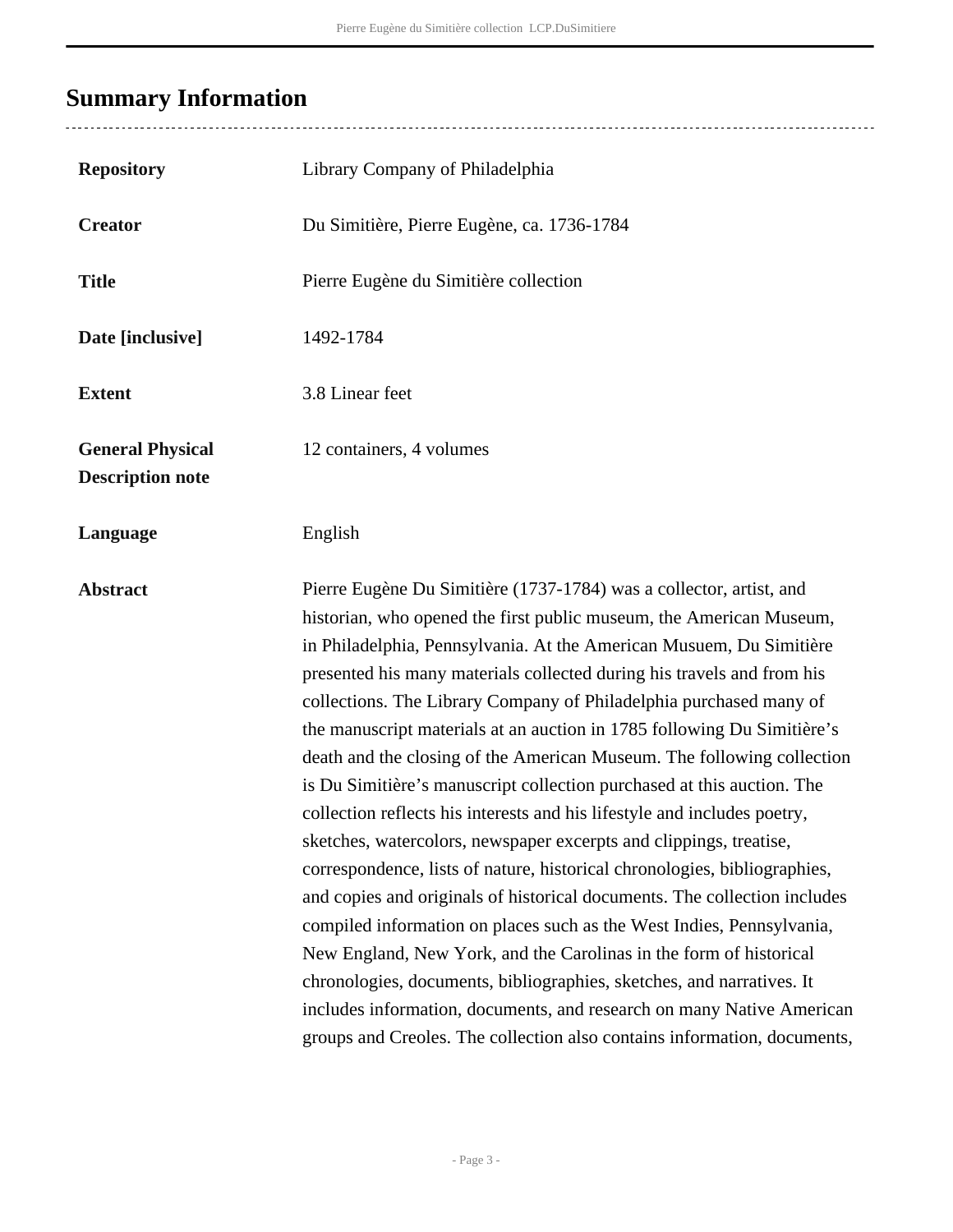# <span id="page-2-0"></span>**Summary Information**

| <b>Repository</b>                                  | Library Company of Philadelphia                                                                                                                                                                                                                                                                                                                                                                                                                                                                                                                                                                                                                                                                                                                                                                                                                                                                                                                                                                                                                                                                                                                                                                                                                                                           |
|----------------------------------------------------|-------------------------------------------------------------------------------------------------------------------------------------------------------------------------------------------------------------------------------------------------------------------------------------------------------------------------------------------------------------------------------------------------------------------------------------------------------------------------------------------------------------------------------------------------------------------------------------------------------------------------------------------------------------------------------------------------------------------------------------------------------------------------------------------------------------------------------------------------------------------------------------------------------------------------------------------------------------------------------------------------------------------------------------------------------------------------------------------------------------------------------------------------------------------------------------------------------------------------------------------------------------------------------------------|
| <b>Creator</b>                                     | Du Simitière, Pierre Eugène, ca. 1736-1784                                                                                                                                                                                                                                                                                                                                                                                                                                                                                                                                                                                                                                                                                                                                                                                                                                                                                                                                                                                                                                                                                                                                                                                                                                                |
| <b>Title</b>                                       | Pierre Eugène du Simitière collection                                                                                                                                                                                                                                                                                                                                                                                                                                                                                                                                                                                                                                                                                                                                                                                                                                                                                                                                                                                                                                                                                                                                                                                                                                                     |
| Date [inclusive]                                   | 1492-1784                                                                                                                                                                                                                                                                                                                                                                                                                                                                                                                                                                                                                                                                                                                                                                                                                                                                                                                                                                                                                                                                                                                                                                                                                                                                                 |
| <b>Extent</b>                                      | 3.8 Linear feet                                                                                                                                                                                                                                                                                                                                                                                                                                                                                                                                                                                                                                                                                                                                                                                                                                                                                                                                                                                                                                                                                                                                                                                                                                                                           |
| <b>General Physical</b><br><b>Description note</b> | 12 containers, 4 volumes                                                                                                                                                                                                                                                                                                                                                                                                                                                                                                                                                                                                                                                                                                                                                                                                                                                                                                                                                                                                                                                                                                                                                                                                                                                                  |
| Language                                           | English                                                                                                                                                                                                                                                                                                                                                                                                                                                                                                                                                                                                                                                                                                                                                                                                                                                                                                                                                                                                                                                                                                                                                                                                                                                                                   |
| <b>Abstract</b>                                    | Pierre Eugène Du Simitière (1737-1784) was a collector, artist, and<br>historian, who opened the first public museum, the American Museum,<br>in Philadelphia, Pennsylvania. At the American Musuem, Du Simitière<br>presented his many materials collected during his travels and from his<br>collections. The Library Company of Philadelphia purchased many of<br>the manuscript materials at an auction in 1785 following Du Simitière's<br>death and the closing of the American Museum. The following collection<br>is Du Simitière's manuscript collection purchased at this auction. The<br>collection reflects his interests and his lifestyle and includes poetry,<br>sketches, watercolors, newspaper excerpts and clippings, treatise,<br>correspondence, lists of nature, historical chronologies, bibliographies,<br>and copies and originals of historical documents. The collection includes<br>compiled information on places such as the West Indies, Pennsylvania,<br>New England, New York, and the Carolinas in the form of historical<br>chronologies, documents, bibliographies, sketches, and narratives. It<br>includes information, documents, and research on many Native American<br>groups and Creoles. The collection also contains information, documents, |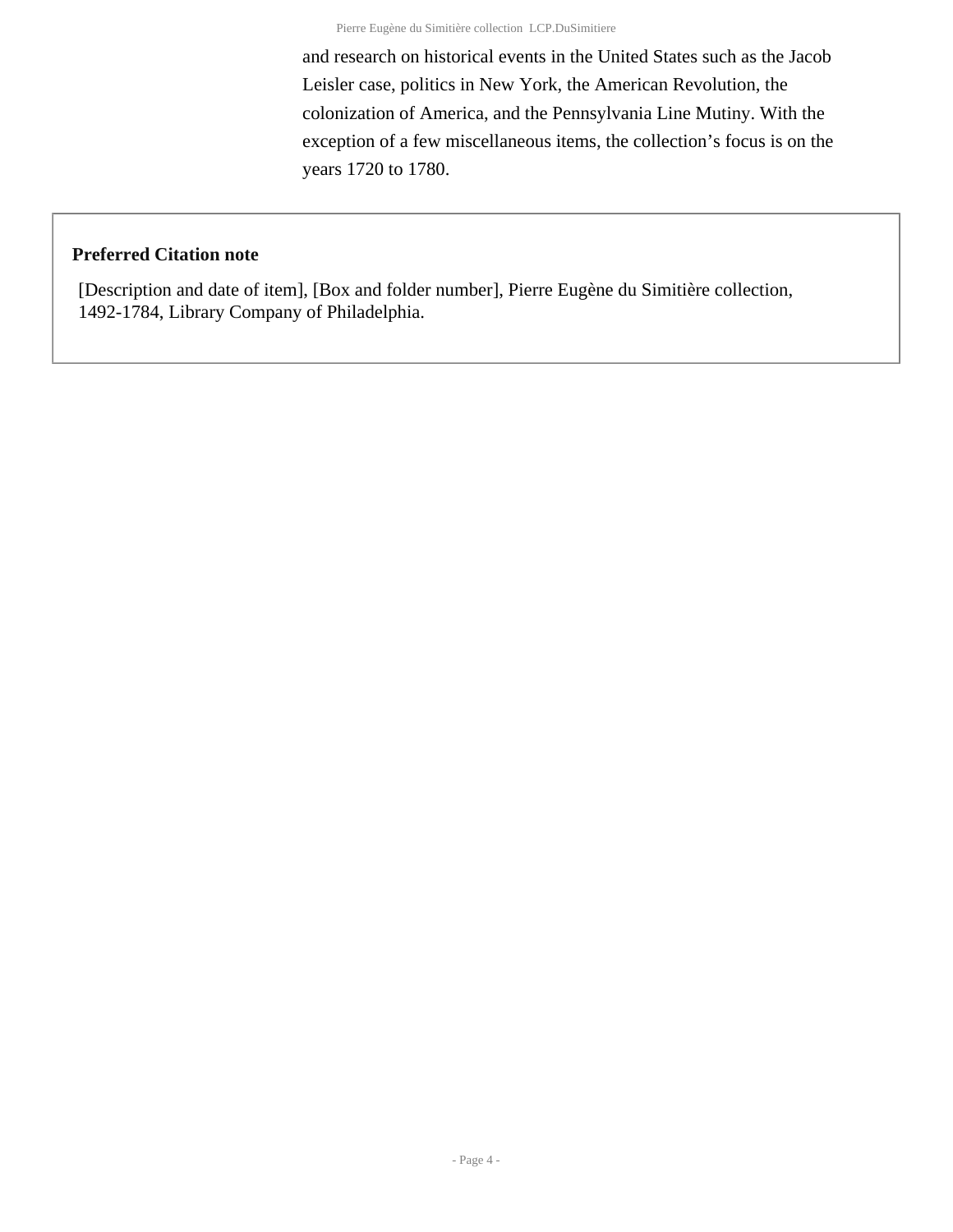and research on historical events in the United States such as the Jacob Leisler case, politics in New York, the American Revolution, the colonization of America, and the Pennsylvania Line Mutiny. With the exception of a few miscellaneous items, the collection's focus is on the years 1720 to 1780.

#### **Preferred Citation note**

[Description and date of item], [Box and folder number], Pierre Eugène du Simitière collection, 1492-1784, Library Company of Philadelphia.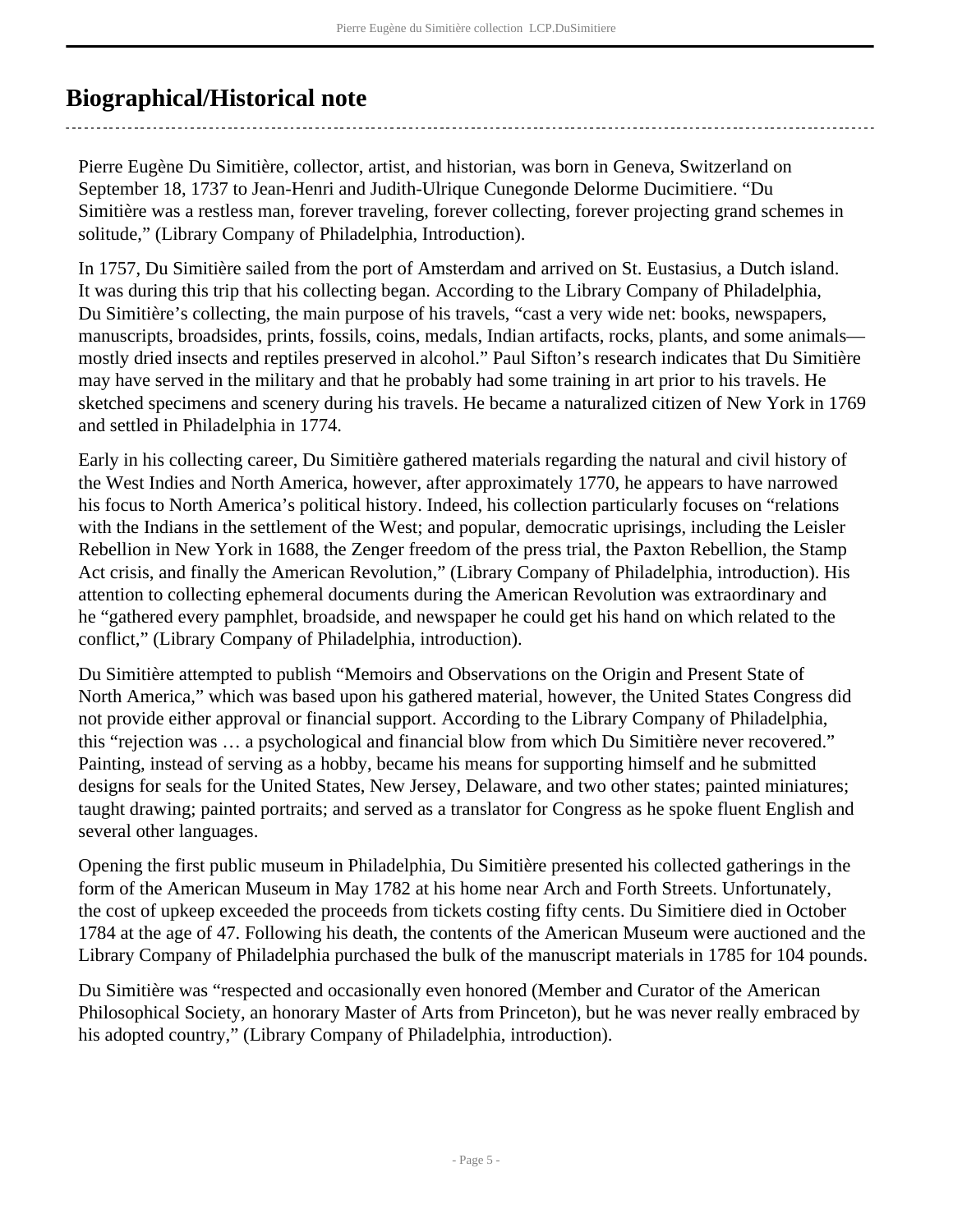## <span id="page-4-0"></span>**Biographical/Historical note**

Pierre Eugène Du Simitière, collector, artist, and historian, was born in Geneva, Switzerland on September 18, 1737 to Jean-Henri and Judith-Ulrique Cunegonde Delorme Ducimitiere. "Du Simitière was a restless man, forever traveling, forever collecting, forever projecting grand schemes in solitude," (Library Company of Philadelphia, Introduction).

In 1757, Du Simitière sailed from the port of Amsterdam and arrived on St. Eustasius, a Dutch island. It was during this trip that his collecting began. According to the Library Company of Philadelphia, Du Simitière's collecting, the main purpose of his travels, "cast a very wide net: books, newspapers, manuscripts, broadsides, prints, fossils, coins, medals, Indian artifacts, rocks, plants, and some animals mostly dried insects and reptiles preserved in alcohol." Paul Sifton's research indicates that Du Simitière may have served in the military and that he probably had some training in art prior to his travels. He sketched specimens and scenery during his travels. He became a naturalized citizen of New York in 1769 and settled in Philadelphia in 1774.

Early in his collecting career, Du Simitière gathered materials regarding the natural and civil history of the West Indies and North America, however, after approximately 1770, he appears to have narrowed his focus to North America's political history. Indeed, his collection particularly focuses on "relations with the Indians in the settlement of the West; and popular, democratic uprisings, including the Leisler Rebellion in New York in 1688, the Zenger freedom of the press trial, the Paxton Rebellion, the Stamp Act crisis, and finally the American Revolution," (Library Company of Philadelphia, introduction). His attention to collecting ephemeral documents during the American Revolution was extraordinary and he "gathered every pamphlet, broadside, and newspaper he could get his hand on which related to the conflict," (Library Company of Philadelphia, introduction).

Du Simitière attempted to publish "Memoirs and Observations on the Origin and Present State of North America," which was based upon his gathered material, however, the United States Congress did not provide either approval or financial support. According to the Library Company of Philadelphia, this "rejection was … a psychological and financial blow from which Du Simitière never recovered." Painting, instead of serving as a hobby, became his means for supporting himself and he submitted designs for seals for the United States, New Jersey, Delaware, and two other states; painted miniatures; taught drawing; painted portraits; and served as a translator for Congress as he spoke fluent English and several other languages.

Opening the first public museum in Philadelphia, Du Simitière presented his collected gatherings in the form of the American Museum in May 1782 at his home near Arch and Forth Streets. Unfortunately, the cost of upkeep exceeded the proceeds from tickets costing fifty cents. Du Simitiere died in October 1784 at the age of 47. Following his death, the contents of the American Museum were auctioned and the Library Company of Philadelphia purchased the bulk of the manuscript materials in 1785 for 104 pounds.

Du Simitière was "respected and occasionally even honored (Member and Curator of the American Philosophical Society, an honorary Master of Arts from Princeton), but he was never really embraced by his adopted country," (Library Company of Philadelphia, introduction).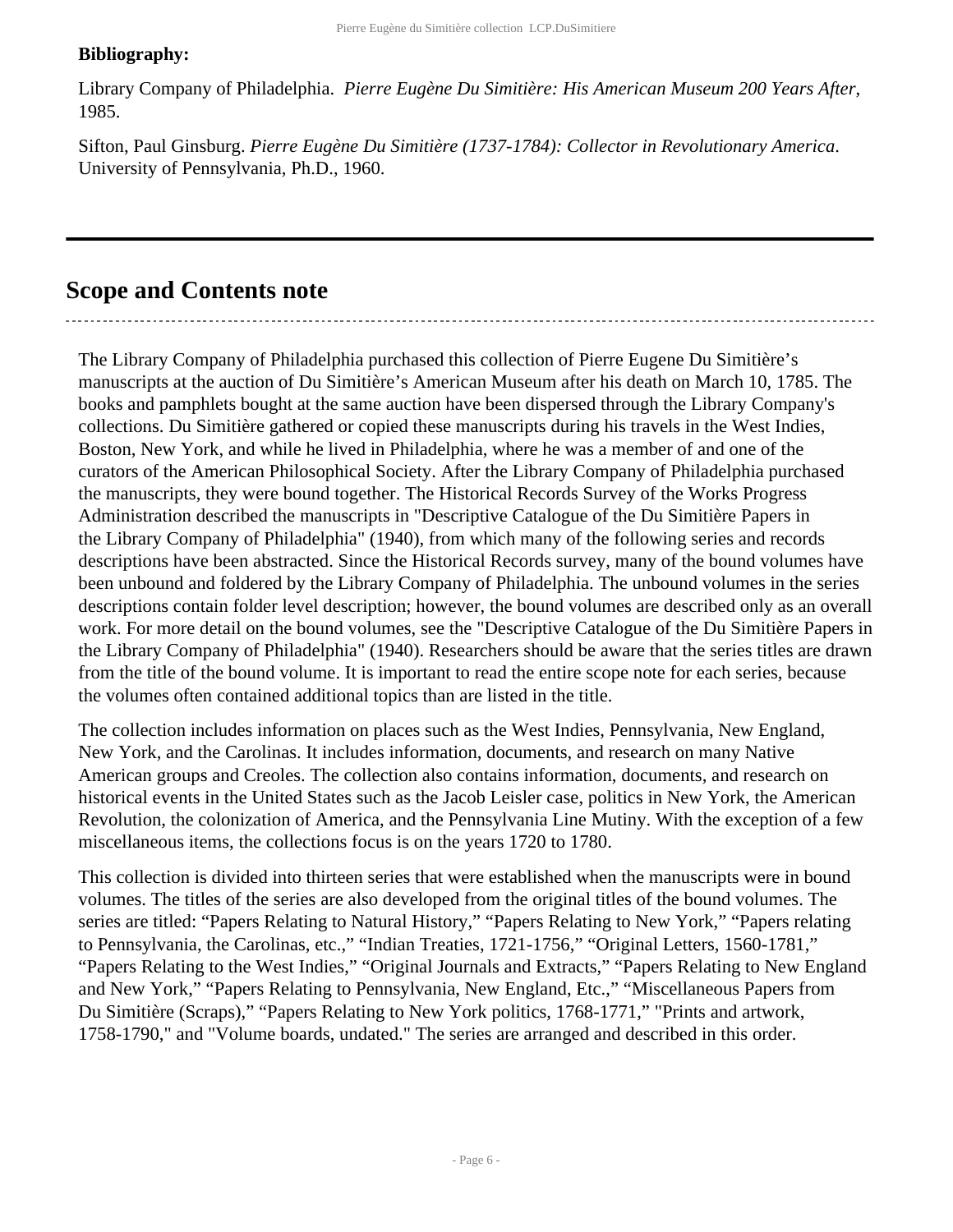#### **Bibliography:**

Library Company of Philadelphia. *Pierre Eugène Du Simitière: His American Museum 200 Years After*, 1985.

Sifton, Paul Ginsburg. *Pierre Eugène Du Simitière (1737-1784): Collector in Revolutionary America*. University of Pennsylvania, Ph.D., 1960.

## <span id="page-5-0"></span>**Scope and Contents note**

The Library Company of Philadelphia purchased this collection of Pierre Eugene Du Simitière's manuscripts at the auction of Du Simitière's American Museum after his death on March 10, 1785. The books and pamphlets bought at the same auction have been dispersed through the Library Company's collections. Du Simitière gathered or copied these manuscripts during his travels in the West Indies, Boston, New York, and while he lived in Philadelphia, where he was a member of and one of the curators of the American Philosophical Society. After the Library Company of Philadelphia purchased the manuscripts, they were bound together. The Historical Records Survey of the Works Progress Administration described the manuscripts in "Descriptive Catalogue of the Du Simitière Papers in the Library Company of Philadelphia" (1940), from which many of the following series and records descriptions have been abstracted. Since the Historical Records survey, many of the bound volumes have been unbound and foldered by the Library Company of Philadelphia. The unbound volumes in the series descriptions contain folder level description; however, the bound volumes are described only as an overall work. For more detail on the bound volumes, see the "Descriptive Catalogue of the Du Simitière Papers in the Library Company of Philadelphia" (1940). Researchers should be aware that the series titles are drawn from the title of the bound volume. It is important to read the entire scope note for each series, because the volumes often contained additional topics than are listed in the title.

The collection includes information on places such as the West Indies, Pennsylvania, New England, New York, and the Carolinas. It includes information, documents, and research on many Native American groups and Creoles. The collection also contains information, documents, and research on historical events in the United States such as the Jacob Leisler case, politics in New York, the American Revolution, the colonization of America, and the Pennsylvania Line Mutiny. With the exception of a few miscellaneous items, the collections focus is on the years 1720 to 1780.

This collection is divided into thirteen series that were established when the manuscripts were in bound volumes. The titles of the series are also developed from the original titles of the bound volumes. The series are titled: "Papers Relating to Natural History," "Papers Relating to New York," "Papers relating to Pennsylvania, the Carolinas, etc.," "Indian Treaties, 1721-1756," "Original Letters, 1560-1781," "Papers Relating to the West Indies," "Original Journals and Extracts," "Papers Relating to New England and New York," "Papers Relating to Pennsylvania, New England, Etc.," "Miscellaneous Papers from Du Simitière (Scraps)," "Papers Relating to New York politics, 1768-1771," "Prints and artwork, 1758-1790," and "Volume boards, undated." The series are arranged and described in this order.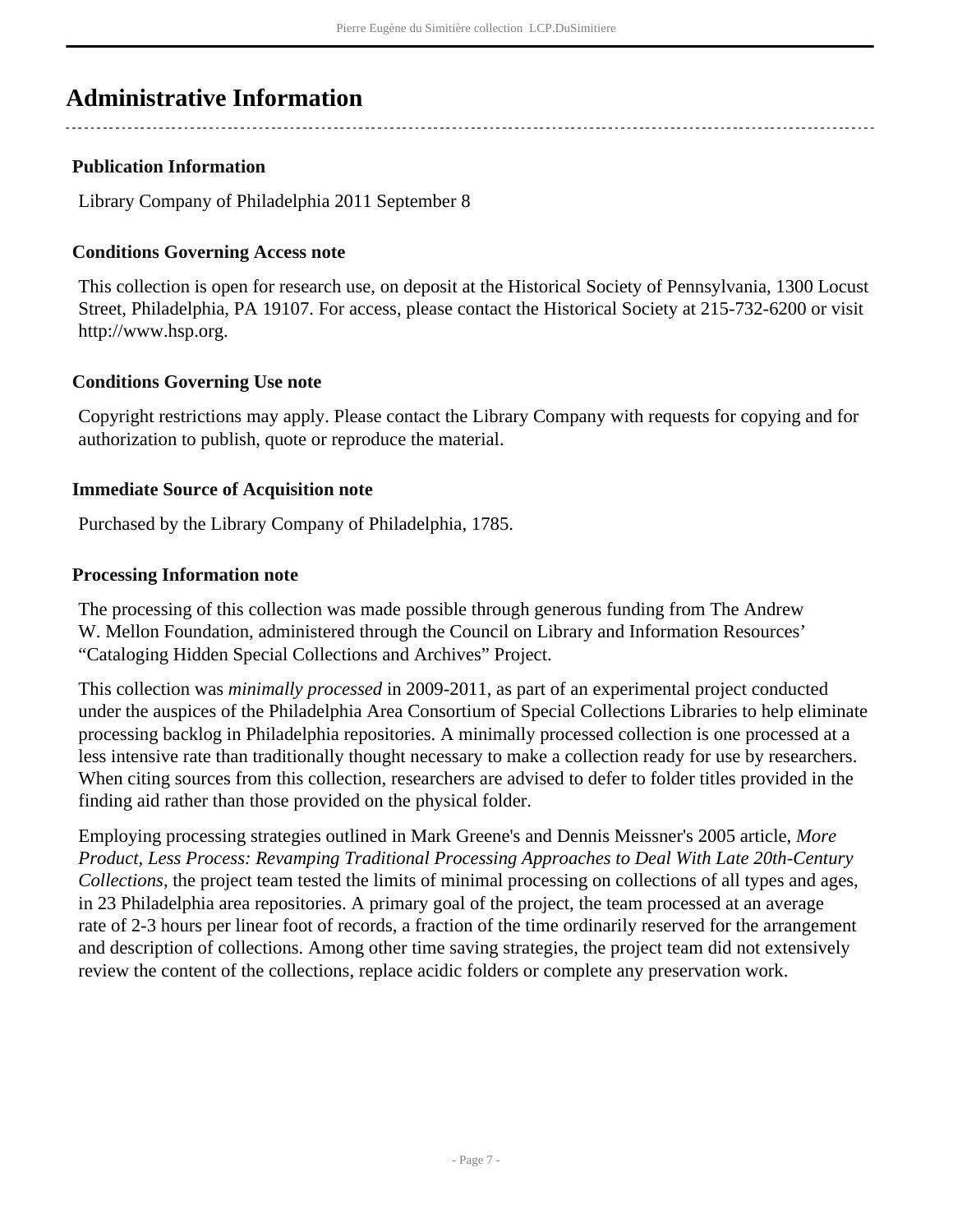## <span id="page-6-0"></span>**Administrative Information**

## **Publication Information**

Library Company of Philadelphia 2011 September 8

## **Conditions Governing Access note**

This collection is open for research use, on deposit at the Historical Society of Pennsylvania, 1300 Locust Street, Philadelphia, PA 19107. For access, please contact the Historical Society at 215-732-6200 or visit http://www.hsp.org.

## **Conditions Governing Use note**

Copyright restrictions may apply. Please contact the Library Company with requests for copying and for authorization to publish, quote or reproduce the material.

### **Immediate Source of Acquisition note**

Purchased by the Library Company of Philadelphia, 1785.

### **Processing Information note**

The processing of this collection was made possible through generous funding from The Andrew W. Mellon Foundation, administered through the Council on Library and Information Resources' "Cataloging Hidden Special Collections and Archives" Project.

This collection was *minimally processed* in 2009-2011, as part of an experimental project conducted under the auspices of the Philadelphia Area Consortium of Special Collections Libraries to help eliminate processing backlog in Philadelphia repositories. A minimally processed collection is one processed at a less intensive rate than traditionally thought necessary to make a collection ready for use by researchers. When citing sources from this collection, researchers are advised to defer to folder titles provided in the finding aid rather than those provided on the physical folder.

Employing processing strategies outlined in Mark Greene's and Dennis Meissner's 2005 article, *More Product, Less Process: Revamping Traditional Processing Approaches to Deal With Late 20th-Century Collections*, the project team tested the limits of minimal processing on collections of all types and ages, in 23 Philadelphia area repositories. A primary goal of the project, the team processed at an average rate of 2-3 hours per linear foot of records, a fraction of the time ordinarily reserved for the arrangement and description of collections. Among other time saving strategies, the project team did not extensively review the content of the collections, replace acidic folders or complete any preservation work.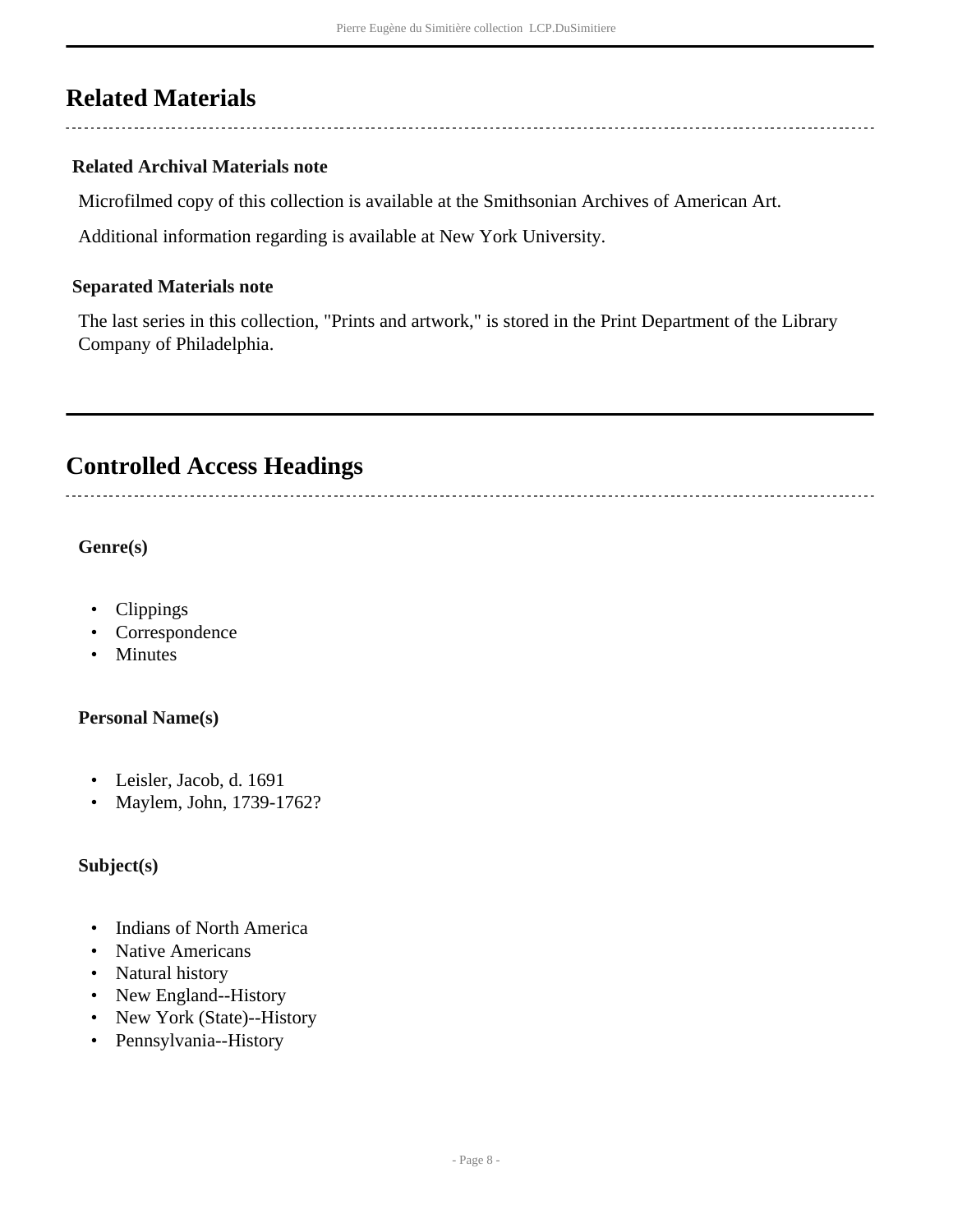## <span id="page-7-0"></span>**Related Materials**

## **Related Archival Materials note**

Microfilmed copy of this collection is available at the Smithsonian Archives of American Art.

Additional information regarding is available at New York University.

#### **Separated Materials note**

The last series in this collection, "Prints and artwork," is stored in the Print Department of the Library Company of Philadelphia.

## <span id="page-7-1"></span>**Controlled Access Headings**

**Genre(s)**

- Clippings
- Correspondence
- Minutes

#### **Personal Name(s)**

- Leisler, Jacob, d. 1691
- Maylem, John, 1739-1762?

### **Subject(s)**

- Indians of North America
- Native Americans
- Natural history
- New England--History
- New York (State)--History
- Pennsylvania--History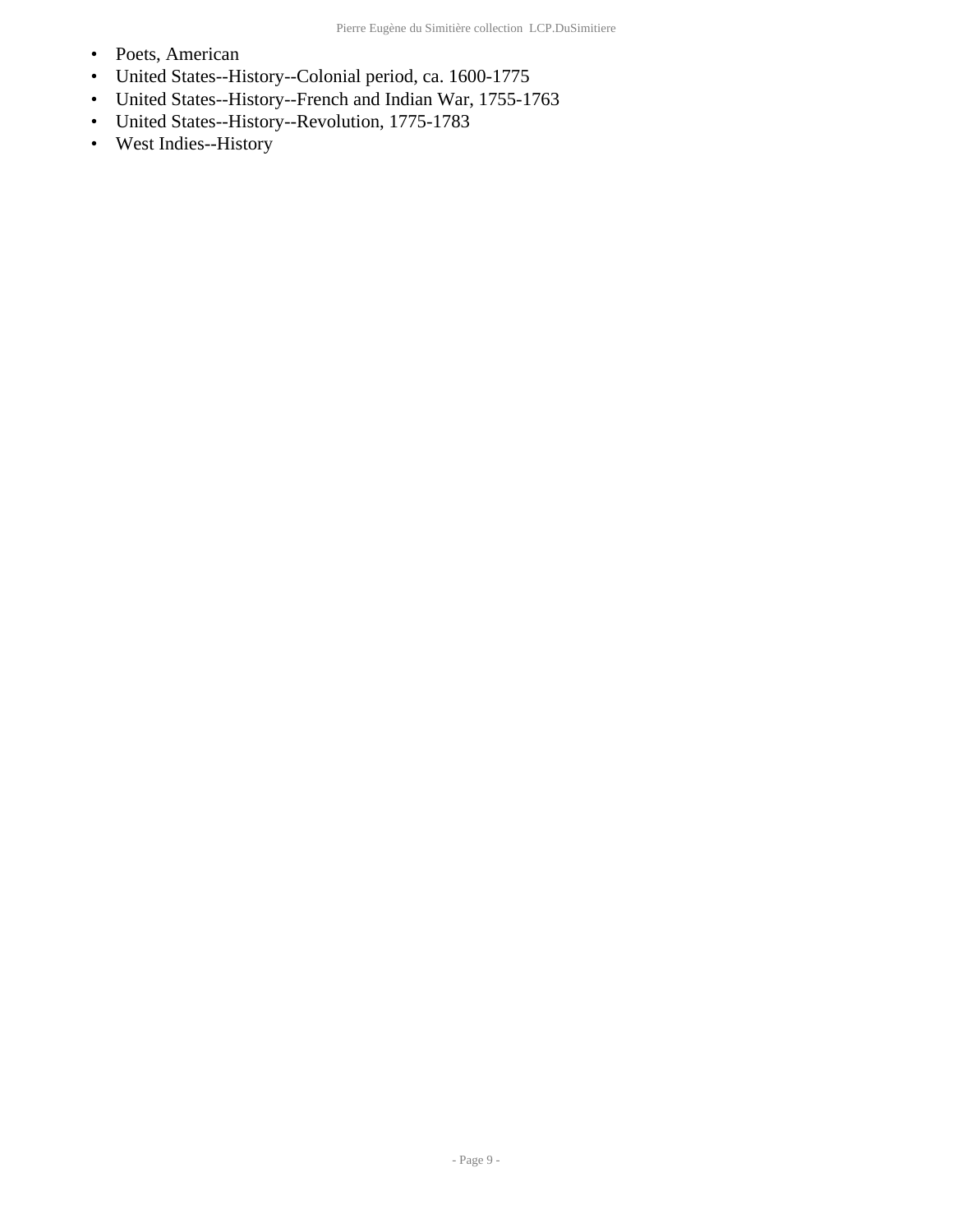- Poets, American
- United States--History--Colonial period, ca. 1600-1775
- United States--History--French and Indian War, 1755-1763
- United States--History--Revolution, 1775-1783
- West Indies--History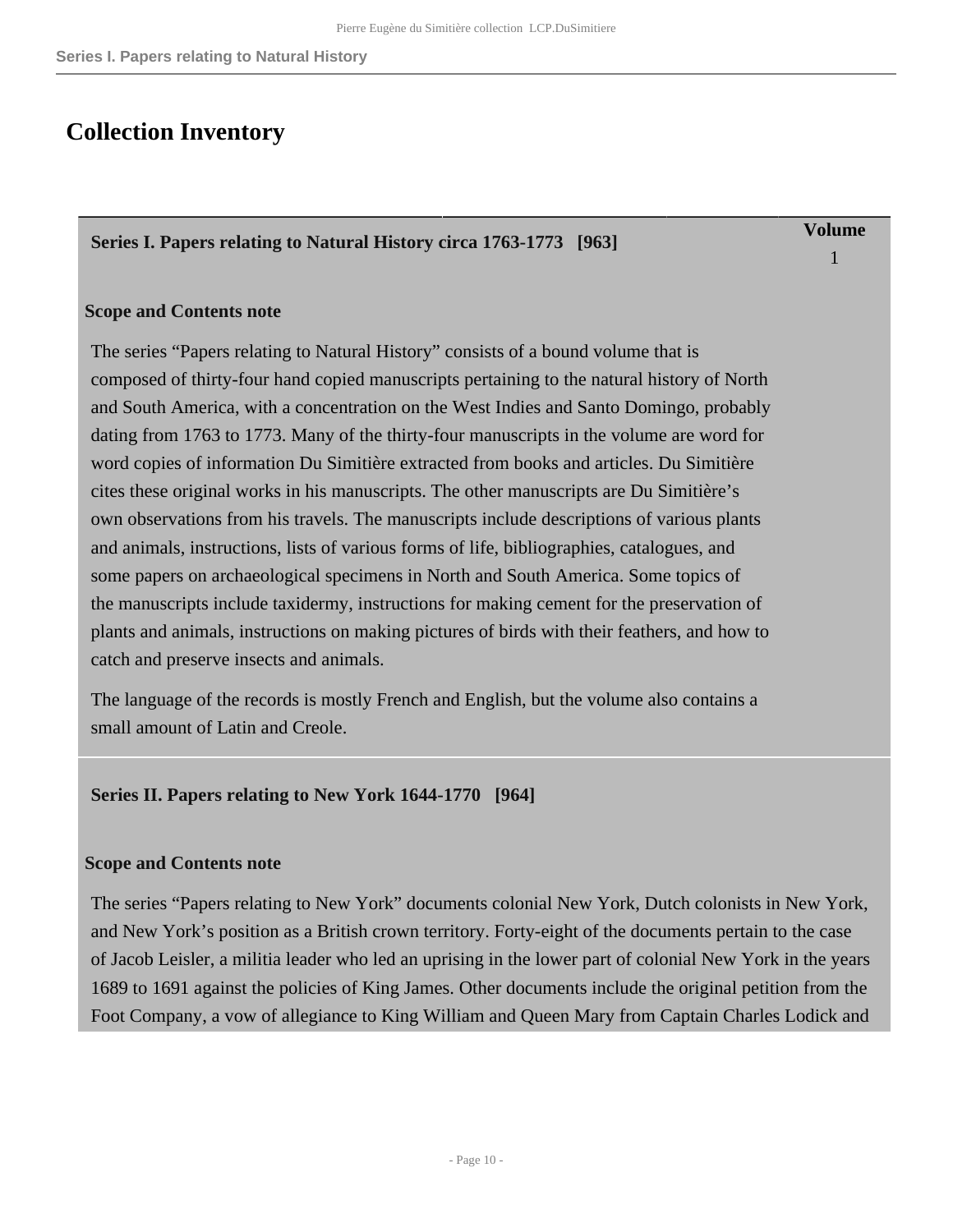## <span id="page-9-0"></span>**Collection Inventory**

#### <span id="page-9-1"></span>**Series I. Papers relating to Natural History circa 1763-1773 [963]**

**Volume** 1

#### **Scope and Contents note**

The series "Papers relating to Natural History" consists of a bound volume that is composed of thirty-four hand copied manuscripts pertaining to the natural history of North and South America, with a concentration on the West Indies and Santo Domingo, probably dating from 1763 to 1773. Many of the thirty-four manuscripts in the volume are word for word copies of information Du Simitière extracted from books and articles. Du Simitière cites these original works in his manuscripts. The other manuscripts are Du Simitière's own observations from his travels. The manuscripts include descriptions of various plants and animals, instructions, lists of various forms of life, bibliographies, catalogues, and some papers on archaeological specimens in North and South America. Some topics of the manuscripts include taxidermy, instructions for making cement for the preservation of plants and animals, instructions on making pictures of birds with their feathers, and how to catch and preserve insects and animals.

The language of the records is mostly French and English, but the volume also contains a small amount of Latin and Creole.

#### <span id="page-9-2"></span>**Series II. Papers relating to New York 1644-1770 [964]**

#### **Scope and Contents note**

The series "Papers relating to New York" documents colonial New York, Dutch colonists in New York, and New York's position as a British crown territory. Forty-eight of the documents pertain to the case of Jacob Leisler, a militia leader who led an uprising in the lower part of colonial New York in the years 1689 to 1691 against the policies of King James. Other documents include the original petition from the Foot Company, a vow of allegiance to King William and Queen Mary from Captain Charles Lodick and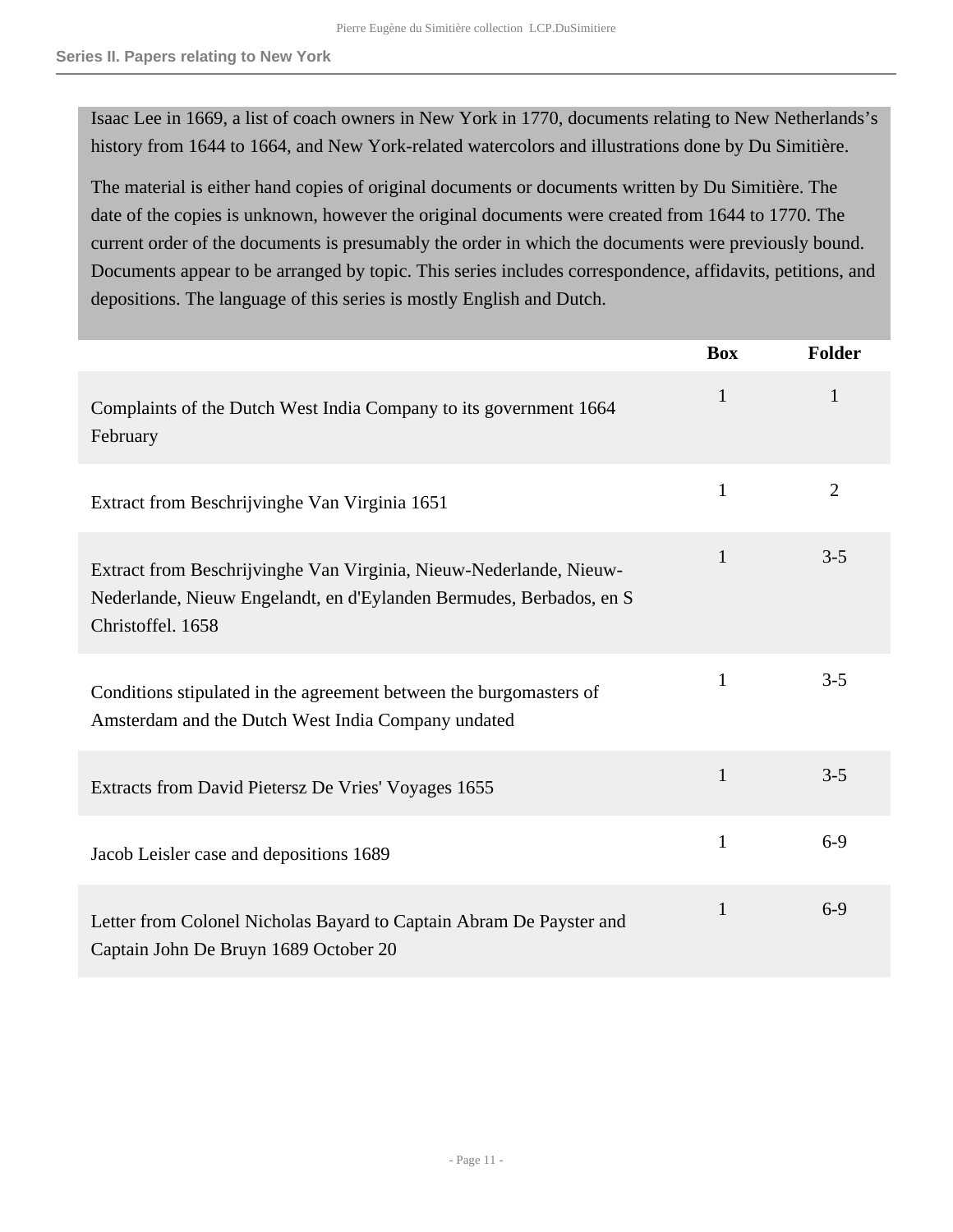Isaac Lee in 1669, a list of coach owners in New York in 1770, documents relating to New Netherlands's history from 1644 to 1664, and New York-related watercolors and illustrations done by Du Simitière.

The material is either hand copies of original documents or documents written by Du Simitière. The date of the copies is unknown, however the original documents were created from 1644 to 1770. The current order of the documents is presumably the order in which the documents were previously bound. Documents appear to be arranged by topic. This series includes correspondence, affidavits, petitions, and depositions. The language of this series is mostly English and Dutch.

|                                                                                                                                                                | <b>Box</b>   | Folder         |
|----------------------------------------------------------------------------------------------------------------------------------------------------------------|--------------|----------------|
| Complaints of the Dutch West India Company to its government 1664<br>February                                                                                  | $\mathbf{1}$ | 1              |
| Extract from Beschrijvinghe Van Virginia 1651                                                                                                                  | $\mathbf{1}$ | $\overline{2}$ |
| Extract from Beschrijvinghe Van Virginia, Nieuw-Nederlande, Nieuw-<br>Nederlande, Nieuw Engelandt, en d'Eylanden Bermudes, Berbados, en S<br>Christoffel. 1658 | 1            | $3 - 5$        |
| Conditions stipulated in the agreement between the burgomasters of<br>Amsterdam and the Dutch West India Company undated                                       | $\mathbf{1}$ | $3 - 5$        |
| Extracts from David Pietersz De Vries' Voyages 1655                                                                                                            | $\mathbf{1}$ | $3 - 5$        |
| Jacob Leisler case and depositions 1689                                                                                                                        | $\mathbf{1}$ | $6-9$          |
| Letter from Colonel Nicholas Bayard to Captain Abram De Payster and<br>Captain John De Bruyn 1689 October 20                                                   | $\mathbf{1}$ | $6 - 9$        |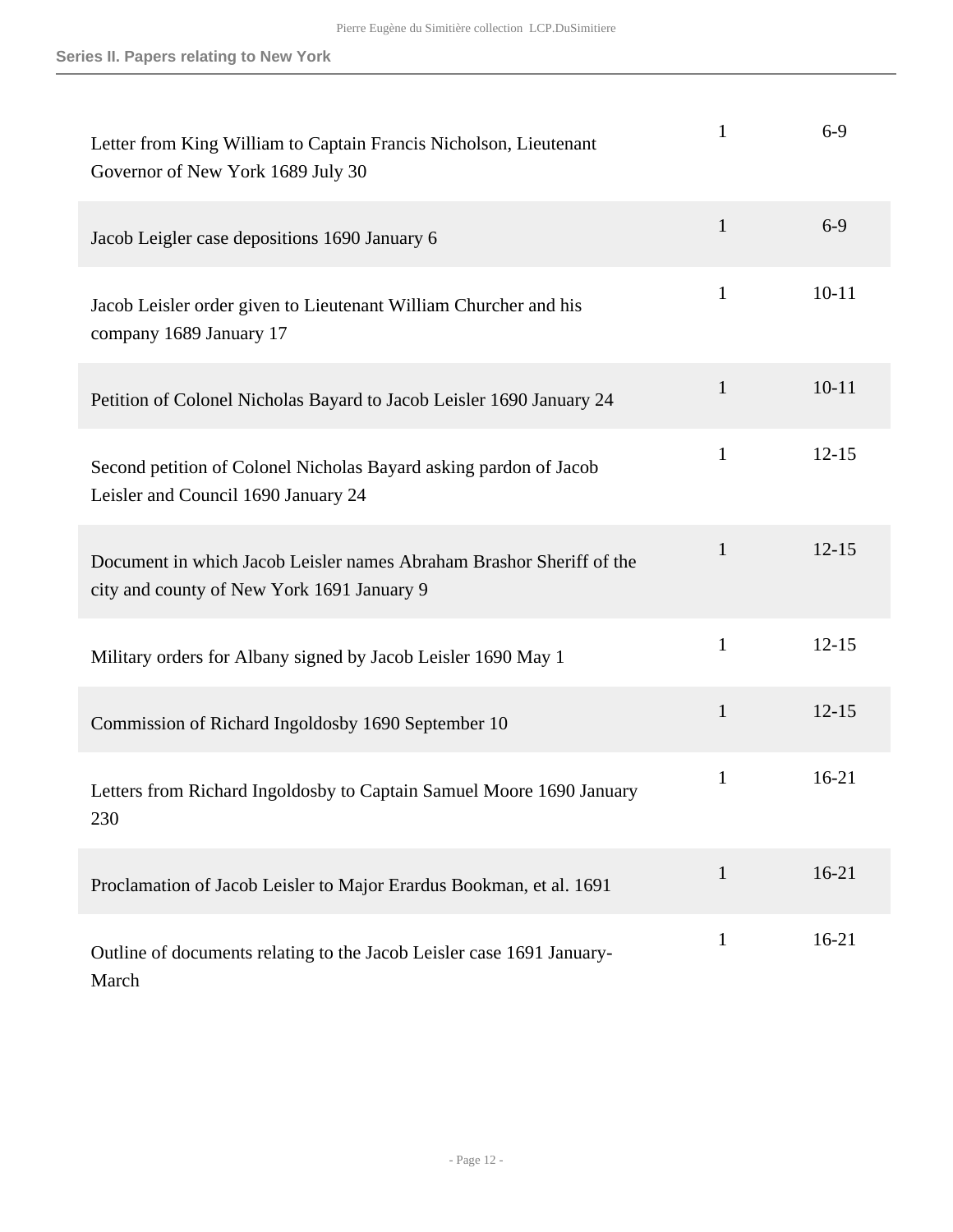| Letter from King William to Captain Francis Nicholson, Lieutenant<br>Governor of New York 1689 July 30             | 1            | $6 - 9$   |
|--------------------------------------------------------------------------------------------------------------------|--------------|-----------|
| Jacob Leigler case depositions 1690 January 6                                                                      | $\mathbf{1}$ | $6-9$     |
| Jacob Leisler order given to Lieutenant William Churcher and his<br>company 1689 January 17                        | $\mathbf{1}$ | $10 - 11$ |
| Petition of Colonel Nicholas Bayard to Jacob Leisler 1690 January 24                                               | $\mathbf{1}$ | $10 - 11$ |
| Second petition of Colonel Nicholas Bayard asking pardon of Jacob<br>Leisler and Council 1690 January 24           | $\mathbf{1}$ | $12 - 15$ |
| Document in which Jacob Leisler names Abraham Brashor Sheriff of the<br>city and county of New York 1691 January 9 | $\mathbf{1}$ | $12 - 15$ |
| Military orders for Albany signed by Jacob Leisler 1690 May 1                                                      | $\mathbf{1}$ | $12 - 15$ |
| Commission of Richard Ingoldosby 1690 September 10                                                                 | $\mathbf{1}$ | $12 - 15$ |
| Letters from Richard Ingoldosby to Captain Samuel Moore 1690 January<br>230                                        | 1            | $16 - 21$ |
| Proclamation of Jacob Leisler to Major Erardus Bookman, et al. 1691                                                | $\mathbf{1}$ | $16-21$   |
| Outline of documents relating to the Jacob Leisler case 1691 January-<br>March                                     | 1            | $16-21$   |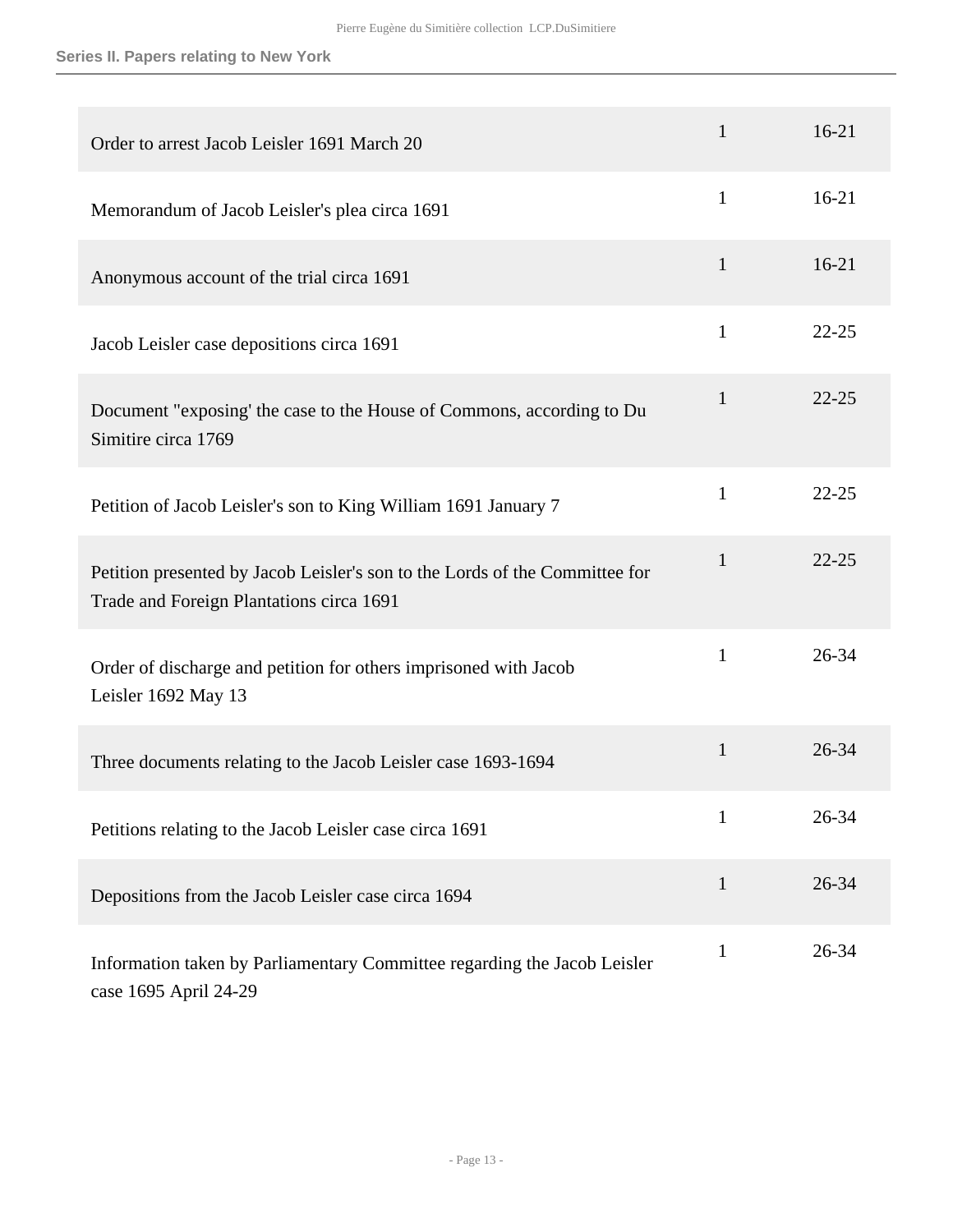## **Series II. Papers relating to New York**

| Order to arrest Jacob Leisler 1691 March 20                                                                             | $\mathbf{1}$ | $16-21$   |
|-------------------------------------------------------------------------------------------------------------------------|--------------|-----------|
| Memorandum of Jacob Leisler's plea circa 1691                                                                           | $\mathbf{1}$ | $16-21$   |
| Anonymous account of the trial circa 1691                                                                               | $\mathbf{1}$ | $16-21$   |
| Jacob Leisler case depositions circa 1691                                                                               | $\mathbf{1}$ | $22 - 25$ |
| Document "exposing' the case to the House of Commons, according to Du<br>Simitire circa 1769                            | 1            | $22 - 25$ |
| Petition of Jacob Leisler's son to King William 1691 January 7                                                          | $\mathbf{1}$ | $22 - 25$ |
| Petition presented by Jacob Leisler's son to the Lords of the Committee for<br>Trade and Foreign Plantations circa 1691 | $\mathbf{1}$ | $22 - 25$ |
| Order of discharge and petition for others imprisoned with Jacob<br>Leisler 1692 May 13                                 | 1            | 26-34     |
| Three documents relating to the Jacob Leisler case 1693-1694                                                            | $\mathbf{1}$ | $26 - 34$ |
| Petitions relating to the Jacob Leisler case circa 1691                                                                 | 1            | 26-34     |
| Depositions from the Jacob Leisler case circa 1694                                                                      | $\mathbf{1}$ | 26-34     |
| Information taken by Parliamentary Committee regarding the Jacob Leisler<br>case 1695 April 24-29                       | 1            | 26-34     |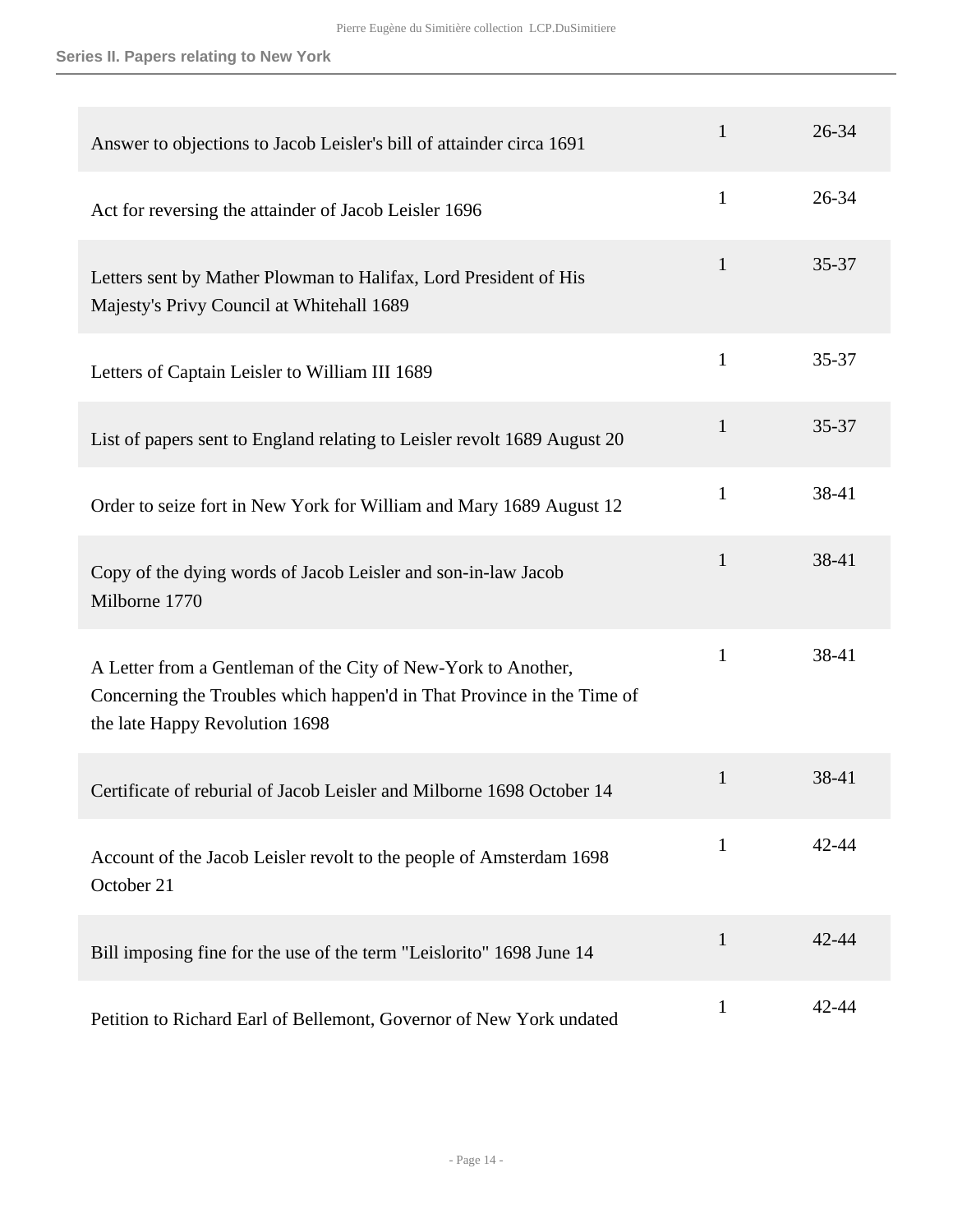#### **Series II. Papers relating to New York**

| Answer to objections to Jacob Leisler's bill of attainder circa 1691                                                                                                      | $\mathbf{1}$ | 26-34 |
|---------------------------------------------------------------------------------------------------------------------------------------------------------------------------|--------------|-------|
| Act for reversing the attainder of Jacob Leisler 1696                                                                                                                     | $\mathbf{1}$ | 26-34 |
| Letters sent by Mather Plowman to Halifax, Lord President of His<br>Majesty's Privy Council at Whitehall 1689                                                             | $\mathbf{1}$ | 35-37 |
| Letters of Captain Leisler to William III 1689                                                                                                                            | $\mathbf{1}$ | 35-37 |
| List of papers sent to England relating to Leisler revolt 1689 August 20                                                                                                  | $\mathbf{1}$ | 35-37 |
| Order to seize fort in New York for William and Mary 1689 August 12                                                                                                       | $\mathbf{1}$ | 38-41 |
| Copy of the dying words of Jacob Leisler and son-in-law Jacob<br>Milborne 1770                                                                                            | $\mathbf{1}$ | 38-41 |
| A Letter from a Gentleman of the City of New-York to Another,<br>Concerning the Troubles which happen'd in That Province in the Time of<br>the late Happy Revolution 1698 | $\mathbf{1}$ | 38-41 |
| Certificate of reburial of Jacob Leisler and Milborne 1698 October 14                                                                                                     | $\mathbf{1}$ | 38-41 |
| Account of the Jacob Leisler revolt to the people of Amsterdam 1698<br>October 21                                                                                         | $\mathbf{1}$ | 42-44 |
| Bill imposing fine for the use of the term "Leislorito" 1698 June 14                                                                                                      | $\mathbf{1}$ | 42-44 |
| Petition to Richard Earl of Bellemont, Governor of New York undated                                                                                                       | $\mathbf{1}$ | 42-44 |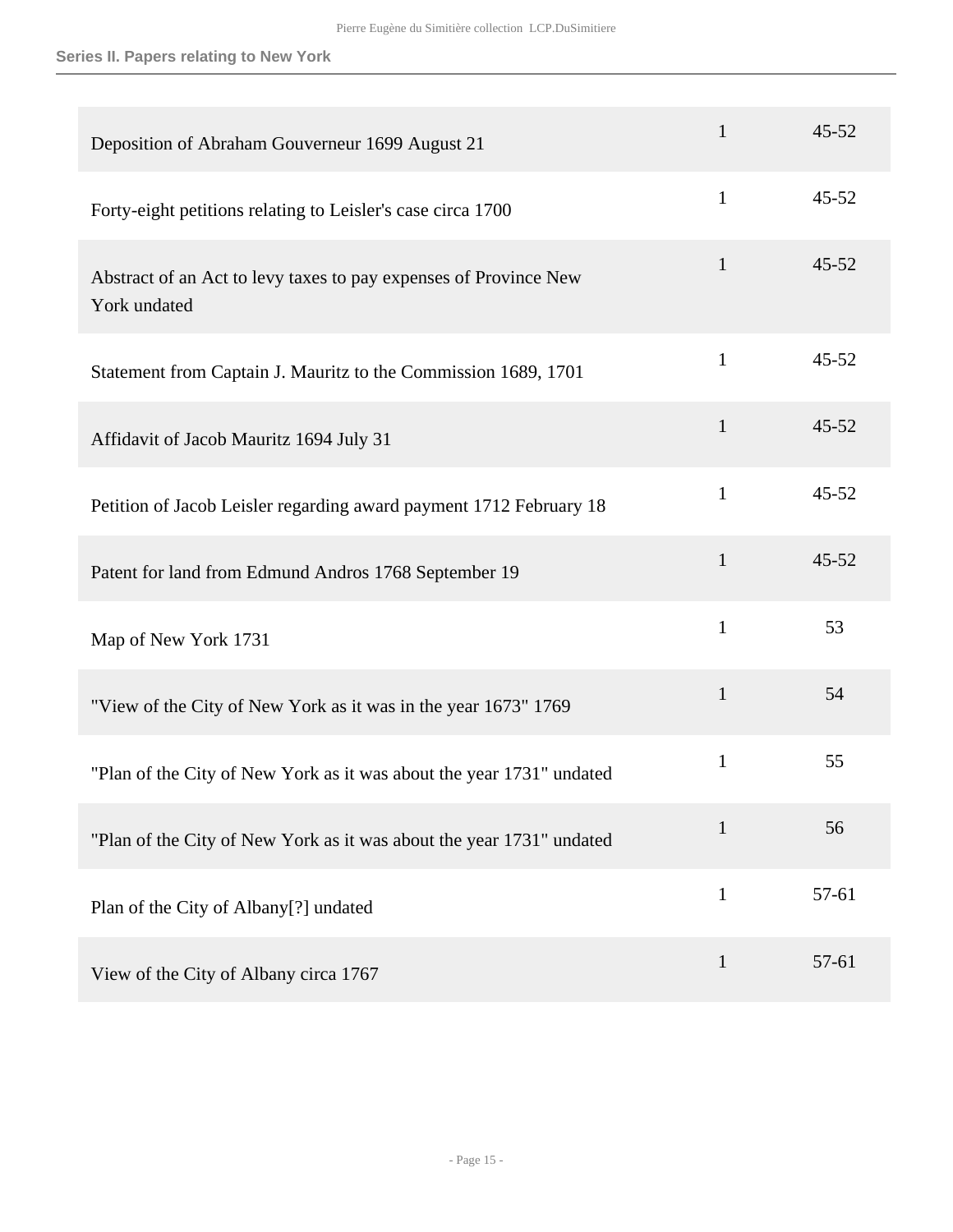## **Series II. Papers relating to New York**

| Deposition of Abraham Gouverneur 1699 August 21                                  | $\mathbf{1}$ | $45 - 52$ |
|----------------------------------------------------------------------------------|--------------|-----------|
| Forty-eight petitions relating to Leisler's case circa 1700                      | $\mathbf{1}$ | $45 - 52$ |
| Abstract of an Act to levy taxes to pay expenses of Province New<br>York undated | $\mathbf{1}$ | $45 - 52$ |
| Statement from Captain J. Mauritz to the Commission 1689, 1701                   | $\mathbf{1}$ | $45 - 52$ |
| Affidavit of Jacob Mauritz 1694 July 31                                          | $\mathbf{1}$ | $45 - 52$ |
| Petition of Jacob Leisler regarding award payment 1712 February 18               | $\mathbf{1}$ | $45 - 52$ |
| Patent for land from Edmund Andros 1768 September 19                             | $\mathbf{1}$ | $45 - 52$ |
| Map of New York 1731                                                             | $\mathbf{1}$ | 53        |
| "View of the City of New York as it was in the year 1673" 1769                   | $\mathbf{1}$ | 54        |
| "Plan of the City of New York as it was about the year 1731" undated             | $\mathbf{1}$ | 55        |
| "Plan of the City of New York as it was about the year 1731" undated             | $\mathbf{1}$ | 56        |
| Plan of the City of Albany[?] undated                                            | $\mathbf{1}$ | 57-61     |
| View of the City of Albany circa 1767                                            | $\mathbf{1}$ | 57-61     |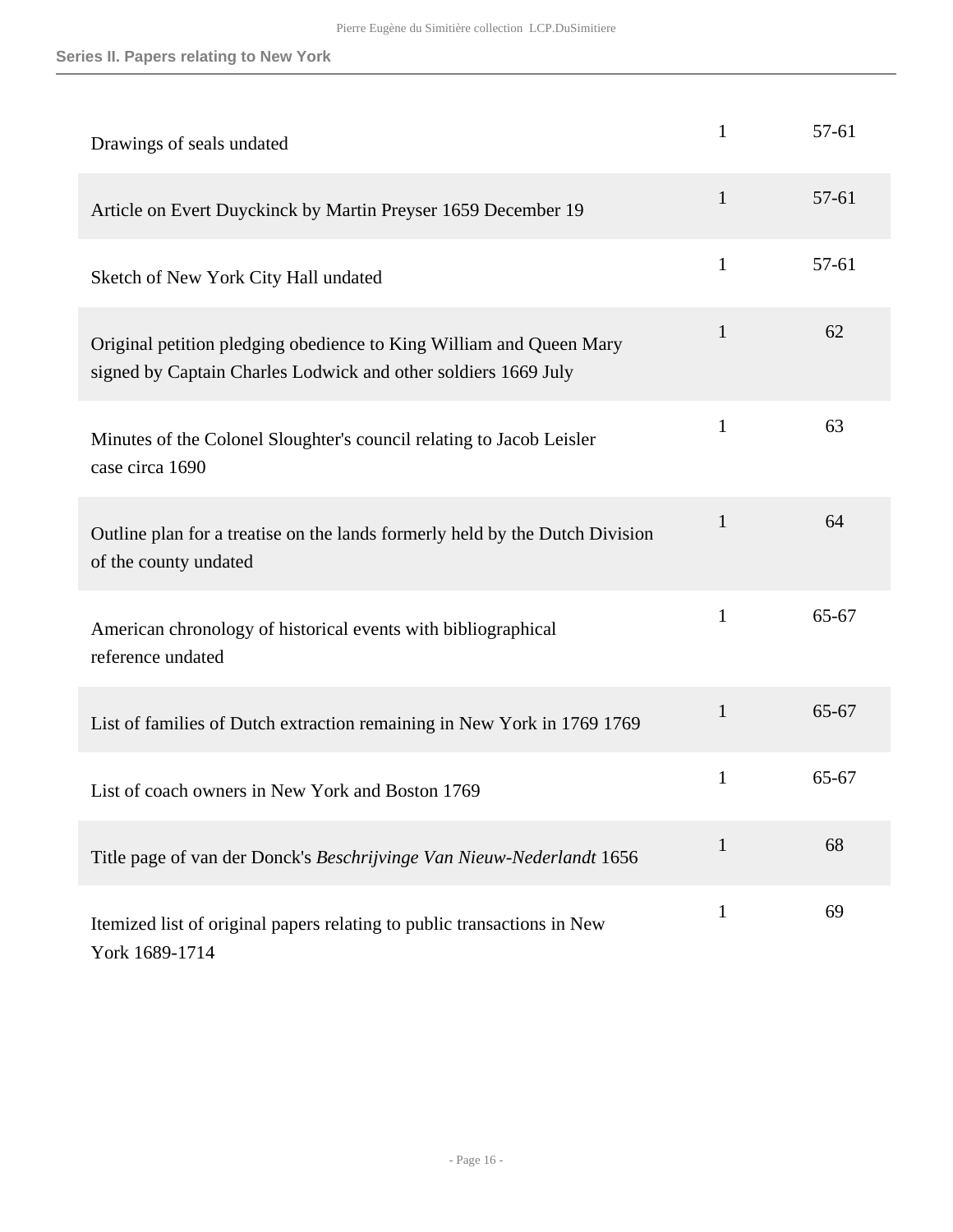| Drawings of seals undated                                                                                                             | $\mathbf{1}$ | 57-61     |
|---------------------------------------------------------------------------------------------------------------------------------------|--------------|-----------|
| Article on Evert Duyckinck by Martin Preyser 1659 December 19                                                                         | $\mathbf{1}$ | 57-61     |
| Sketch of New York City Hall undated                                                                                                  | $\mathbf{1}$ | 57-61     |
| Original petition pledging obedience to King William and Queen Mary<br>signed by Captain Charles Lodwick and other soldiers 1669 July | 1            | 62        |
| Minutes of the Colonel Sloughter's council relating to Jacob Leisler<br>case circa 1690                                               | 1            | 63        |
| Outline plan for a treatise on the lands formerly held by the Dutch Division<br>of the county undated                                 | $\mathbf{1}$ | 64        |
| American chronology of historical events with bibliographical<br>reference undated                                                    | $\mathbf{1}$ | 65-67     |
| List of families of Dutch extraction remaining in New York in 1769 1769                                                               | $\mathbf{1}$ | 65-67     |
| List of coach owners in New York and Boston 1769                                                                                      | 1            | $65 - 67$ |
| Title page of van der Donck's Beschrijvinge Van Nieuw-Nederlandt 1656                                                                 | 1            | 68        |
| Itemized list of original papers relating to public transactions in New<br>York 1689-1714                                             | $\mathbf{1}$ | 69        |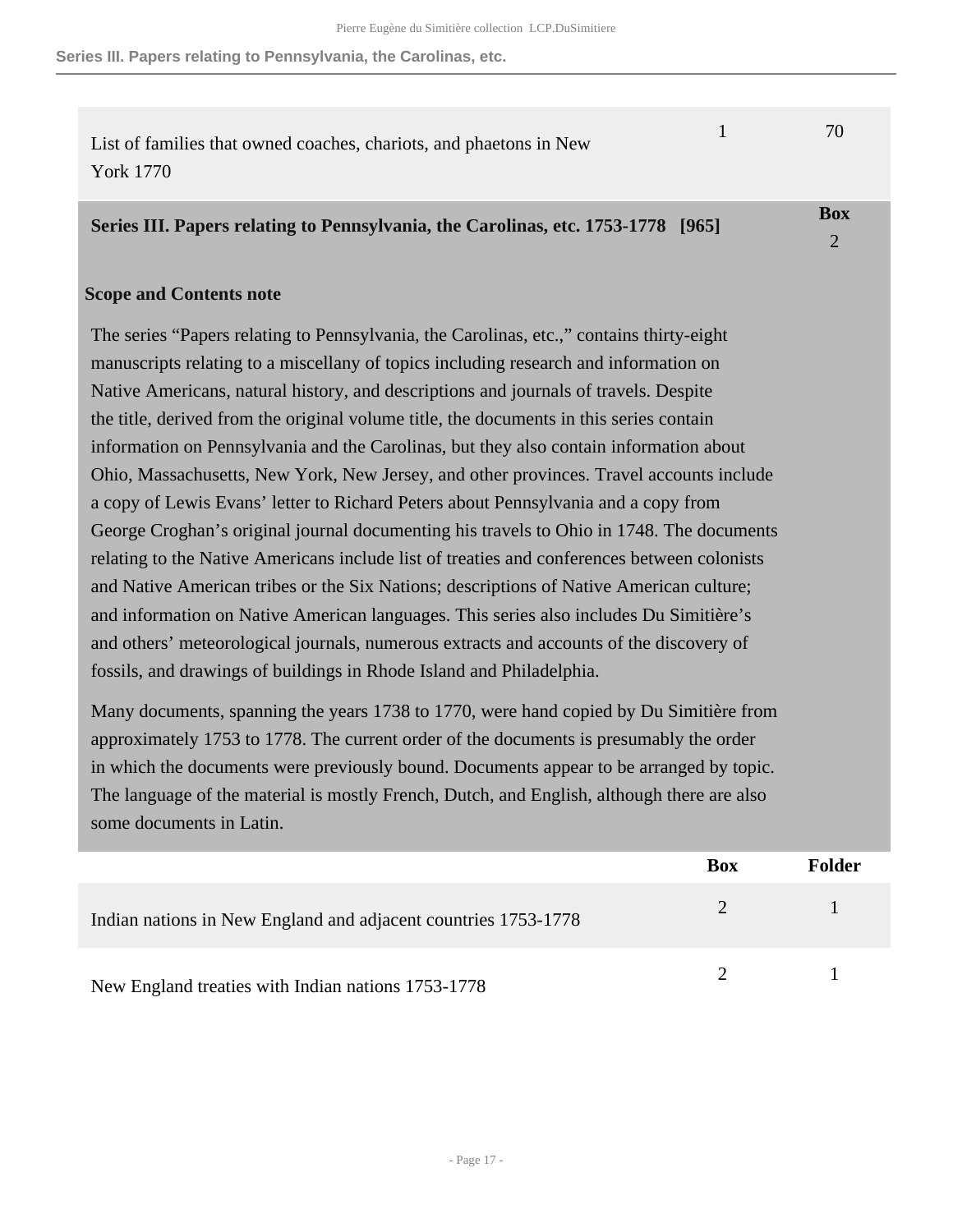**Series III. Papers relating to Pennsylvania, the Carolinas, etc.**

| List of families that owned coaches, chariots, and phaetons in New | 70 |
|--------------------------------------------------------------------|----|
| York 1770                                                          |    |

#### <span id="page-16-0"></span>**Series III. Papers relating to Pennsylvania, the Carolinas, etc. 1753-1778 [965]**

**Box** 2

## **Scope and Contents note**

The series "Papers relating to Pennsylvania, the Carolinas, etc.," contains thirty-eight manuscripts relating to a miscellany of topics including research and information on Native Americans, natural history, and descriptions and journals of travels. Despite the title, derived from the original volume title, the documents in this series contain information on Pennsylvania and the Carolinas, but they also contain information about Ohio, Massachusetts, New York, New Jersey, and other provinces. Travel accounts include a copy of Lewis Evans' letter to Richard Peters about Pennsylvania and a copy from George Croghan's original journal documenting his travels to Ohio in 1748. The documents relating to the Native Americans include list of treaties and conferences between colonists and Native American tribes or the Six Nations; descriptions of Native American culture; and information on Native American languages. This series also includes Du Simitière's and others' meteorological journals, numerous extracts and accounts of the discovery of fossils, and drawings of buildings in Rhode Island and Philadelphia.

Many documents, spanning the years 1738 to 1770, were hand copied by Du Simitière from approximately 1753 to 1778. The current order of the documents is presumably the order in which the documents were previously bound. Documents appear to be arranged by topic. The language of the material is mostly French, Dutch, and English, although there are also some documents in Latin.

|                                                                | <b>Box</b> | Folder |
|----------------------------------------------------------------|------------|--------|
| Indian nations in New England and adjacent countries 1753-1778 |            |        |
| New England treaties with Indian nations 1753-1778             |            |        |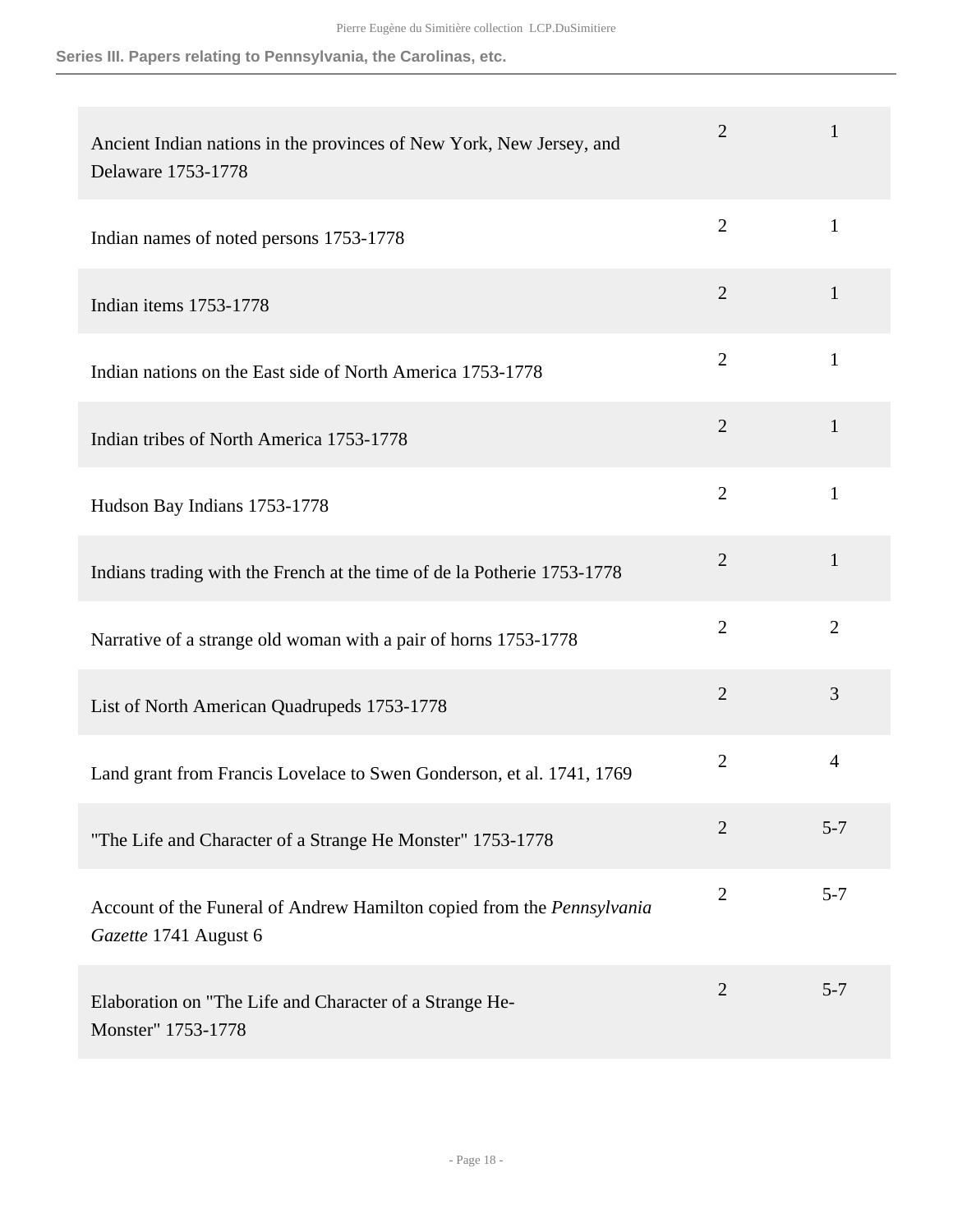**Series III. Papers relating to Pennsylvania, the Carolinas, etc.**

| Ancient Indian nations in the provinces of New York, New Jersey, and<br>Delaware 1753-1778             | $\overline{2}$ | 1              |
|--------------------------------------------------------------------------------------------------------|----------------|----------------|
| Indian names of noted persons 1753-1778                                                                | $\overline{2}$ | $\mathbf{1}$   |
| Indian items 1753-1778                                                                                 | $\mathbf{2}$   | $\mathbf{1}$   |
| Indian nations on the East side of North America 1753-1778                                             | $\overline{2}$ | $\mathbf{1}$   |
| Indian tribes of North America 1753-1778                                                               | $\overline{2}$ | $\mathbf{1}$   |
| Hudson Bay Indians 1753-1778                                                                           | $\overline{2}$ | $\mathbf{1}$   |
| Indians trading with the French at the time of de la Potherie 1753-1778                                | $\overline{2}$ | $\mathbf{1}$   |
| Narrative of a strange old woman with a pair of horns 1753-1778                                        | $\overline{2}$ | $\overline{2}$ |
| List of North American Quadrupeds 1753-1778                                                            | $\overline{2}$ | 3              |
| Land grant from Francis Lovelace to Swen Gonderson, et al. 1741, 1769                                  | $\overline{2}$ | $\overline{4}$ |
| "The Life and Character of a Strange He Monster" 1753-1778                                             | $\overline{2}$ | $5 - 7$        |
| Account of the Funeral of Andrew Hamilton copied from the <i>Pennsylvania</i><br>Gazette 1741 August 6 | $\overline{2}$ | $5 - 7$        |
| Elaboration on "The Life and Character of a Strange He-<br>Monster" 1753-1778                          | $\overline{2}$ | $5 - 7$        |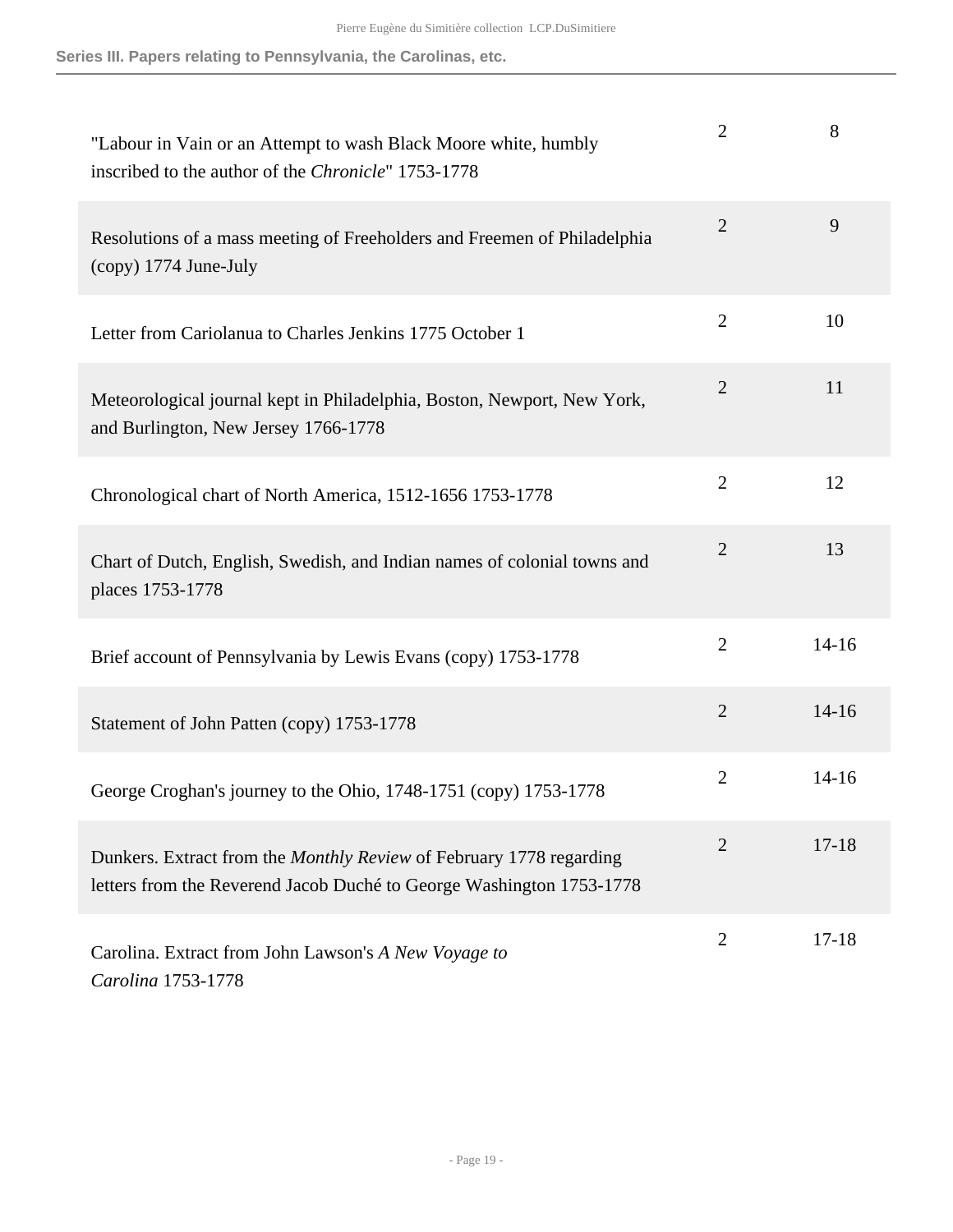| "Labour in Vain or an Attempt to wash Black Moore white, humbly<br>inscribed to the author of the Chronicle" 1753-1778                      | $\overline{2}$ | 8         |
|---------------------------------------------------------------------------------------------------------------------------------------------|----------------|-----------|
| Resolutions of a mass meeting of Freeholders and Freemen of Philadelphia<br>(copy) 1774 June-July                                           | $\overline{2}$ | 9         |
| Letter from Cariolanua to Charles Jenkins 1775 October 1                                                                                    | $\overline{2}$ | 10        |
| Meteorological journal kept in Philadelphia, Boston, Newport, New York,<br>and Burlington, New Jersey 1766-1778                             | $\overline{2}$ | 11        |
| Chronological chart of North America, 1512-1656 1753-1778                                                                                   | $\overline{2}$ | 12        |
| Chart of Dutch, English, Swedish, and Indian names of colonial towns and<br>places 1753-1778                                                | $\overline{2}$ | 13        |
| Brief account of Pennsylvania by Lewis Evans (copy) 1753-1778                                                                               | $\overline{2}$ | $14 - 16$ |
| Statement of John Patten (copy) 1753-1778                                                                                                   | $\overline{2}$ | $14 - 16$ |
| George Croghan's journey to the Ohio, 1748-1751 (copy) 1753-1778                                                                            | $\overline{2}$ | $14 - 16$ |
| Dunkers. Extract from the Monthly Review of February 1778 regarding<br>letters from the Reverend Jacob Duché to George Washington 1753-1778 | $\overline{2}$ | $17 - 18$ |
| Carolina. Extract from John Lawson's A New Voyage to<br>Carolina 1753-1778                                                                  | $\overline{2}$ | $17 - 18$ |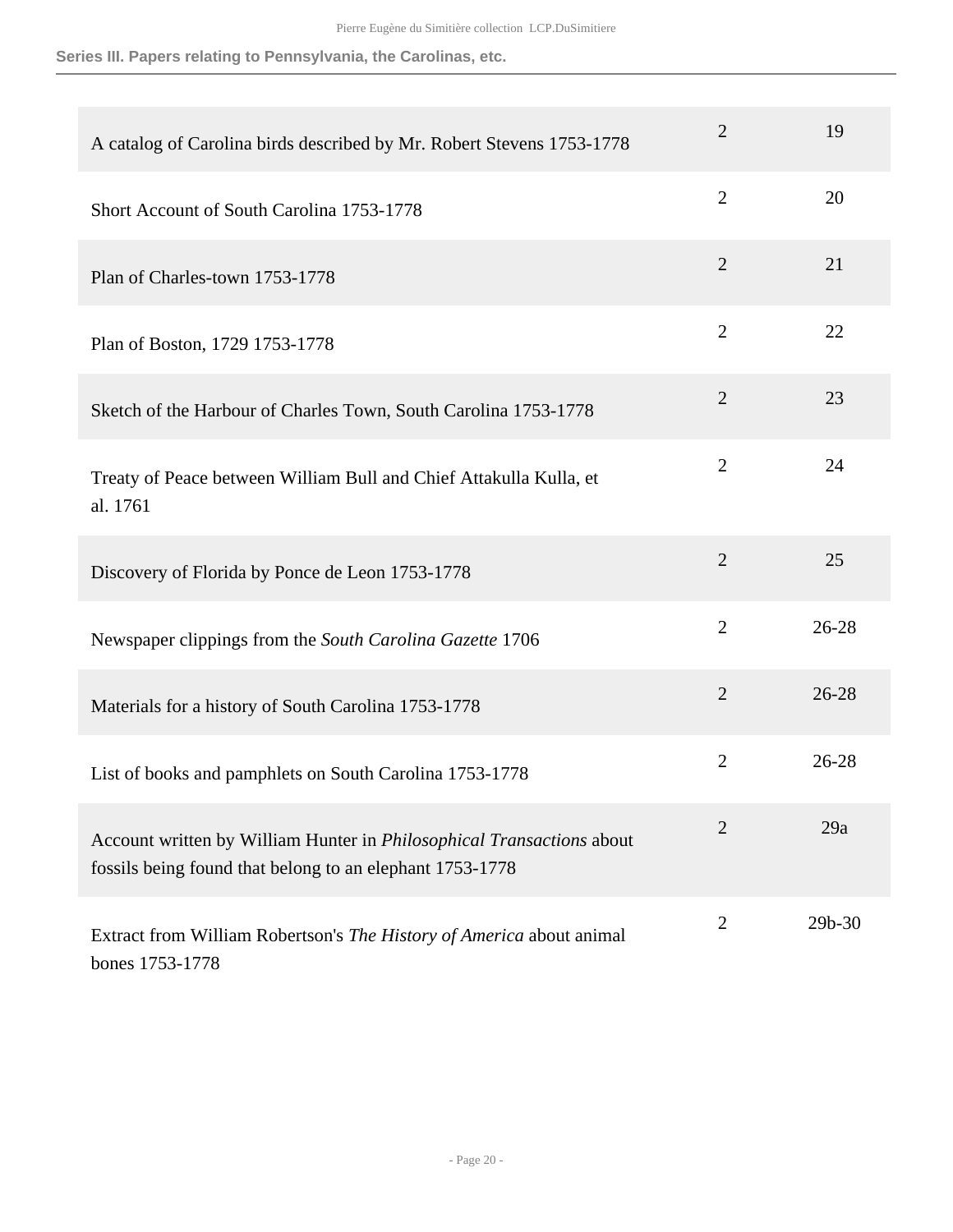**Series III. Papers relating to Pennsylvania, the Carolinas, etc.**

| A catalog of Carolina birds described by Mr. Robert Stevens 1753-1778                                                             | $\overline{2}$ | 19        |
|-----------------------------------------------------------------------------------------------------------------------------------|----------------|-----------|
| Short Account of South Carolina 1753-1778                                                                                         | $\overline{2}$ | 20        |
| Plan of Charles-town 1753-1778                                                                                                    | $\overline{2}$ | 21        |
| Plan of Boston, 1729 1753-1778                                                                                                    | $\overline{2}$ | 22        |
| Sketch of the Harbour of Charles Town, South Carolina 1753-1778                                                                   | $\overline{2}$ | 23        |
| Treaty of Peace between William Bull and Chief Attakulla Kulla, et<br>al. 1761                                                    | $\overline{2}$ | 24        |
| Discovery of Florida by Ponce de Leon 1753-1778                                                                                   | $\overline{2}$ | 25        |
| Newspaper clippings from the South Carolina Gazette 1706                                                                          | $\overline{2}$ | $26 - 28$ |
| Materials for a history of South Carolina 1753-1778                                                                               | $\mathbf{2}$   | $26 - 28$ |
| List of books and pamphlets on South Carolina 1753-1778                                                                           | $\overline{2}$ | $26 - 28$ |
| Account written by William Hunter in Philosophical Transactions about<br>fossils being found that belong to an elephant 1753-1778 | $\overline{2}$ | 29a       |
| Extract from William Robertson's The History of America about animal<br>bones 1753-1778                                           | $\overline{2}$ | 29b-30    |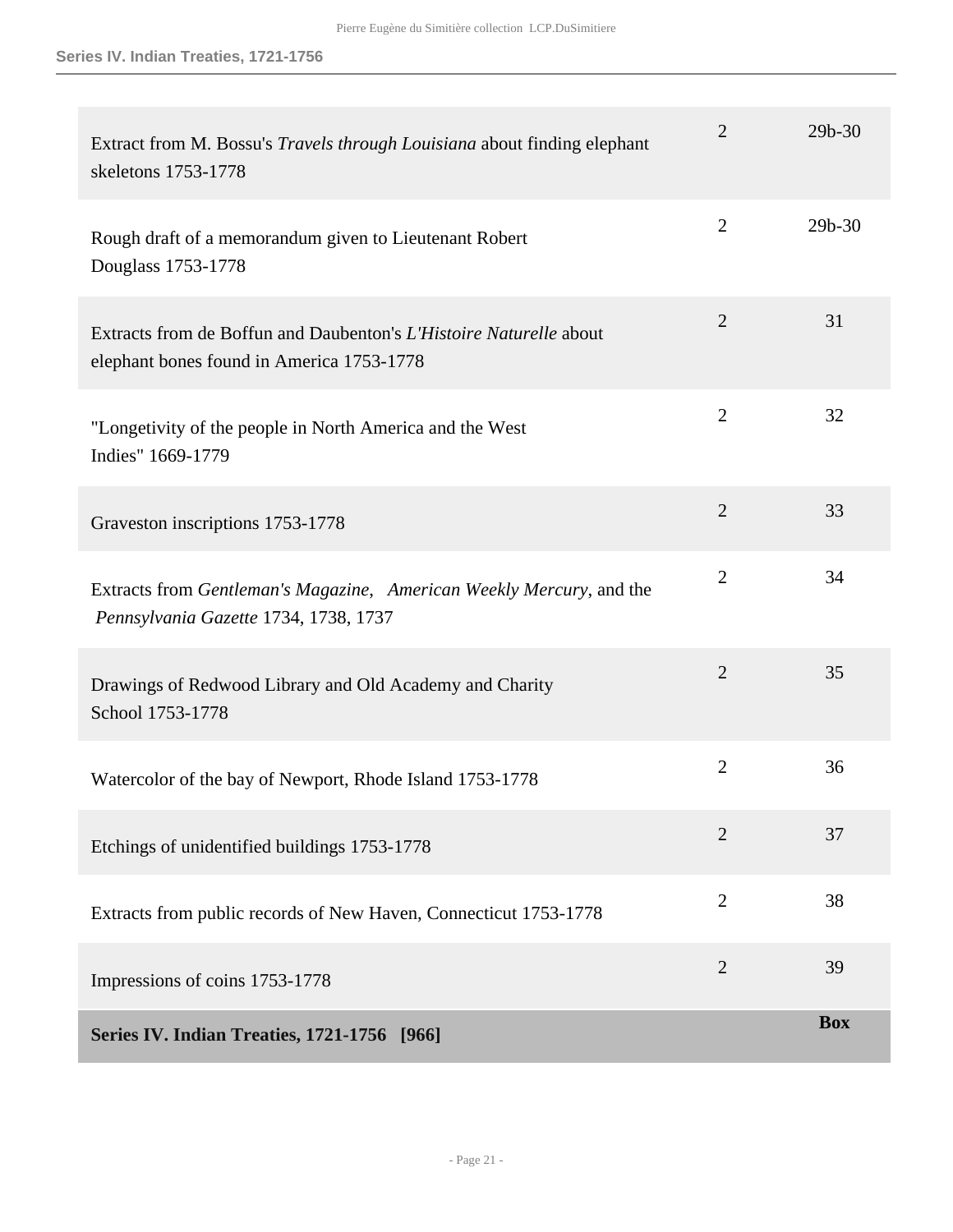<span id="page-20-0"></span>

| Extract from M. Bossu's Travels through Louisiana about finding elephant<br>skeletons 1753-1778                 | $\overline{2}$ | 29b-30     |
|-----------------------------------------------------------------------------------------------------------------|----------------|------------|
| Rough draft of a memorandum given to Lieutenant Robert<br>Douglass 1753-1778                                    | $\overline{2}$ | $29b - 30$ |
| Extracts from de Boffun and Daubenton's L'Histoire Naturelle about<br>elephant bones found in America 1753-1778 | $\overline{2}$ | 31         |
| "Longetivity of the people in North America and the West<br>Indies" 1669-1779                                   | $\overline{2}$ | 32         |
| Graveston inscriptions 1753-1778                                                                                | $\overline{2}$ | 33         |
| Extracts from Gentleman's Magazine, American Weekly Mercury, and the<br>Pennsylvania Gazette 1734, 1738, 1737   | $\overline{2}$ | 34         |
| Drawings of Redwood Library and Old Academy and Charity<br>School 1753-1778                                     | $\overline{2}$ | 35         |
| Watercolor of the bay of Newport, Rhode Island 1753-1778                                                        | $\overline{2}$ | 36         |
| Etchings of unidentified buildings 1753-1778                                                                    | $\overline{2}$ | 37         |
| Extracts from public records of New Haven, Connecticut 1753-1778                                                | $\overline{2}$ | 38         |
| Impressions of coins 1753-1778                                                                                  | $\overline{2}$ | 39         |
| <b>Series IV. Indian Treaties, 1721-1756</b> [966]                                                              |                | <b>Box</b> |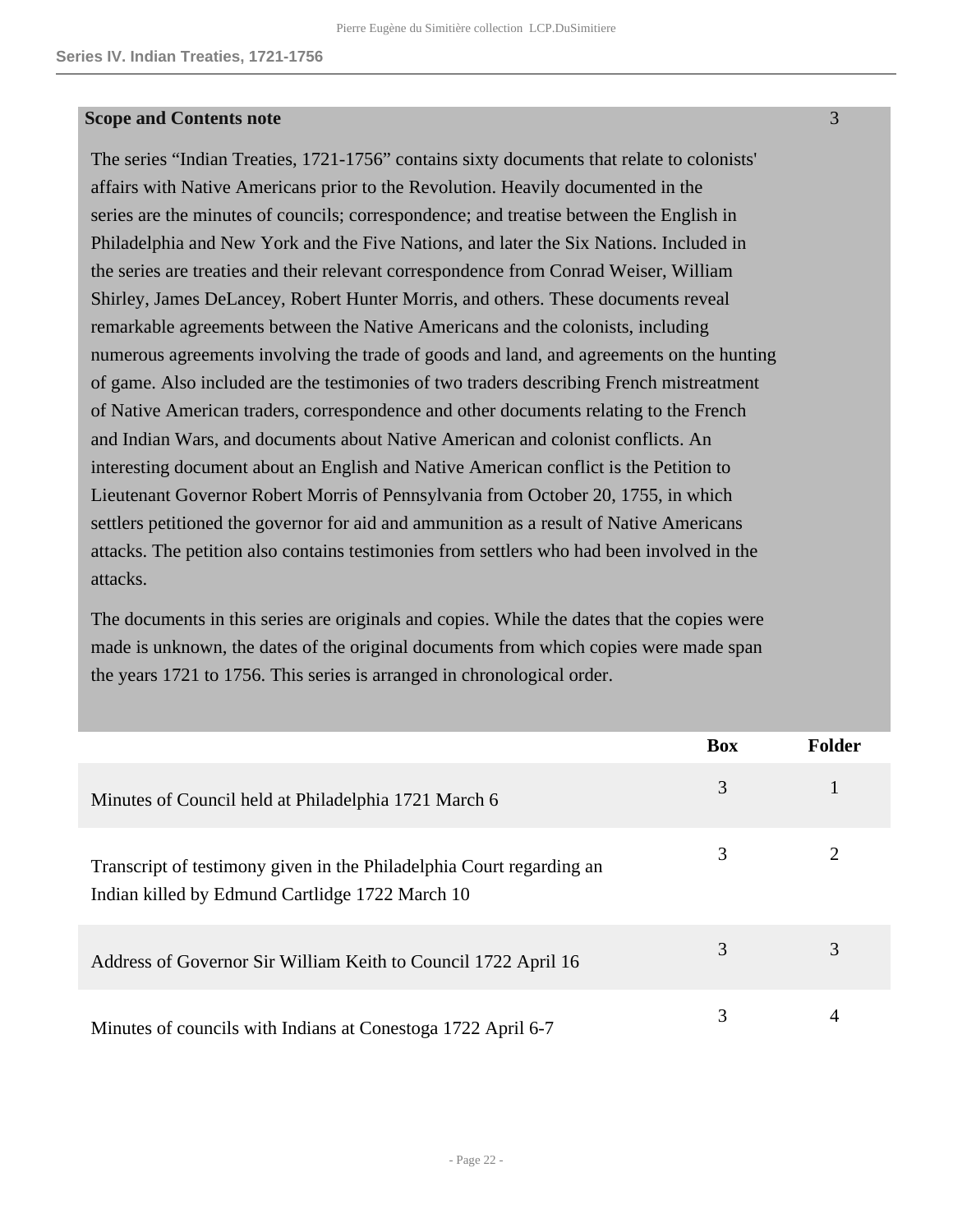#### **Scope and Contents note**

The series "Indian Treaties, 1721-1756" contains sixty documents that relate to colonists' affairs with Native Americans prior to the Revolution. Heavily documented in the series are the minutes of councils; correspondence; and treatise between the English in Philadelphia and New York and the Five Nations, and later the Six Nations. Included in the series are treaties and their relevant correspondence from Conrad Weiser, William Shirley, James DeLancey, Robert Hunter Morris, and others. These documents reveal remarkable agreements between the Native Americans and the colonists, including numerous agreements involving the trade of goods and land, and agreements on the hunting of game. Also included are the testimonies of two traders describing French mistreatment of Native American traders, correspondence and other documents relating to the French and Indian Wars, and documents about Native American and colonist conflicts. An interesting document about an English and Native American conflict is the Petition to Lieutenant Governor Robert Morris of Pennsylvania from October 20, 1755, in which settlers petitioned the governor for aid and ammunition as a result of Native Americans attacks. The petition also contains testimonies from settlers who had been involved in the attacks.

The documents in this series are originals and copies. While the dates that the copies were made is unknown, the dates of the original documents from which copies were made span the years 1721 to 1756. This series is arranged in chronological order.

|                                                                                                                         | <b>Box</b> | <b>Folder</b> |
|-------------------------------------------------------------------------------------------------------------------------|------------|---------------|
| Minutes of Council held at Philadelphia 1721 March 6                                                                    | 3          |               |
| Transcript of testimony given in the Philadelphia Court regarding an<br>Indian killed by Edmund Cartlidge 1722 March 10 | 3          |               |
| Address of Governor Sir William Keith to Council 1722 April 16                                                          | 3          | 3             |
| Minutes of councils with Indians at Conestoga 1722 April 6-7                                                            | 3          |               |

3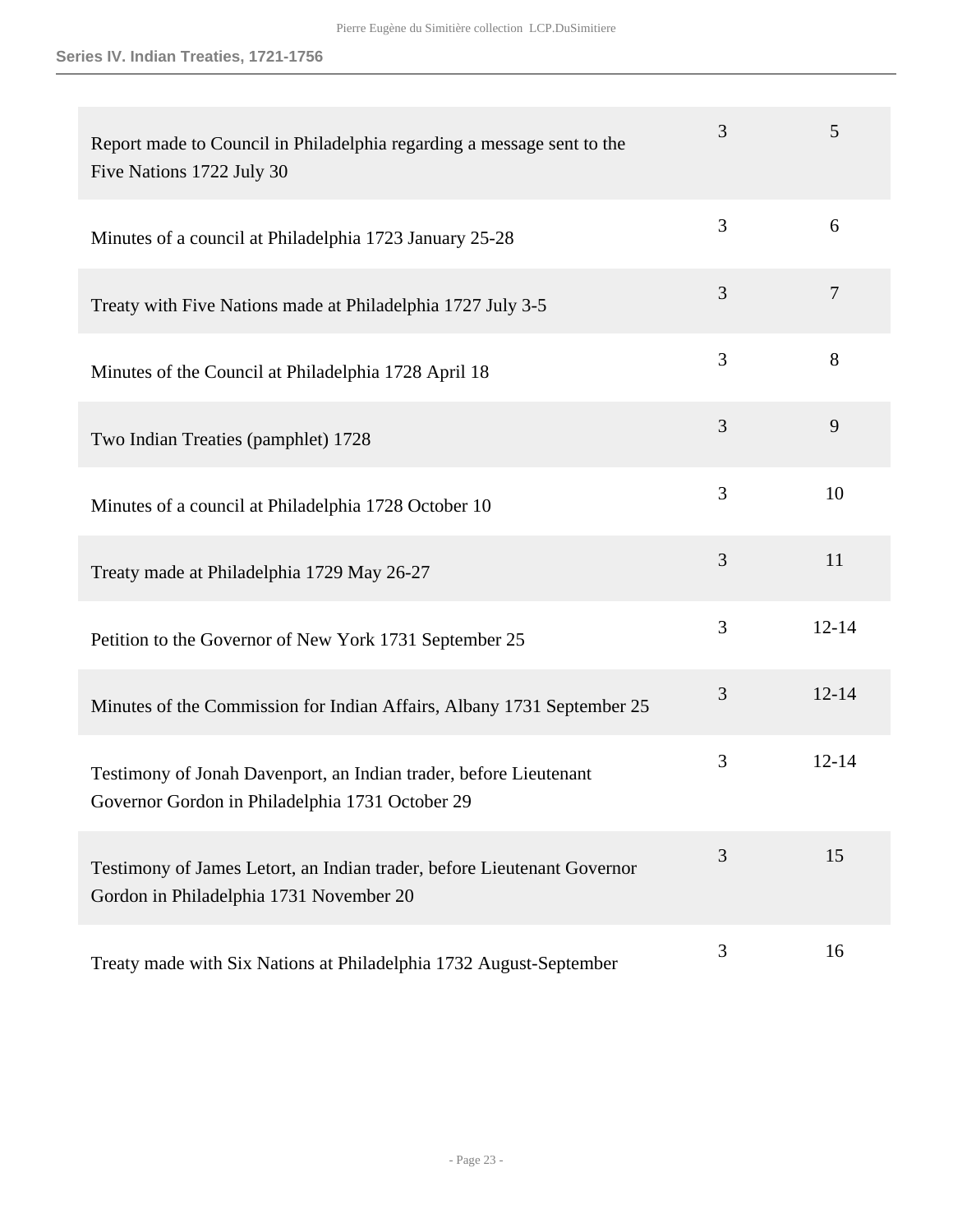| Report made to Council in Philadelphia regarding a message sent to the<br>Five Nations 1722 July 30                  | 3 | 5              |
|----------------------------------------------------------------------------------------------------------------------|---|----------------|
| Minutes of a council at Philadelphia 1723 January 25-28                                                              | 3 | 6              |
| Treaty with Five Nations made at Philadelphia 1727 July 3-5                                                          | 3 | $\overline{7}$ |
| Minutes of the Council at Philadelphia 1728 April 18                                                                 | 3 | 8              |
| Two Indian Treaties (pamphlet) 1728                                                                                  | 3 | 9              |
| Minutes of a council at Philadelphia 1728 October 10                                                                 | 3 | 10             |
| Treaty made at Philadelphia 1729 May 26-27                                                                           | 3 | 11             |
| Petition to the Governor of New York 1731 September 25                                                               | 3 | $12 - 14$      |
| Minutes of the Commission for Indian Affairs, Albany 1731 September 25                                               | 3 | $12 - 14$      |
| Testimony of Jonah Davenport, an Indian trader, before Lieutenant<br>Governor Gordon in Philadelphia 1731 October 29 | 3 | $12 - 14$      |
| Testimony of James Letort, an Indian trader, before Lieutenant Governor<br>Gordon in Philadelphia 1731 November 20   | 3 | 15             |
| Treaty made with Six Nations at Philadelphia 1732 August-September                                                   | 3 | 16             |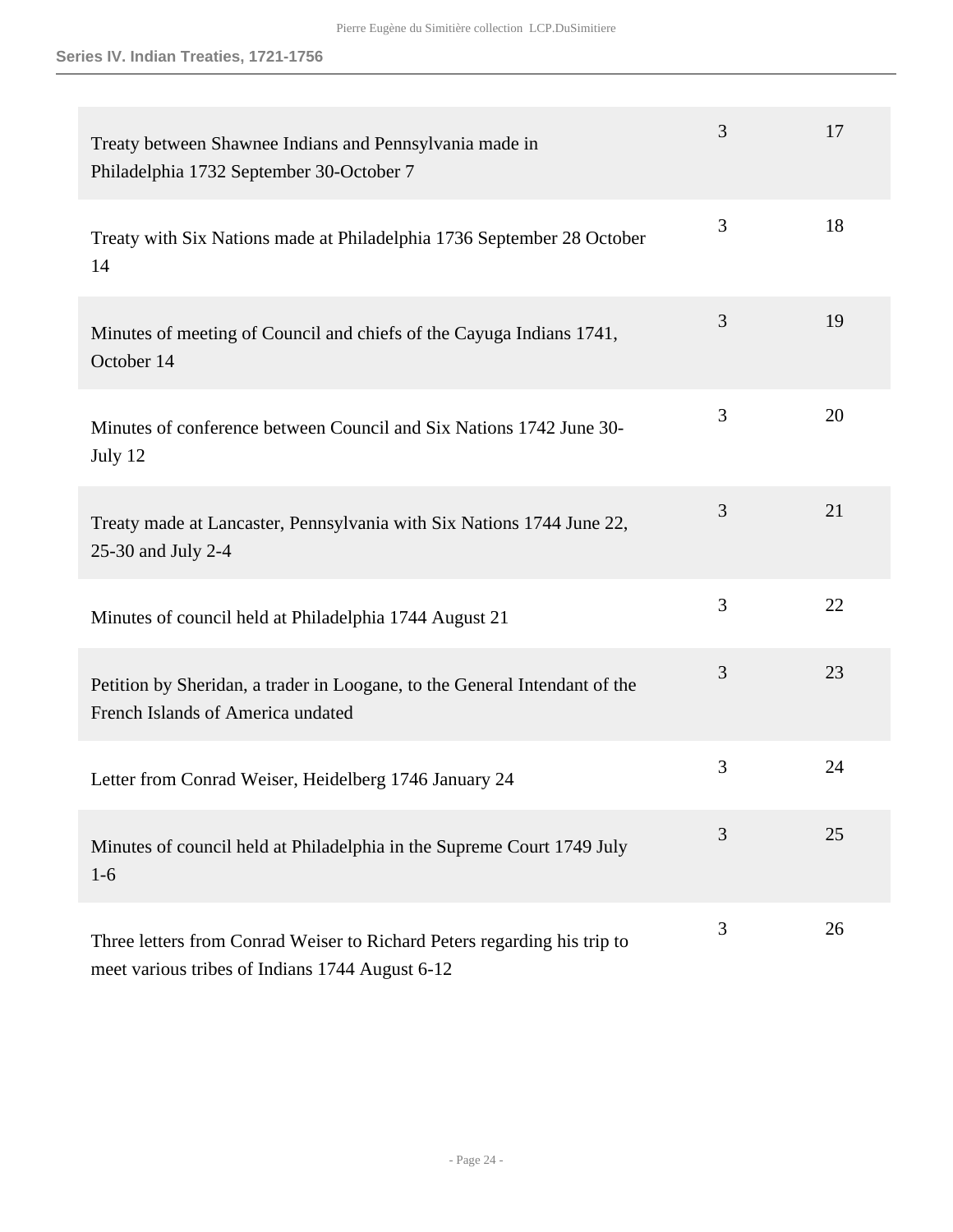| Treaty between Shawnee Indians and Pennsylvania made in<br>Philadelphia 1732 September 30-October 7                         | 3 | 17 |
|-----------------------------------------------------------------------------------------------------------------------------|---|----|
| Treaty with Six Nations made at Philadelphia 1736 September 28 October<br>14                                                | 3 | 18 |
| Minutes of meeting of Council and chiefs of the Cayuga Indians 1741,<br>October 14                                          | 3 | 19 |
| Minutes of conference between Council and Six Nations 1742 June 30-<br>July 12                                              | 3 | 20 |
| Treaty made at Lancaster, Pennsylvania with Six Nations 1744 June 22,<br>25-30 and July 2-4                                 | 3 | 21 |
| Minutes of council held at Philadelphia 1744 August 21                                                                      | 3 | 22 |
| Petition by Sheridan, a trader in Loogane, to the General Intendant of the<br>French Islands of America undated             | 3 | 23 |
| Letter from Conrad Weiser, Heidelberg 1746 January 24                                                                       | 3 | 24 |
| Minutes of council held at Philadelphia in the Supreme Court 1749 July<br>$1-6$                                             | 3 | 25 |
| Three letters from Conrad Weiser to Richard Peters regarding his trip to<br>meet various tribes of Indians 1744 August 6-12 | 3 | 26 |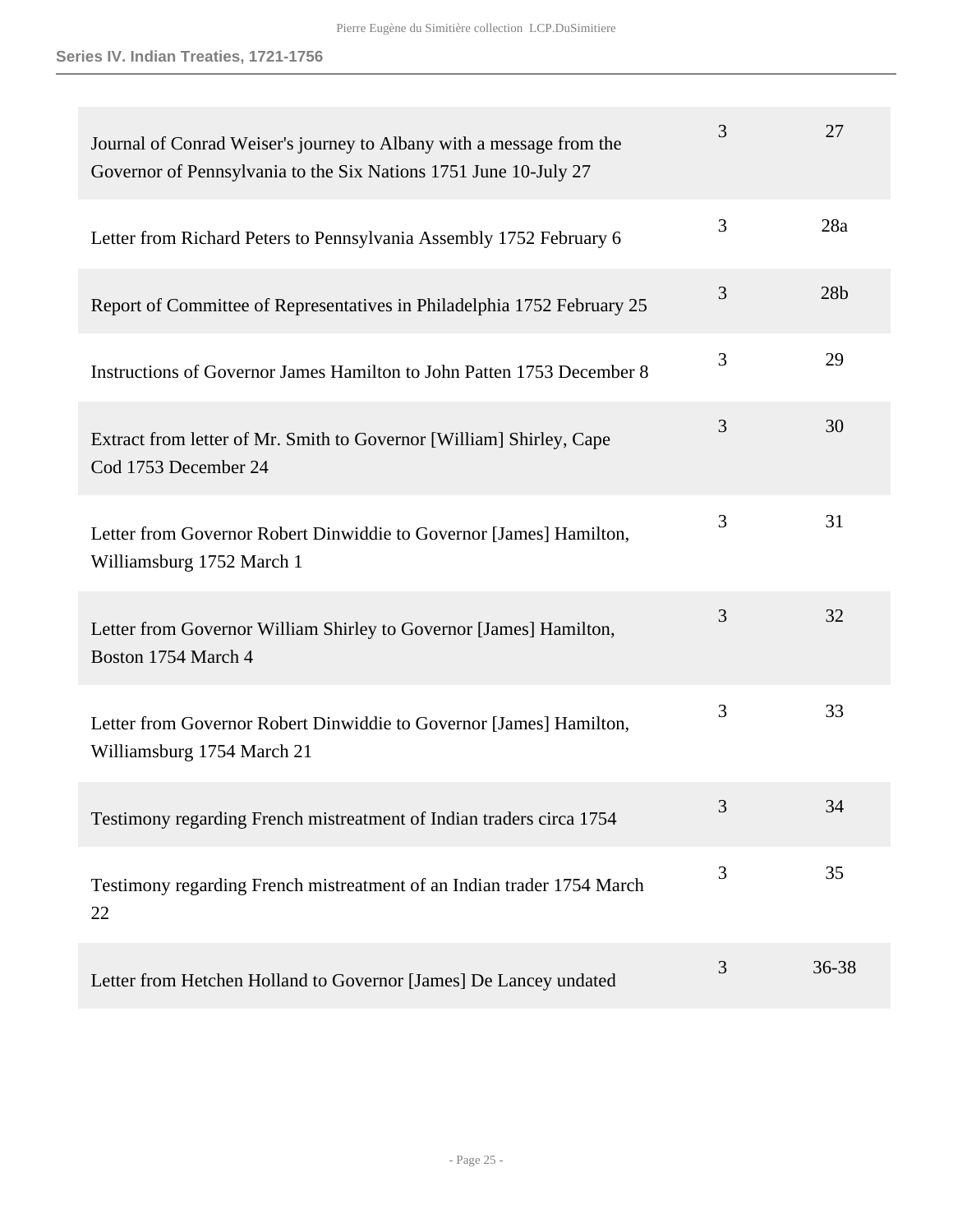| Journal of Conrad Weiser's journey to Albany with a message from the<br>Governor of Pennsylvania to the Six Nations 1751 June 10-July 27 | 3 | 27              |
|------------------------------------------------------------------------------------------------------------------------------------------|---|-----------------|
| Letter from Richard Peters to Pennsylvania Assembly 1752 February 6                                                                      | 3 | 28a             |
| Report of Committee of Representatives in Philadelphia 1752 February 25                                                                  | 3 | 28 <sub>b</sub> |
| Instructions of Governor James Hamilton to John Patten 1753 December 8                                                                   | 3 | 29              |
| Extract from letter of Mr. Smith to Governor [William] Shirley, Cape<br>Cod 1753 December 24                                             | 3 | 30              |
| Letter from Governor Robert Dinwiddie to Governor [James] Hamilton,<br>Williamsburg 1752 March 1                                         | 3 | 31              |
| Letter from Governor William Shirley to Governor [James] Hamilton,<br>Boston 1754 March 4                                                | 3 | 32              |
| Letter from Governor Robert Dinwiddie to Governor [James] Hamilton,<br>Williamsburg 1754 March 21                                        | 3 | 33              |
| Testimony regarding French mistreatment of Indian traders circa 1754                                                                     | 3 | 34              |
| Testimony regarding French mistreatment of an Indian trader 1754 March<br>22                                                             | 3 | 35              |
| Letter from Hetchen Holland to Governor [James] De Lancey undated                                                                        | 3 | 36-38           |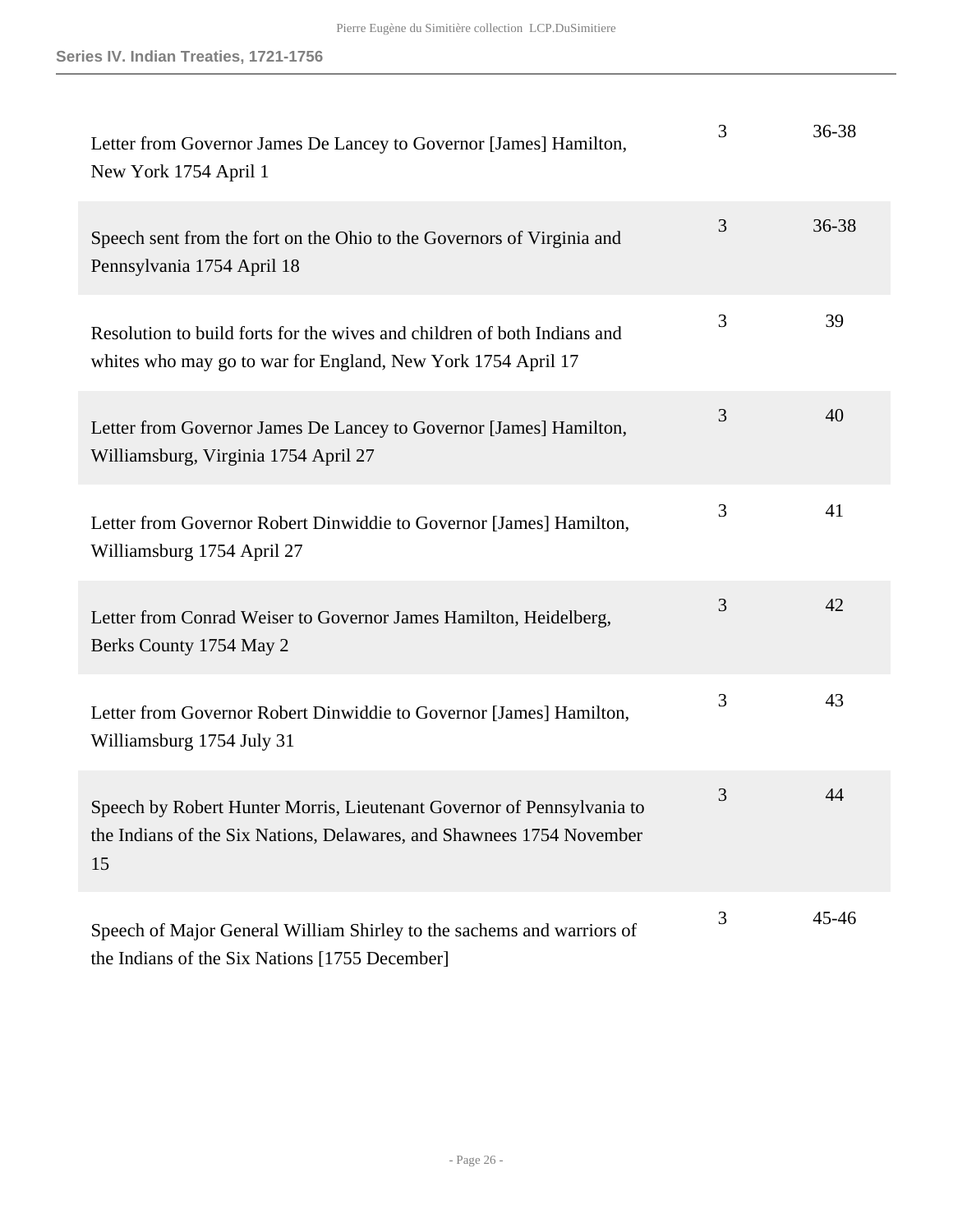| Letter from Governor James De Lancey to Governor [James] Hamilton,<br>New York 1754 April 1                                                           | 3 | 36-38 |
|-------------------------------------------------------------------------------------------------------------------------------------------------------|---|-------|
| Speech sent from the fort on the Ohio to the Governors of Virginia and<br>Pennsylvania 1754 April 18                                                  | 3 | 36-38 |
| Resolution to build forts for the wives and children of both Indians and<br>whites who may go to war for England, New York 1754 April 17              | 3 | 39    |
| Letter from Governor James De Lancey to Governor [James] Hamilton,<br>Williamsburg, Virginia 1754 April 27                                            | 3 | 40    |
| Letter from Governor Robert Dinwiddie to Governor [James] Hamilton,<br>Williamsburg 1754 April 27                                                     | 3 | 41    |
| Letter from Conrad Weiser to Governor James Hamilton, Heidelberg,<br>Berks County 1754 May 2                                                          | 3 | 42    |
| Letter from Governor Robert Dinwiddie to Governor [James] Hamilton,<br>Williamsburg 1754 July 31                                                      | 3 | 43    |
| Speech by Robert Hunter Morris, Lieutenant Governor of Pennsylvania to<br>the Indians of the Six Nations, Delawares, and Shawnees 1754 November<br>15 | 3 | 44    |
| Speech of Major General William Shirley to the sachems and warriors of<br>the Indians of the Six Nations [1755 December]                              | 3 | 45-46 |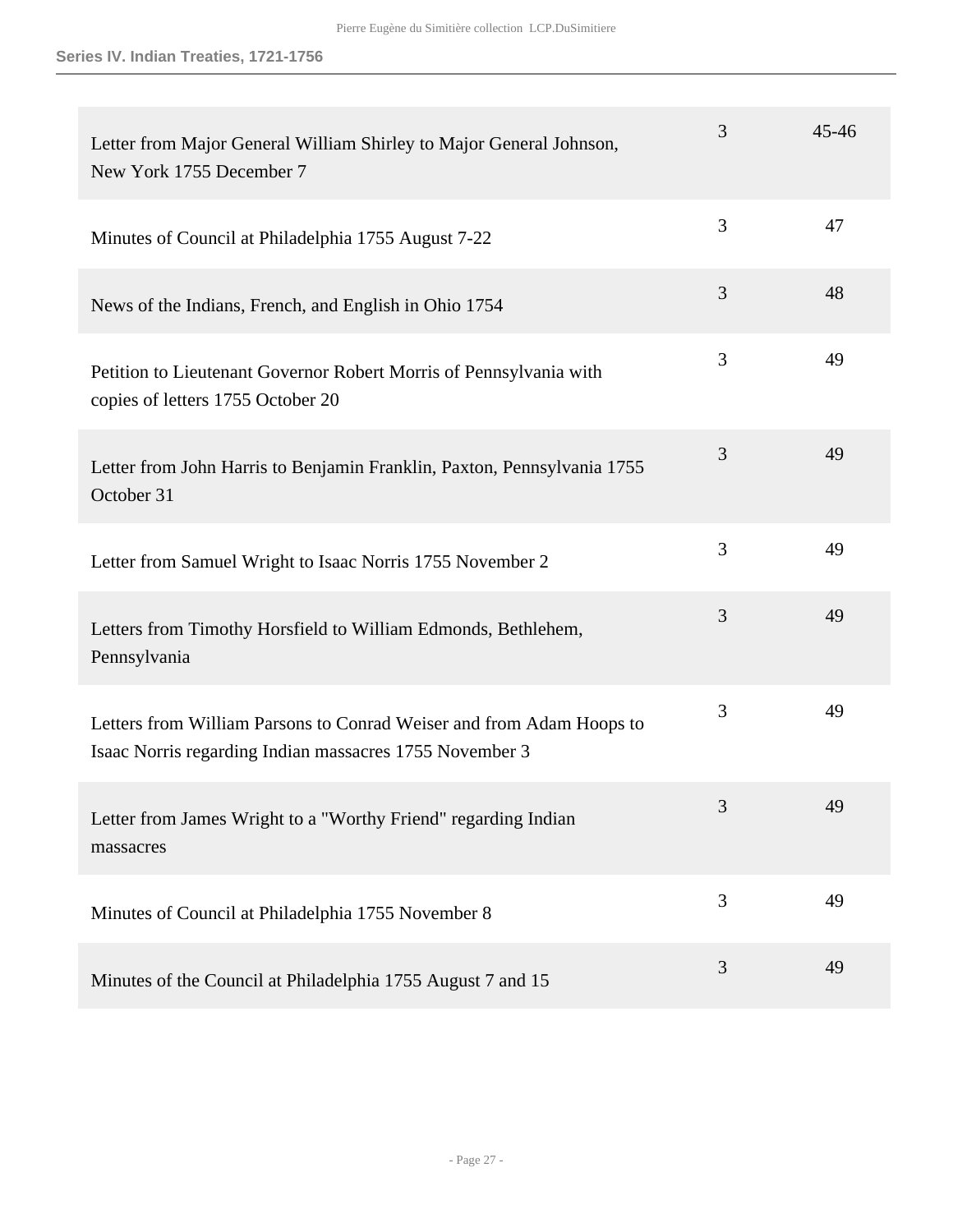| Letter from Major General William Shirley to Major General Johnson,<br>New York 1755 December 7                                 | 3 | $45 - 46$ |
|---------------------------------------------------------------------------------------------------------------------------------|---|-----------|
| Minutes of Council at Philadelphia 1755 August 7-22                                                                             | 3 | 47        |
| News of the Indians, French, and English in Ohio 1754                                                                           | 3 | 48        |
| Petition to Lieutenant Governor Robert Morris of Pennsylvania with<br>copies of letters 1755 October 20                         | 3 | 49        |
| Letter from John Harris to Benjamin Franklin, Paxton, Pennsylvania 1755<br>October 31                                           | 3 | 49        |
| Letter from Samuel Wright to Isaac Norris 1755 November 2                                                                       | 3 | 49        |
| Letters from Timothy Horsfield to William Edmonds, Bethlehem,<br>Pennsylvania                                                   | 3 | 49        |
| Letters from William Parsons to Conrad Weiser and from Adam Hoops to<br>Isaac Norris regarding Indian massacres 1755 November 3 | 3 | 49        |
| Letter from James Wright to a "Worthy Friend" regarding Indian<br>massacres                                                     | 3 | 49        |
| Minutes of Council at Philadelphia 1755 November 8                                                                              | 3 | 49        |
| Minutes of the Council at Philadelphia 1755 August 7 and 15                                                                     | 3 | 49        |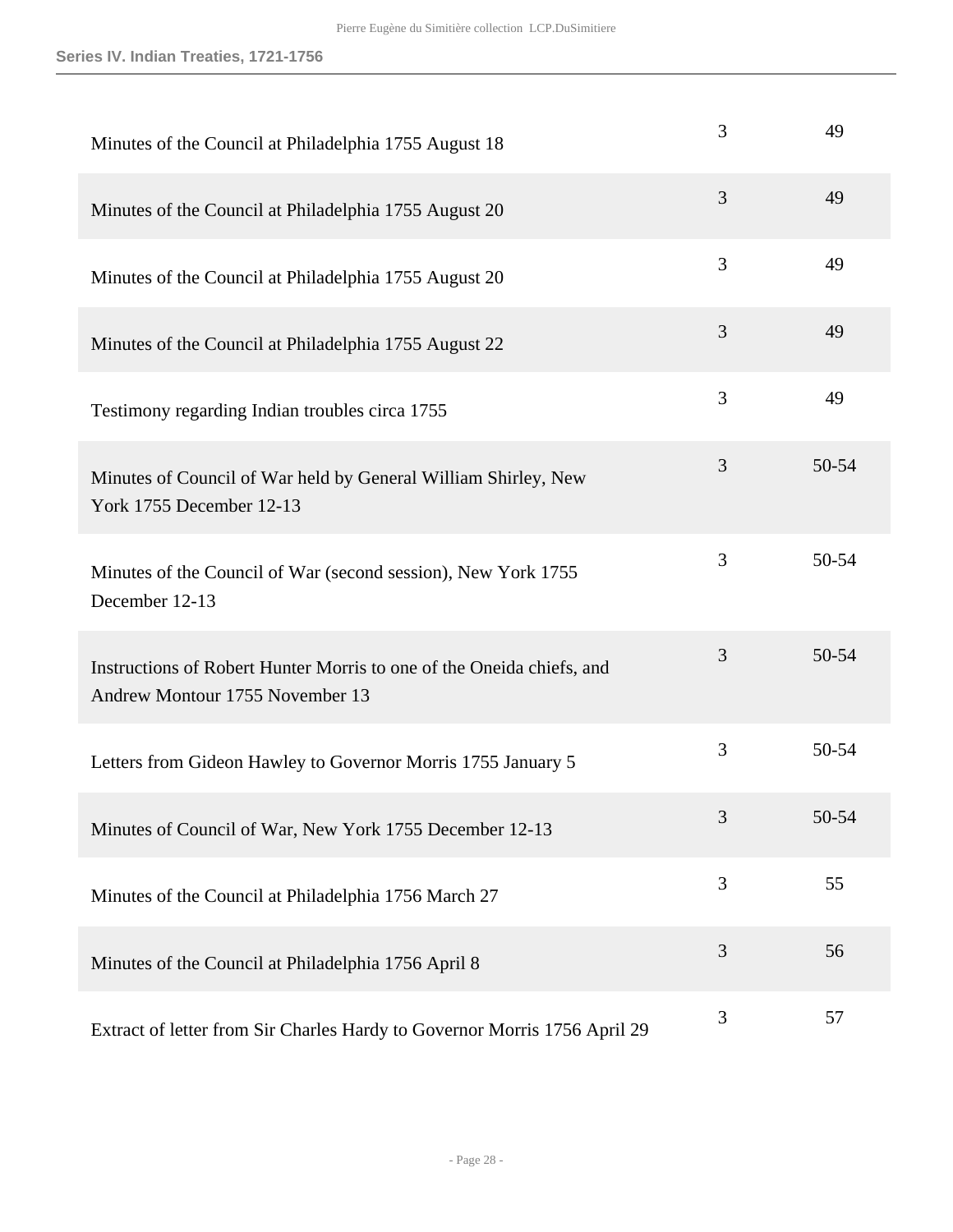| Minutes of the Council at Philadelphia 1755 August 18                                                    | 3 | 49    |
|----------------------------------------------------------------------------------------------------------|---|-------|
| Minutes of the Council at Philadelphia 1755 August 20                                                    | 3 | 49    |
| Minutes of the Council at Philadelphia 1755 August 20                                                    | 3 | 49    |
| Minutes of the Council at Philadelphia 1755 August 22                                                    | 3 | 49    |
| Testimony regarding Indian troubles circa 1755                                                           | 3 | 49    |
| Minutes of Council of War held by General William Shirley, New<br>York 1755 December 12-13               | 3 | 50-54 |
| Minutes of the Council of War (second session), New York 1755<br>December 12-13                          | 3 | 50-54 |
| Instructions of Robert Hunter Morris to one of the Oneida chiefs, and<br>Andrew Montour 1755 November 13 | 3 | 50-54 |
| Letters from Gideon Hawley to Governor Morris 1755 January 5                                             | 3 | 50-54 |
| Minutes of Council of War, New York 1755 December 12-13                                                  | 3 | 50-54 |
| Minutes of the Council at Philadelphia 1756 March 27                                                     | 3 | 55    |
| Minutes of the Council at Philadelphia 1756 April 8                                                      | 3 | 56    |
| Extract of letter from Sir Charles Hardy to Governor Morris 1756 April 29                                | 3 | 57    |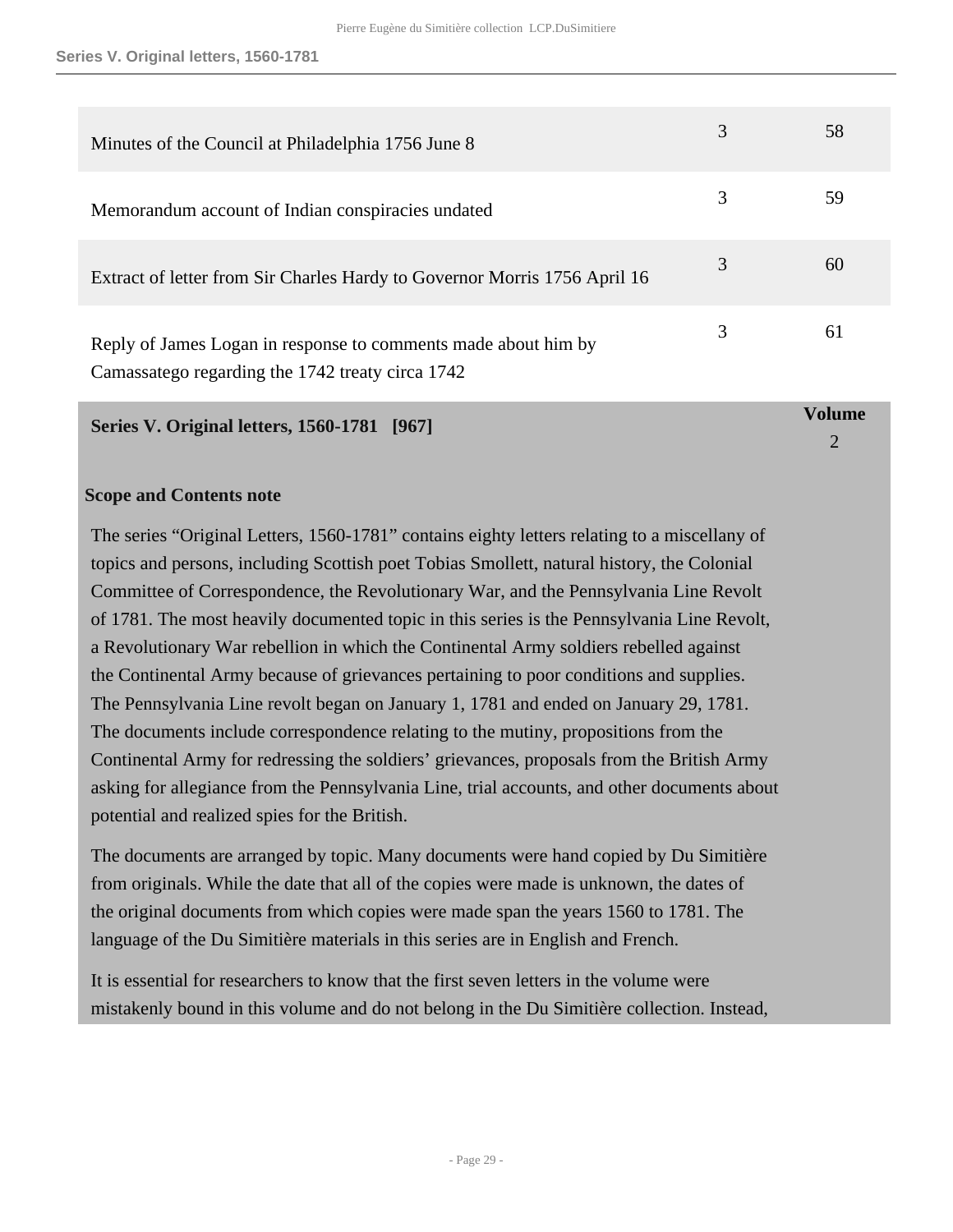| Minutes of the Council at Philadelphia 1756 June 8                                                                 |   | 58 |
|--------------------------------------------------------------------------------------------------------------------|---|----|
| Memorandum account of Indian conspiracies undated                                                                  | 3 | 59 |
| Extract of letter from Sir Charles Hardy to Governor Morris 1756 April 16                                          | 3 | 60 |
| Reply of James Logan in response to comments made about him by<br>Camassatego regarding the 1742 treaty circa 1742 | 3 | 61 |

**Volume**  $\mathcal{D}$ 

#### <span id="page-28-0"></span>**Series V. Original letters, 1560-1781 [967]**

#### **Scope and Contents note**

The series "Original Letters, 1560-1781" contains eighty letters relating to a miscellany of topics and persons, including Scottish poet Tobias Smollett, natural history, the Colonial Committee of Correspondence, the Revolutionary War, and the Pennsylvania Line Revolt of 1781. The most heavily documented topic in this series is the Pennsylvania Line Revolt, a Revolutionary War rebellion in which the Continental Army soldiers rebelled against the Continental Army because of grievances pertaining to poor conditions and supplies. The Pennsylvania Line revolt began on January 1, 1781 and ended on January 29, 1781. The documents include correspondence relating to the mutiny, propositions from the Continental Army for redressing the soldiers' grievances, proposals from the British Army asking for allegiance from the Pennsylvania Line, trial accounts, and other documents about potential and realized spies for the British.

The documents are arranged by topic. Many documents were hand copied by Du Simitière from originals. While the date that all of the copies were made is unknown, the dates of the original documents from which copies were made span the years 1560 to 1781. The language of the Du Simitière materials in this series are in English and French.

It is essential for researchers to know that the first seven letters in the volume were mistakenly bound in this volume and do not belong in the Du Simitière collection. Instead,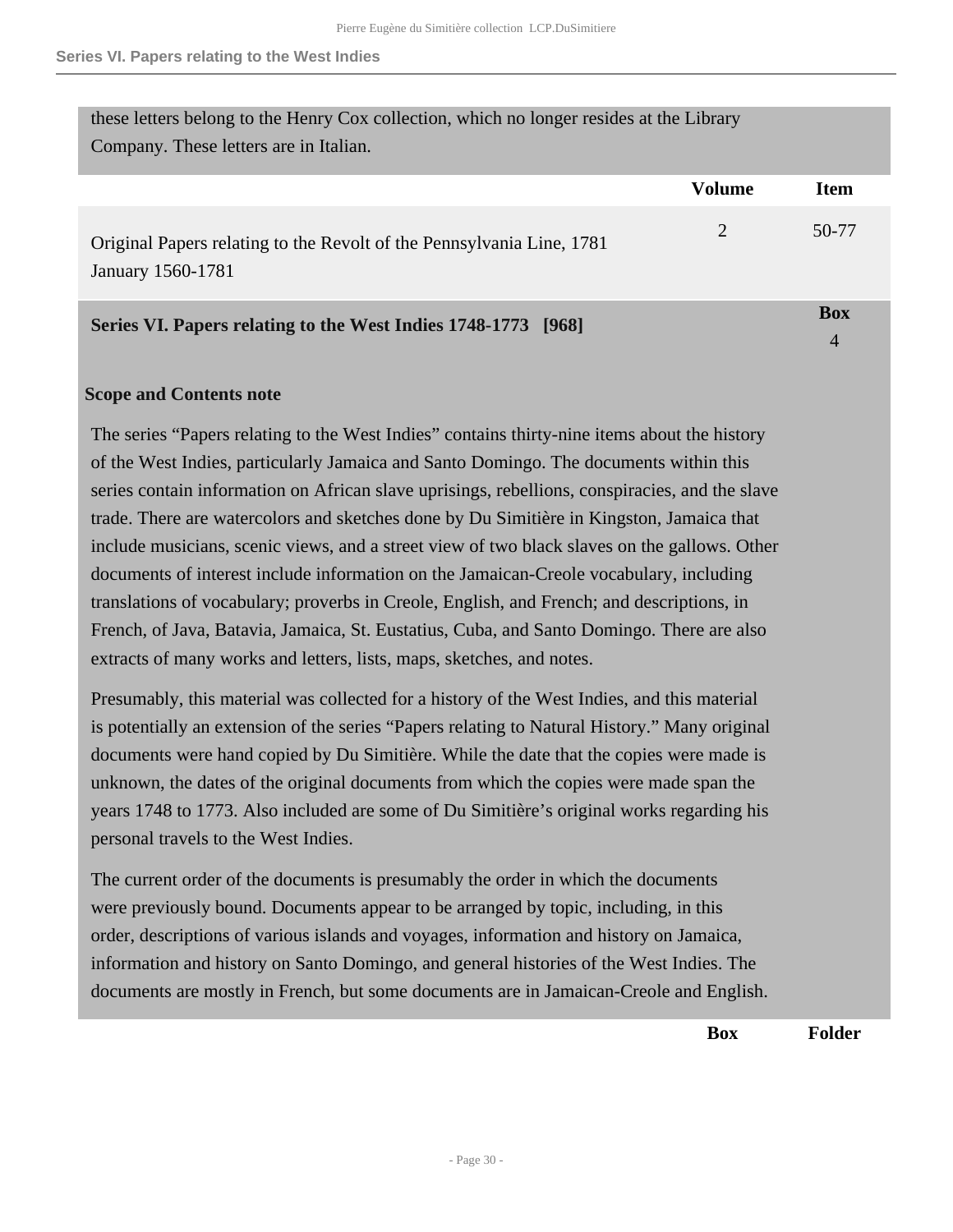these letters belong to the Henry Cox collection, which no longer resides at the Library Company. These letters are in Italian.

|                                                                                            | <b>Volume</b> | Item  |
|--------------------------------------------------------------------------------------------|---------------|-------|
| Original Papers relating to the Revolt of the Pennsylvania Line, 1781<br>January 1560-1781 | 2             | 50-77 |
| Series VI. Papers relating to the West Indies 1748-1773 [968]                              |               | Box   |

#### <span id="page-29-0"></span>**Scope and Contents note**

The series "Papers relating to the West Indies" contains thirty-nine items about the history of the West Indies, particularly Jamaica and Santo Domingo. The documents within this series contain information on African slave uprisings, rebellions, conspiracies, and the slave trade. There are watercolors and sketches done by Du Simitière in Kingston, Jamaica that include musicians, scenic views, and a street view of two black slaves on the gallows. Other documents of interest include information on the Jamaican-Creole vocabulary, including translations of vocabulary; proverbs in Creole, English, and French; and descriptions, in French, of Java, Batavia, Jamaica, St. Eustatius, Cuba, and Santo Domingo. There are also extracts of many works and letters, lists, maps, sketches, and notes.

Presumably, this material was collected for a history of the West Indies, and this material is potentially an extension of the series "Papers relating to Natural History." Many original documents were hand copied by Du Simitière. While the date that the copies were made is unknown, the dates of the original documents from which the copies were made span the years 1748 to 1773. Also included are some of Du Simitière's original works regarding his personal travels to the West Indies.

The current order of the documents is presumably the order in which the documents were previously bound. Documents appear to be arranged by topic, including, in this order, descriptions of various islands and voyages, information and history on Jamaica, information and history on Santo Domingo, and general histories of the West Indies. The documents are mostly in French, but some documents are in Jamaican-Creole and English.

**Box Folder**

4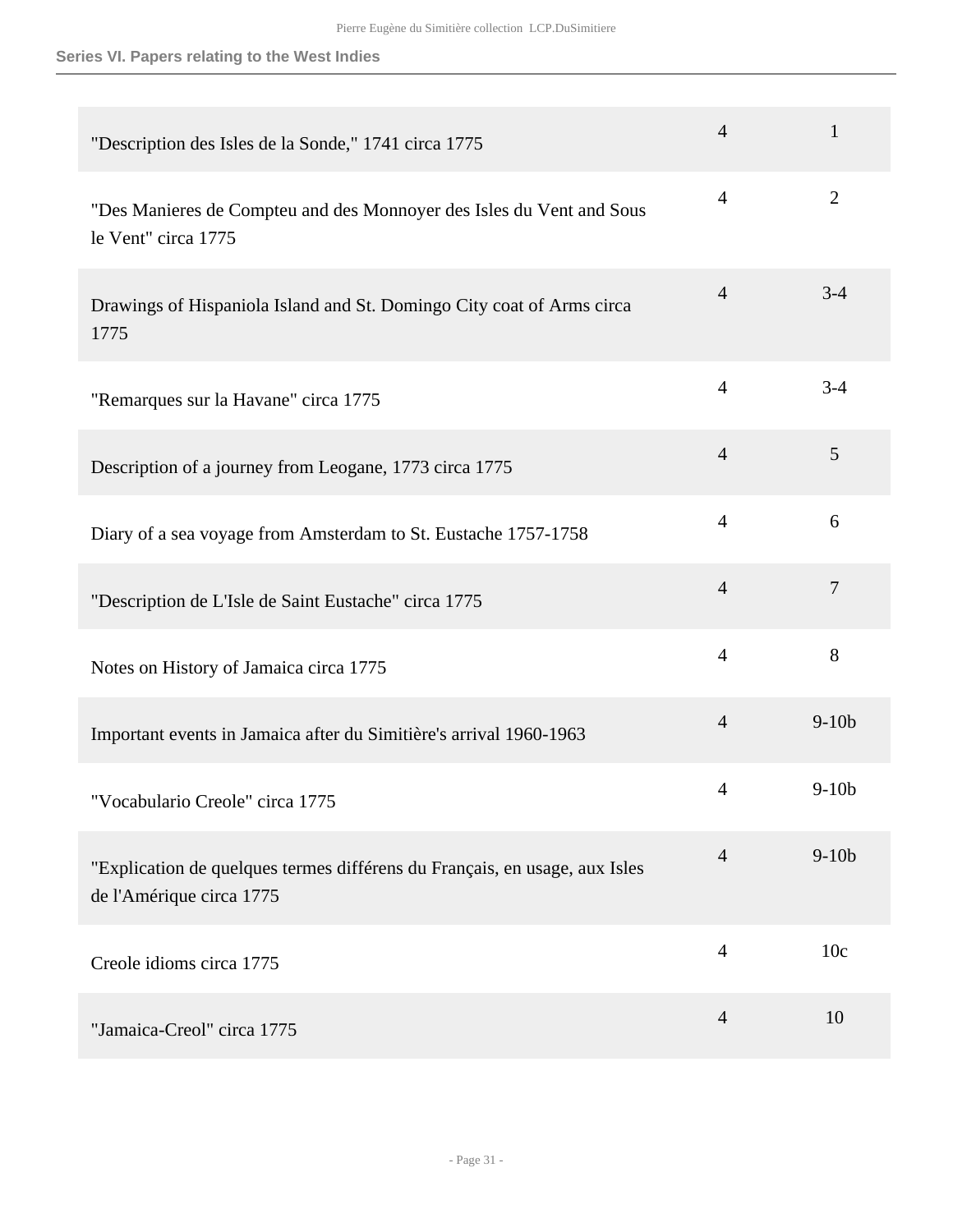## **Series VI. Papers relating to the West Indies**

| "Description des Isles de la Sonde," 1741 circa 1775                                                   | $\overline{4}$ | $\mathbf{1}$   |
|--------------------------------------------------------------------------------------------------------|----------------|----------------|
| "Des Manieres de Compteu and des Monnoyer des Isles du Vent and Sous<br>le Vent" circa 1775            | $\overline{4}$ | $\overline{2}$ |
| Drawings of Hispaniola Island and St. Domingo City coat of Arms circa<br>1775                          | $\overline{4}$ | $3 - 4$        |
| "Remarques sur la Havane" circa 1775                                                                   | $\overline{4}$ | $3 - 4$        |
| Description of a journey from Leogane, 1773 circa 1775                                                 | $\overline{4}$ | 5              |
| Diary of a sea voyage from Amsterdam to St. Eustache 1757-1758                                         | $\overline{4}$ | 6              |
| "Description de L'Isle de Saint Eustache" circa 1775                                                   | $\overline{4}$ | $\overline{7}$ |
| Notes on History of Jamaica circa 1775                                                                 | $\overline{4}$ | 8              |
| Important events in Jamaica after du Simitière's arrival 1960-1963                                     | $\overline{4}$ | $9-10b$        |
| "Vocabulario Creole" circa 1775                                                                        | $\overline{4}$ | $9-10b$        |
| "Explication de quelques termes différens du Français, en usage, aux Isles<br>de l'Amérique circa 1775 | $\overline{4}$ | $9-10b$        |
| Creole idioms circa 1775                                                                               | $\overline{4}$ | 10c            |
| "Jamaica-Creol" circa 1775                                                                             | $\overline{4}$ | 10             |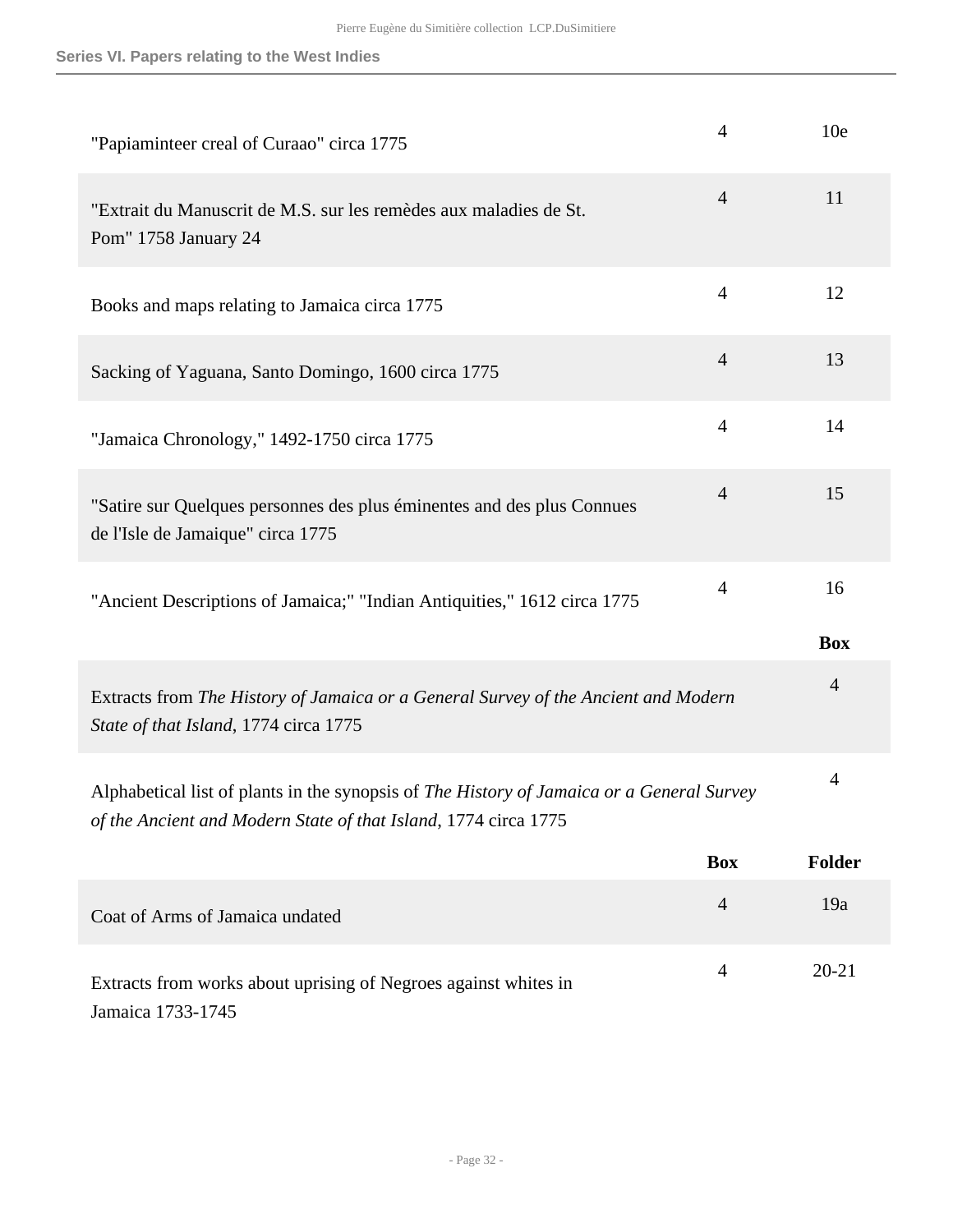| "Papiaminteer creal of Curaao" circa 1775                                                                                                                    | $\overline{4}$ | 10 <sub>e</sub>  |
|--------------------------------------------------------------------------------------------------------------------------------------------------------------|----------------|------------------|
| "Extrait du Manuscrit de M.S. sur les remèdes aux maladies de St.<br>Pom" 1758 January 24                                                                    | $\overline{4}$ | 11               |
| Books and maps relating to Jamaica circa 1775                                                                                                                | $\overline{4}$ | 12               |
| Sacking of Yaguana, Santo Domingo, 1600 circa 1775                                                                                                           | $\overline{4}$ | 13               |
| "Jamaica Chronology," 1492-1750 circa 1775                                                                                                                   | $\overline{4}$ | 14               |
| "Satire sur Quelques personnes des plus éminentes and des plus Connues<br>de l'Isle de Jamaique" circa 1775                                                  | $\overline{4}$ | 15               |
| "Ancient Descriptions of Jamaica;" "Indian Antiquities," 1612 circa 1775                                                                                     | $\overline{4}$ | 16<br><b>Box</b> |
| Extracts from The History of Jamaica or a General Survey of the Ancient and Modern<br>State of that Island, 1774 circa 1775                                  |                | $\overline{4}$   |
| Alphabetical list of plants in the synopsis of The History of Jamaica or a General Survey<br>of the Ancient and Modern State of that Island, 1774 circa 1775 |                | 4                |
|                                                                                                                                                              | <b>Box</b>     | Folder           |
| Coat of Arms of Jamaica undated                                                                                                                              | $\overline{4}$ | 19a              |
| Extracts from works about uprising of Negroes against whites in<br>Jamaica 1733-1745                                                                         | $\overline{4}$ | $20 - 21$        |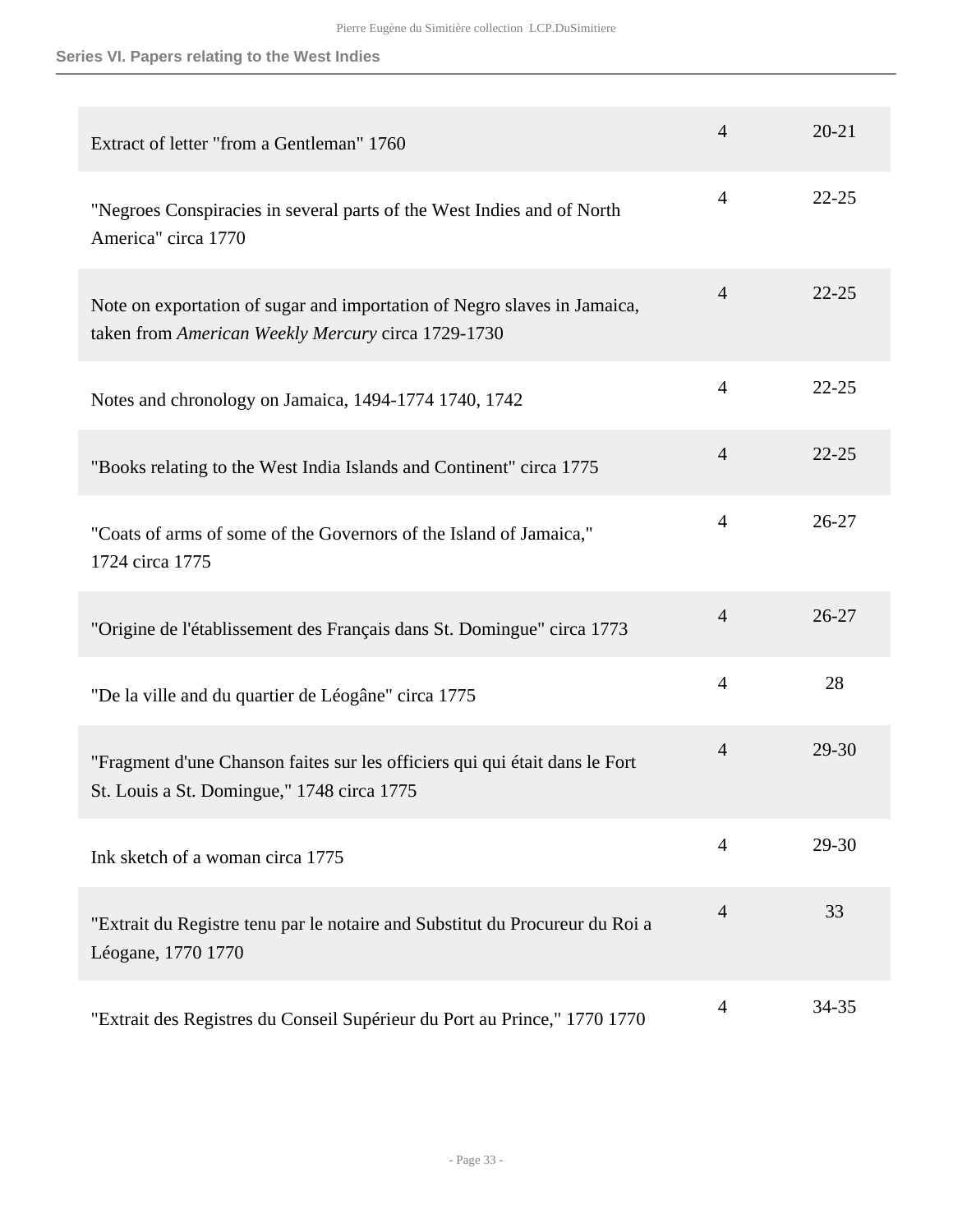## **Series VI. Papers relating to the West Indies**

| Extract of letter "from a Gentleman" 1760                                                                                      | $\overline{4}$ | $20 - 21$ |
|--------------------------------------------------------------------------------------------------------------------------------|----------------|-----------|
| "Negroes Conspiracies in several parts of the West Indies and of North<br>America" circa 1770                                  | $\overline{4}$ | $22 - 25$ |
| Note on exportation of sugar and importation of Negro slaves in Jamaica,<br>taken from American Weekly Mercury circa 1729-1730 | $\overline{4}$ | $22 - 25$ |
| Notes and chronology on Jamaica, 1494-1774 1740, 1742                                                                          | $\overline{4}$ | $22 - 25$ |
| "Books relating to the West India Islands and Continent" circa 1775                                                            | $\overline{4}$ | $22 - 25$ |
| "Coats of arms of some of the Governors of the Island of Jamaica,"<br>1724 circa 1775                                          | $\overline{4}$ | $26 - 27$ |
| "Origine de l'établissement des Français dans St. Domingue" circa 1773                                                         | $\overline{4}$ | $26 - 27$ |
| "De la ville and du quartier de Léogâne" circa 1775                                                                            | $\overline{4}$ | 28        |
| "Fragment d'une Chanson faites sur les officiers qui qui était dans le Fort<br>St. Louis a St. Domingue," 1748 circa 1775      | $\overline{4}$ | 29-30     |
| Ink sketch of a woman circa 1775                                                                                               | $\overline{4}$ | 29-30     |
| "Extrait du Registre tenu par le notaire and Substitut du Procureur du Roi a<br>Léogane, 1770 1770                             | $\overline{4}$ | 33        |
| "Extrait des Registres du Conseil Supérieur du Port au Prince," 1770 1770                                                      | $\overline{4}$ | 34-35     |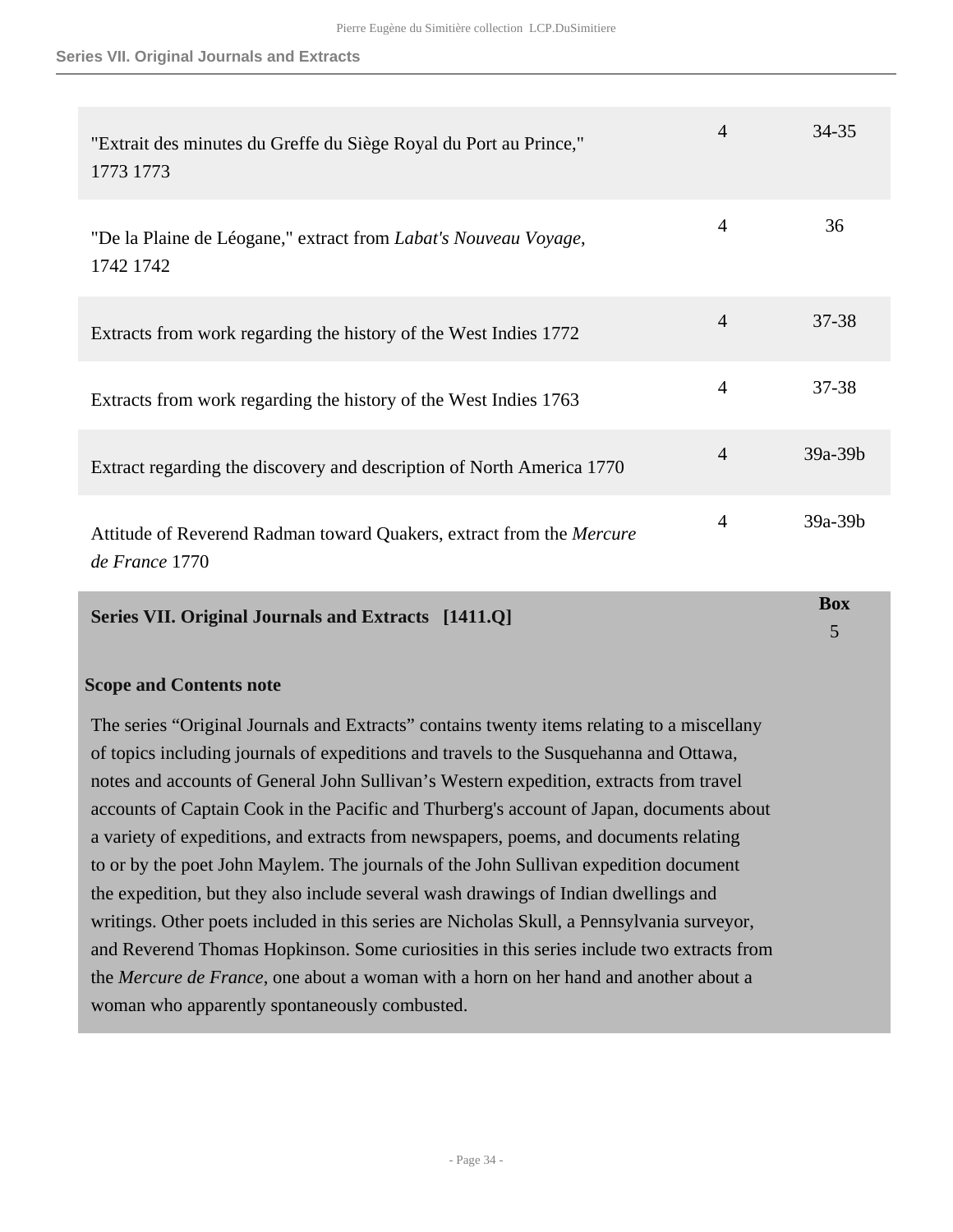#### **Series VII. Original Journals and Extracts**

| Series VII. Original Journals and Extracts [1411.Q]                                    |                | <b>Box</b> |
|----------------------------------------------------------------------------------------|----------------|------------|
| Attitude of Reverend Radman toward Quakers, extract from the Mercure<br>de France 1770 | $\overline{4}$ | $39a-39b$  |
| Extract regarding the discovery and description of North America 1770                  | $\overline{4}$ | 39a-39b    |
| Extracts from work regarding the history of the West Indies 1763                       | $\overline{4}$ | 37-38      |
| Extracts from work regarding the history of the West Indies 1772                       | $\overline{4}$ | $37 - 38$  |
| "De la Plaine de Léogane," extract from Labat's Nouveau Voyage,<br>1742 1742           | $\overline{4}$ | 36         |
| "Extrait des minutes du Greffe du Siège Royal du Port au Prince,"<br>1773 1773         | $\overline{4}$ | $34 - 35$  |

5

#### <span id="page-33-0"></span>**Scope and Contents note**

The series "Original Journals and Extracts" contains twenty items relating to a miscellany of topics including journals of expeditions and travels to the Susquehanna and Ottawa, notes and accounts of General John Sullivan's Western expedition, extracts from travel accounts of Captain Cook in the Pacific and Thurberg's account of Japan, documents about a variety of expeditions, and extracts from newspapers, poems, and documents relating to or by the poet John Maylem. The journals of the John Sullivan expedition document the expedition, but they also include several wash drawings of Indian dwellings and writings. Other poets included in this series are Nicholas Skull, a Pennsylvania surveyor, and Reverend Thomas Hopkinson. Some curiosities in this series include two extracts from the *Mercure de France*, one about a woman with a horn on her hand and another about a woman who apparently spontaneously combusted.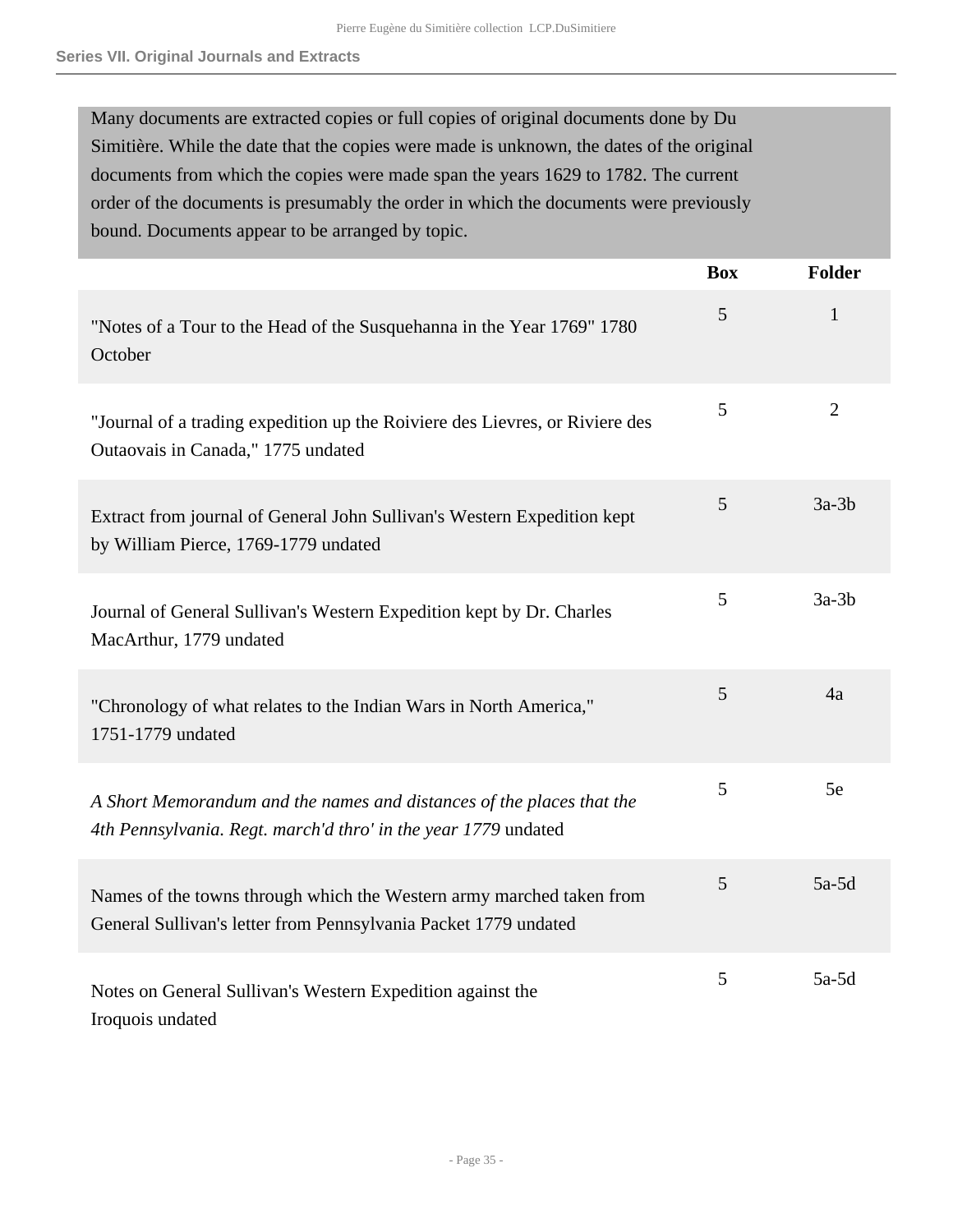Many documents are extracted copies or full copies of original documents done by Du Simitière. While the date that the copies were made is unknown, the dates of the original documents from which the copies were made span the years 1629 to 1782. The current order of the documents is presumably the order in which the documents were previously bound. Documents appear to be arranged by topic.

|                                                                                                                                         | <b>Box</b> | <b>Folder</b>  |
|-----------------------------------------------------------------------------------------------------------------------------------------|------------|----------------|
| "Notes of a Tour to the Head of the Susquehanna in the Year 1769" 1780<br>October                                                       | 5          | 1              |
| "Journal of a trading expedition up the Roiviere des Lievres, or Riviere des<br>Outaovais in Canada," 1775 undated                      | 5          | $\overline{2}$ |
| Extract from journal of General John Sullivan's Western Expedition kept<br>by William Pierce, 1769-1779 undated                         | 5          | $3a-3b$        |
| Journal of General Sullivan's Western Expedition kept by Dr. Charles<br>MacArthur, 1779 undated                                         | 5          | $3a-3b$        |
| "Chronology of what relates to the Indian Wars in North America,"<br>1751-1779 undated                                                  | 5          | 4a             |
| A Short Memorandum and the names and distances of the places that the<br>4th Pennsylvania. Regt. march'd thro' in the year 1779 undated | 5          | 5e             |
| Names of the towns through which the Western army marched taken from<br>General Sullivan's letter from Pennsylvania Packet 1779 undated | 5          | $5a-5d$        |
| Notes on General Sullivan's Western Expedition against the<br>Iroquois undated                                                          | 5          | $5a-5d$        |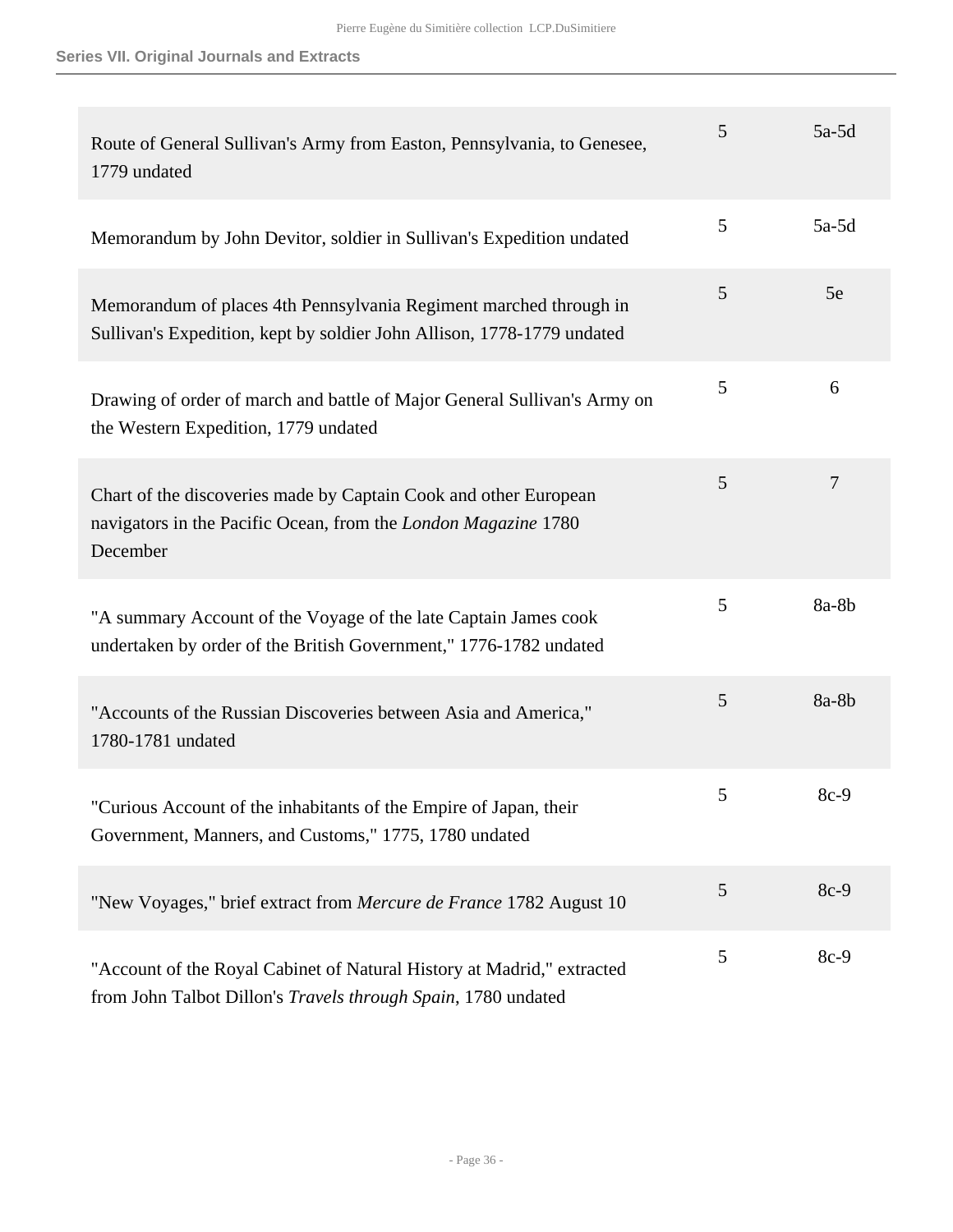## **Series VII. Original Journals and Extracts**

| Route of General Sullivan's Army from Easton, Pennsylvania, to Genesee,<br>1779 undated                                                        | 5 | $5a-5d$        |
|------------------------------------------------------------------------------------------------------------------------------------------------|---|----------------|
| Memorandum by John Devitor, soldier in Sullivan's Expedition undated                                                                           | 5 | $5a-5d$        |
| Memorandum of places 4th Pennsylvania Regiment marched through in<br>Sullivan's Expedition, kept by soldier John Allison, 1778-1779 undated    | 5 | 5e             |
| Drawing of order of march and battle of Major General Sullivan's Army on<br>the Western Expedition, 1779 undated                               | 5 | 6              |
| Chart of the discoveries made by Captain Cook and other European<br>navigators in the Pacific Ocean, from the London Magazine 1780<br>December | 5 | $\overline{7}$ |
| "A summary Account of the Voyage of the late Captain James cook<br>undertaken by order of the British Government," 1776-1782 undated           | 5 | 8a-8b          |
| "Accounts of the Russian Discoveries between Asia and America,"<br>1780-1781 undated                                                           | 5 | 8a-8b          |
| "Curious Account of the inhabitants of the Empire of Japan, their<br>Government, Manners, and Customs," 1775, 1780 undated                     | 5 | $8c-9$         |
| "New Voyages," brief extract from Mercure de France 1782 August 10                                                                             | 5 | $8c-9$         |
| "Account of the Royal Cabinet of Natural History at Madrid," extracted<br>from John Talbot Dillon's Travels through Spain, 1780 undated        | 5 | 8c-9           |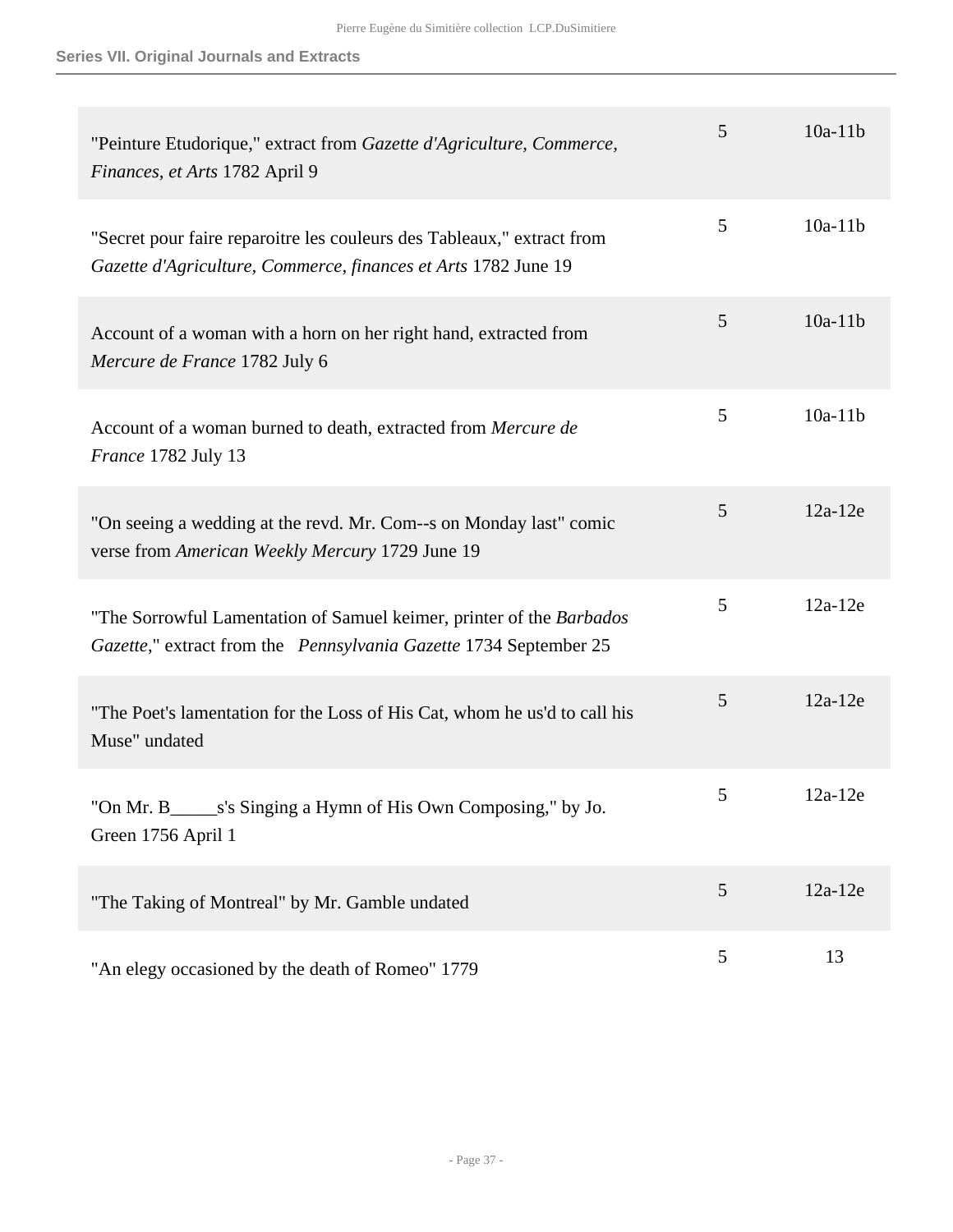**Series VII. Original Journals and Extracts**

| "Peinture Etudorique," extract from Gazette d'Agriculture, Commerce,<br>Finances, et Arts 1782 April 9                                    | 5 | $10a-11b$ |
|-------------------------------------------------------------------------------------------------------------------------------------------|---|-----------|
| "Secret pour faire reparoitre les couleurs des Tableaux," extract from<br>Gazette d'Agriculture, Commerce, finances et Arts 1782 June 19  | 5 | $10a-11b$ |
| Account of a woman with a horn on her right hand, extracted from<br>Mercure de France 1782 July 6                                         | 5 | $10a-11b$ |
| Account of a woman burned to death, extracted from Mercure de<br>France 1782 July 13                                                      | 5 | $10a-11b$ |
| "On seeing a wedding at the revd. Mr. Com--s on Monday last" comic<br>verse from American Weekly Mercury 1729 June 19                     | 5 | $12a-12e$ |
| "The Sorrowful Lamentation of Samuel keimer, printer of the Barbados<br>Gazette," extract from the Pennsylvania Gazette 1734 September 25 | 5 | $12a-12e$ |
| "The Poet's lamentation for the Loss of His Cat, whom he us'd to call his<br>Muse" undated                                                | 5 | $12a-12e$ |
| "On Mr. B________s's Singing a Hymn of His Own Composing," by Jo.<br>Green 1756 April 1                                                   | 5 | $12a-12e$ |
| "The Taking of Montreal" by Mr. Gamble undated                                                                                            | 5 | $12a-12e$ |
| "An elegy occasioned by the death of Romeo" 1779                                                                                          | 5 | 13        |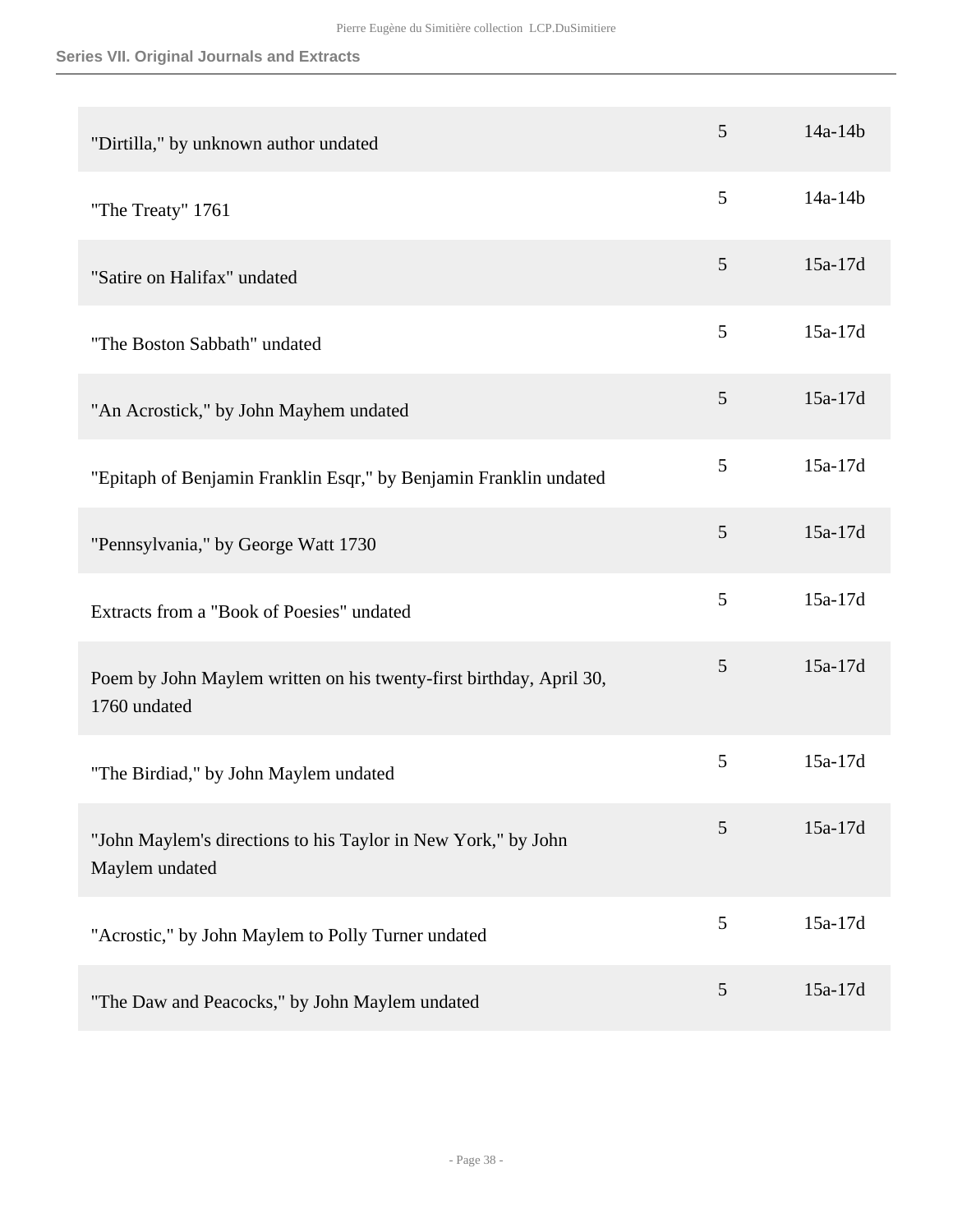| "Dirtilla," by unknown author undated                                               | 5 | $14a - 14b$ |
|-------------------------------------------------------------------------------------|---|-------------|
| "The Treaty" 1761                                                                   | 5 | 14a-14b     |
| "Satire on Halifax" undated                                                         | 5 | $15a-17d$   |
| "The Boston Sabbath" undated                                                        | 5 | 15a-17d     |
| "An Acrostick," by John Mayhem undated                                              | 5 | $15a-17d$   |
| "Epitaph of Benjamin Franklin Esqr," by Benjamin Franklin undated                   | 5 | 15a-17d     |
| "Pennsylvania," by George Watt 1730                                                 | 5 | 15a-17d     |
| Extracts from a "Book of Poesies" undated                                           | 5 | 15a-17d     |
| Poem by John Maylem written on his twenty-first birthday, April 30,<br>1760 undated | 5 | 15a-17d     |
| "The Birdiad," by John Maylem undated                                               | 5 | 15a-17d     |
| "John Maylem's directions to his Taylor in New York," by John<br>Maylem undated     | 5 | 15a-17d     |
| "Acrostic," by John Maylem to Polly Turner undated                                  | 5 | 15a-17d     |
| "The Daw and Peacocks," by John Maylem undated                                      | 5 | 15a-17d     |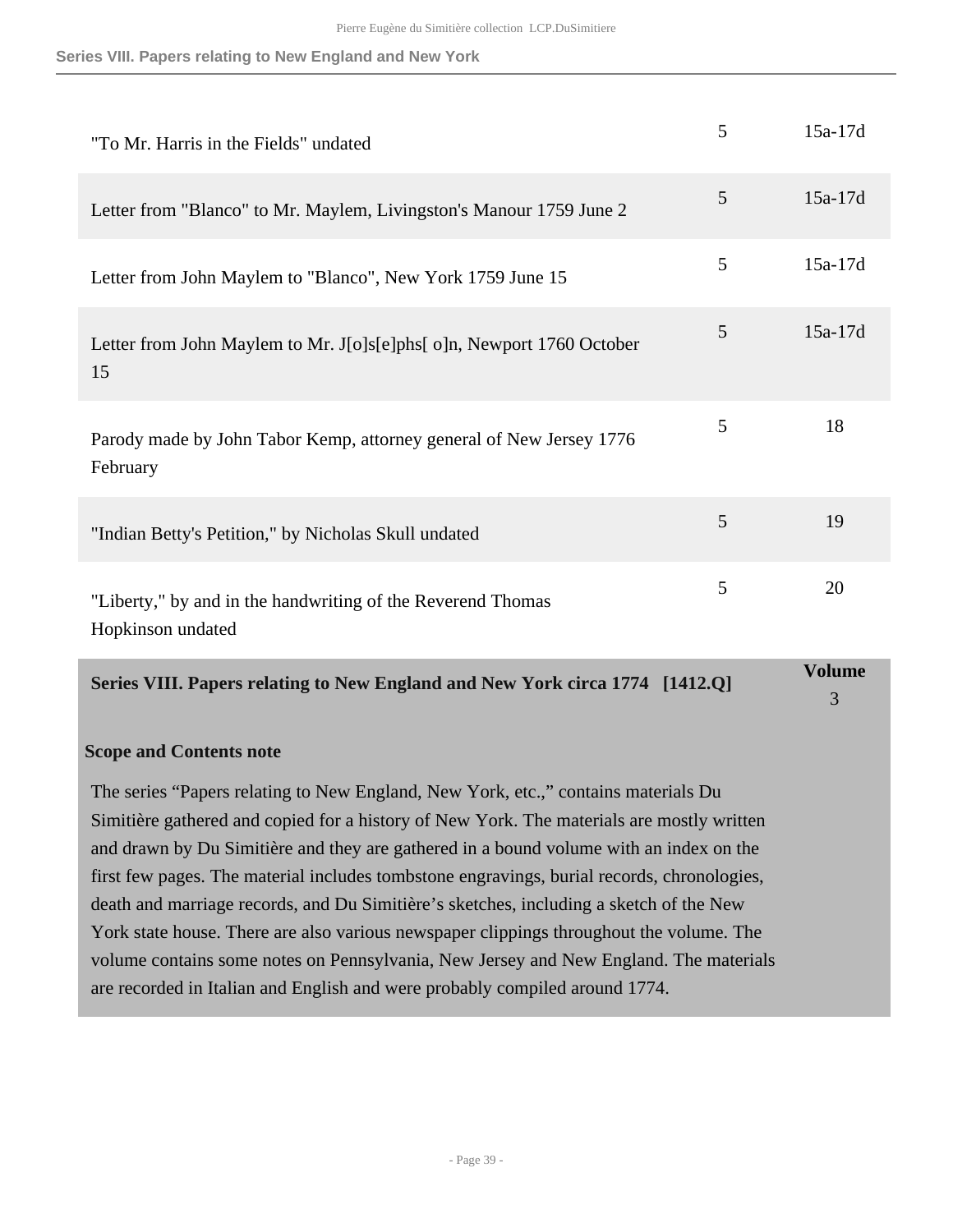#### **Series VIII. Papers relating to New England and New York**

|                                                                                  |   | <b>Volume</b> |
|----------------------------------------------------------------------------------|---|---------------|
| "Liberty," by and in the handwriting of the Reverend Thomas<br>Hopkinson undated | 5 | 20            |
| "Indian Betty's Petition," by Nicholas Skull undated                             | 5 | 19            |
| Parody made by John Tabor Kemp, attorney general of New Jersey 1776<br>February  | 5 | 18            |
| Letter from John Maylem to Mr. J[o]s[e]phs[o]n, Newport 1760 October<br>15       | 5 | $15a-17d$     |
| Letter from John Maylem to "Blanco", New York 1759 June 15                       | 5 | $15a-17d$     |
| Letter from "Blanco" to Mr. Maylem, Livingston's Manour 1759 June 2              | 5 | $15a-17d$     |
| "To Mr. Harris in the Fields" undated                                            | 5 | $15a-17d$     |

<span id="page-38-0"></span>**Series VIII. Papers relating to New England and New York circa 1774 [1412.Q]**

3

#### **Scope and Contents note**

The series "Papers relating to New England, New York, etc.," contains materials Du Simitière gathered and copied for a history of New York. The materials are mostly written and drawn by Du Simitière and they are gathered in a bound volume with an index on the first few pages. The material includes tombstone engravings, burial records, chronologies, death and marriage records, and Du Simitière's sketches, including a sketch of the New York state house. There are also various newspaper clippings throughout the volume. The volume contains some notes on Pennsylvania, New Jersey and New England. The materials are recorded in Italian and English and were probably compiled around 1774.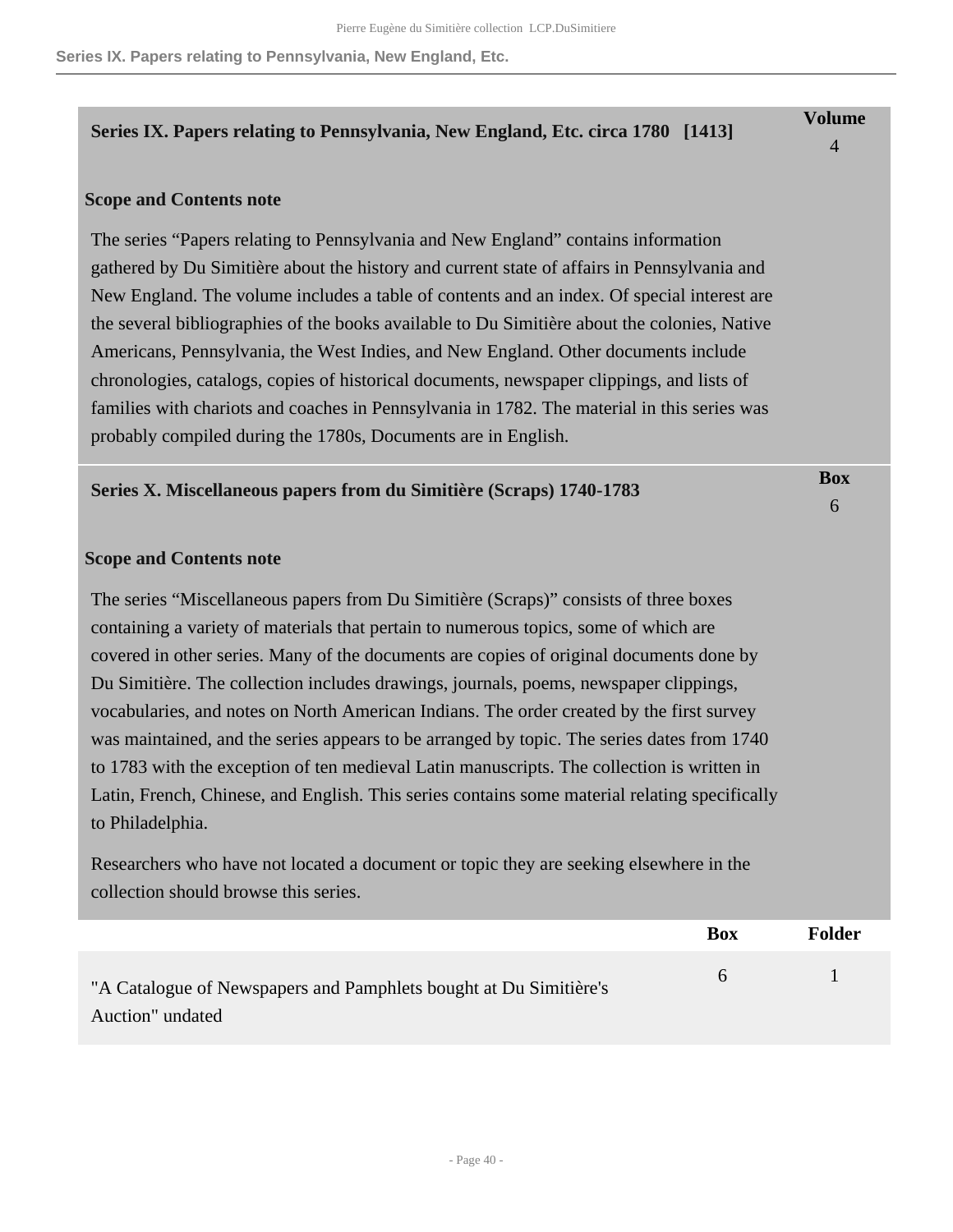### <span id="page-39-0"></span>**Series IX. Papers relating to Pennsylvania, New England, Etc. circa 1780 [1413]**

#### **Scope and Contents note**

The series "Papers relating to Pennsylvania and New England" contains information gathered by Du Simitière about the history and current state of affairs in Pennsylvania and New England. The volume includes a table of contents and an index. Of special interest are the several bibliographies of the books available to Du Simitière about the colonies, Native Americans, Pennsylvania, the West Indies, and New England. Other documents include chronologies, catalogs, copies of historical documents, newspaper clippings, and lists of families with chariots and coaches in Pennsylvania in 1782. The material in this series was probably compiled during the 1780s, Documents are in English.

#### <span id="page-39-1"></span>**Series X. Miscellaneous papers from du Simitière (Scraps) 1740-1783**

**Box** 6

**Volume** 4

#### **Scope and Contents note**

The series "Miscellaneous papers from Du Simitière (Scraps)" consists of three boxes containing a variety of materials that pertain to numerous topics, some of which are covered in other series. Many of the documents are copies of original documents done by Du Simitière. The collection includes drawings, journals, poems, newspaper clippings, vocabularies, and notes on North American Indians. The order created by the first survey was maintained, and the series appears to be arranged by topic. The series dates from 1740 to 1783 with the exception of ten medieval Latin manuscripts. The collection is written in Latin, French, Chinese, and English. This series contains some material relating specifically to Philadelphia.

Researchers who have not located a document or topic they are seeking elsewhere in the collection should browse this series.

|                                                                                       | Box          | Folder |
|---------------------------------------------------------------------------------------|--------------|--------|
| "A Catalogue of Newspapers and Pamphlets bought at Du Simitière's<br>Auction" undated | <sub>n</sub> |        |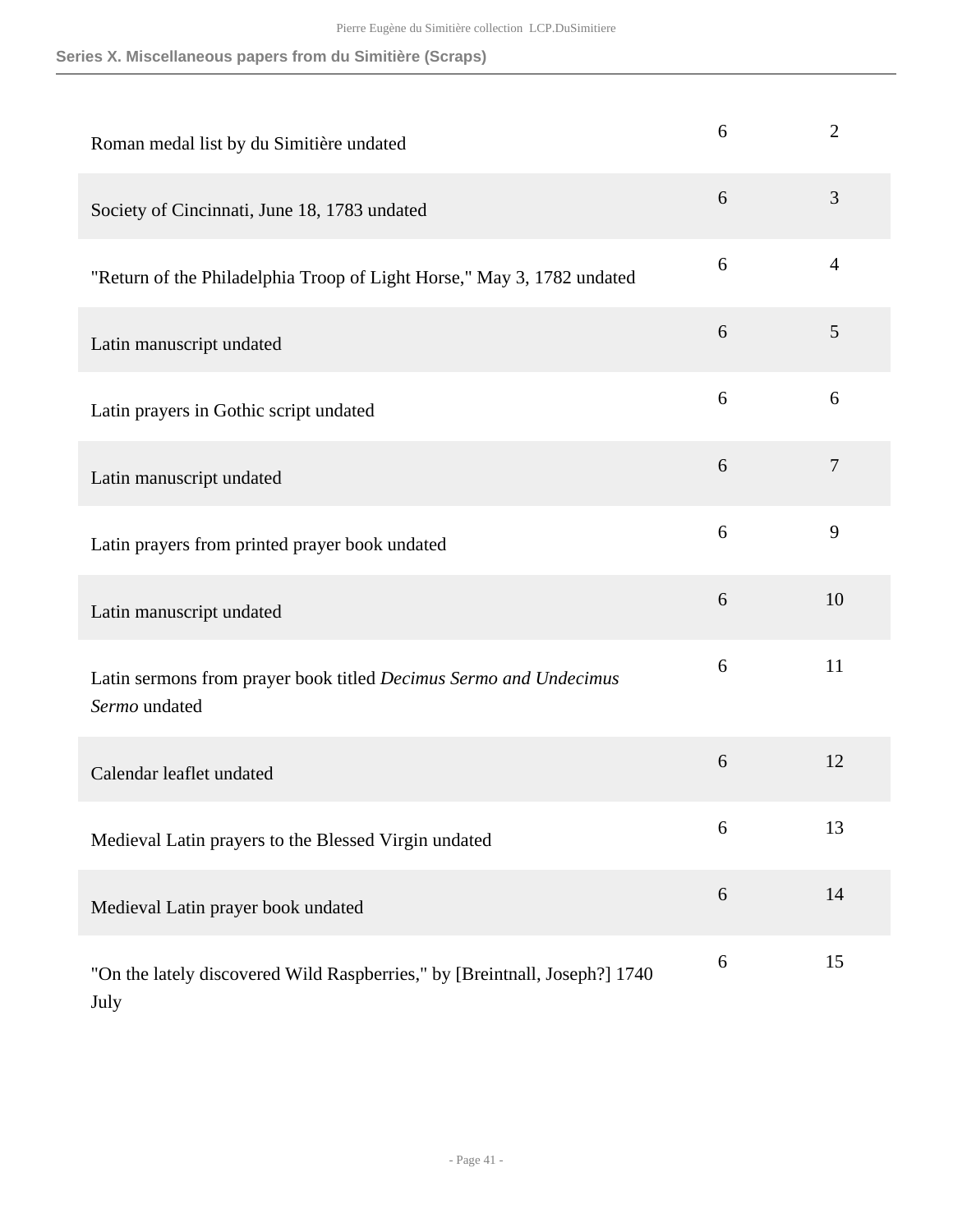| Roman medal list by du Simitière undated                                           | 6 | $\overline{2}$ |
|------------------------------------------------------------------------------------|---|----------------|
| Society of Cincinnati, June 18, 1783 undated                                       | 6 | 3              |
| "Return of the Philadelphia Troop of Light Horse," May 3, 1782 undated             | 6 | $\overline{4}$ |
| Latin manuscript undated                                                           | 6 | 5              |
| Latin prayers in Gothic script undated                                             | 6 | 6              |
| Latin manuscript undated                                                           | 6 | $\tau$         |
| Latin prayers from printed prayer book undated                                     | 6 | 9              |
| Latin manuscript undated                                                           | 6 | 10             |
| Latin sermons from prayer book titled Decimus Sermo and Undecimus<br>Sermo undated | 6 | 11             |
| Calendar leaflet undated                                                           | 6 | 12             |
| Medieval Latin prayers to the Blessed Virgin undated                               | 6 | 13             |
| Medieval Latin prayer book undated                                                 | 6 | 14             |
| "On the lately discovered Wild Raspberries," by [Breintnall, Joseph?] 1740<br>July | 6 | 15             |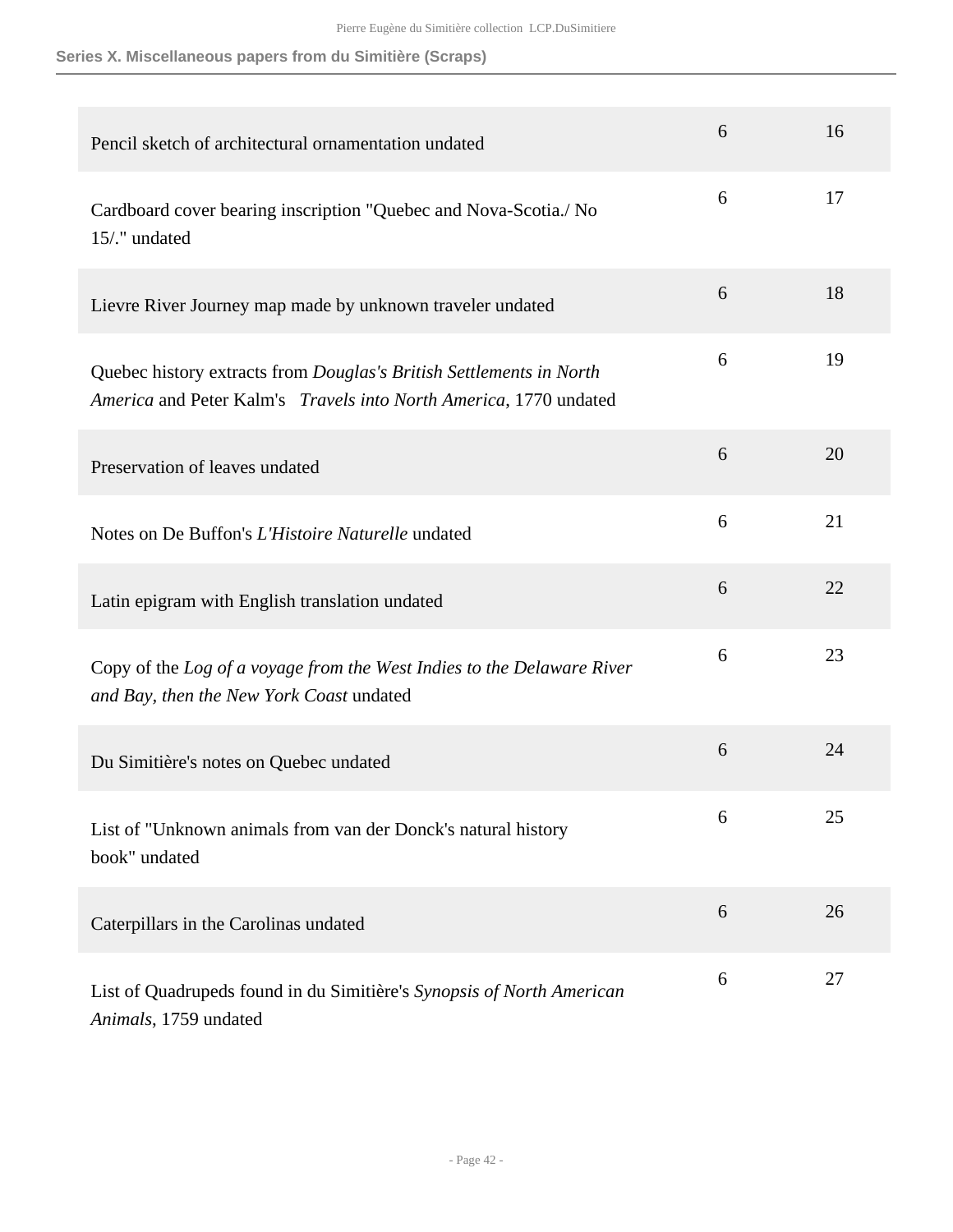| Pencil sketch of architectural ornamentation undated                                                                                     | 6 | 16 |
|------------------------------------------------------------------------------------------------------------------------------------------|---|----|
| Cardboard cover bearing inscription "Quebec and Nova-Scotia./ No<br>15/." undated                                                        | 6 | 17 |
| Lievre River Journey map made by unknown traveler undated                                                                                | 6 | 18 |
| Quebec history extracts from Douglas's British Settlements in North<br>America and Peter Kalm's Travels into North America, 1770 undated | 6 | 19 |
| Preservation of leaves undated                                                                                                           | 6 | 20 |
| Notes on De Buffon's L'Histoire Naturelle undated                                                                                        | 6 | 21 |
| Latin epigram with English translation undated                                                                                           | 6 | 22 |
| Copy of the Log of a voyage from the West Indies to the Delaware River<br>and Bay, then the New York Coast undated                       | 6 | 23 |
| Du Simitière's notes on Quebec undated                                                                                                   | 6 | 24 |
| List of "Unknown animals from van der Donck's natural history<br>book" undated                                                           | 6 | 25 |
| Caterpillars in the Carolinas undated                                                                                                    | 6 | 26 |
| List of Quadrupeds found in du Simitière's Synopsis of North American<br>Animals, 1759 undated                                           | 6 | 27 |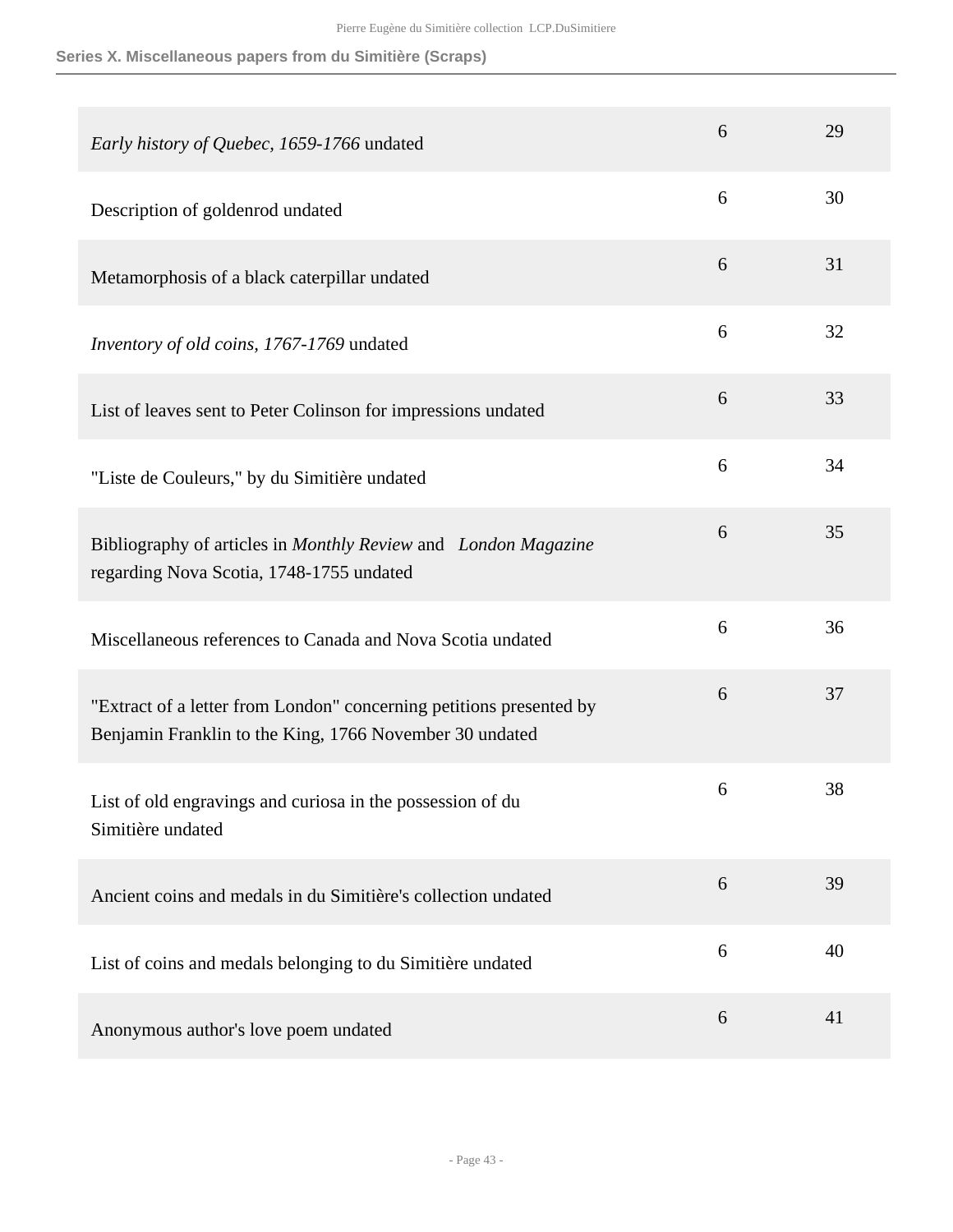| Early history of Quebec, 1659-1766 undated                                                                                     | 6 | 29 |
|--------------------------------------------------------------------------------------------------------------------------------|---|----|
| Description of goldenrod undated                                                                                               | 6 | 30 |
| Metamorphosis of a black caterpillar undated                                                                                   | 6 | 31 |
| Inventory of old coins, 1767-1769 undated                                                                                      | 6 | 32 |
| List of leaves sent to Peter Colinson for impressions undated                                                                  | 6 | 33 |
| "Liste de Couleurs," by du Simitière undated                                                                                   | 6 | 34 |
| Bibliography of articles in Monthly Review and London Magazine<br>regarding Nova Scotia, 1748-1755 undated                     | 6 | 35 |
| Miscellaneous references to Canada and Nova Scotia undated                                                                     | 6 | 36 |
| "Extract of a letter from London" concerning petitions presented by<br>Benjamin Franklin to the King, 1766 November 30 undated | 6 | 37 |
| List of old engravings and curiosa in the possession of du<br>Simitière undated                                                | 6 | 38 |
| Ancient coins and medals in du Simitière's collection undated                                                                  | 6 | 39 |
| List of coins and medals belonging to du Simitière undated                                                                     | 6 | 40 |
| Anonymous author's love poem undated                                                                                           | 6 | 41 |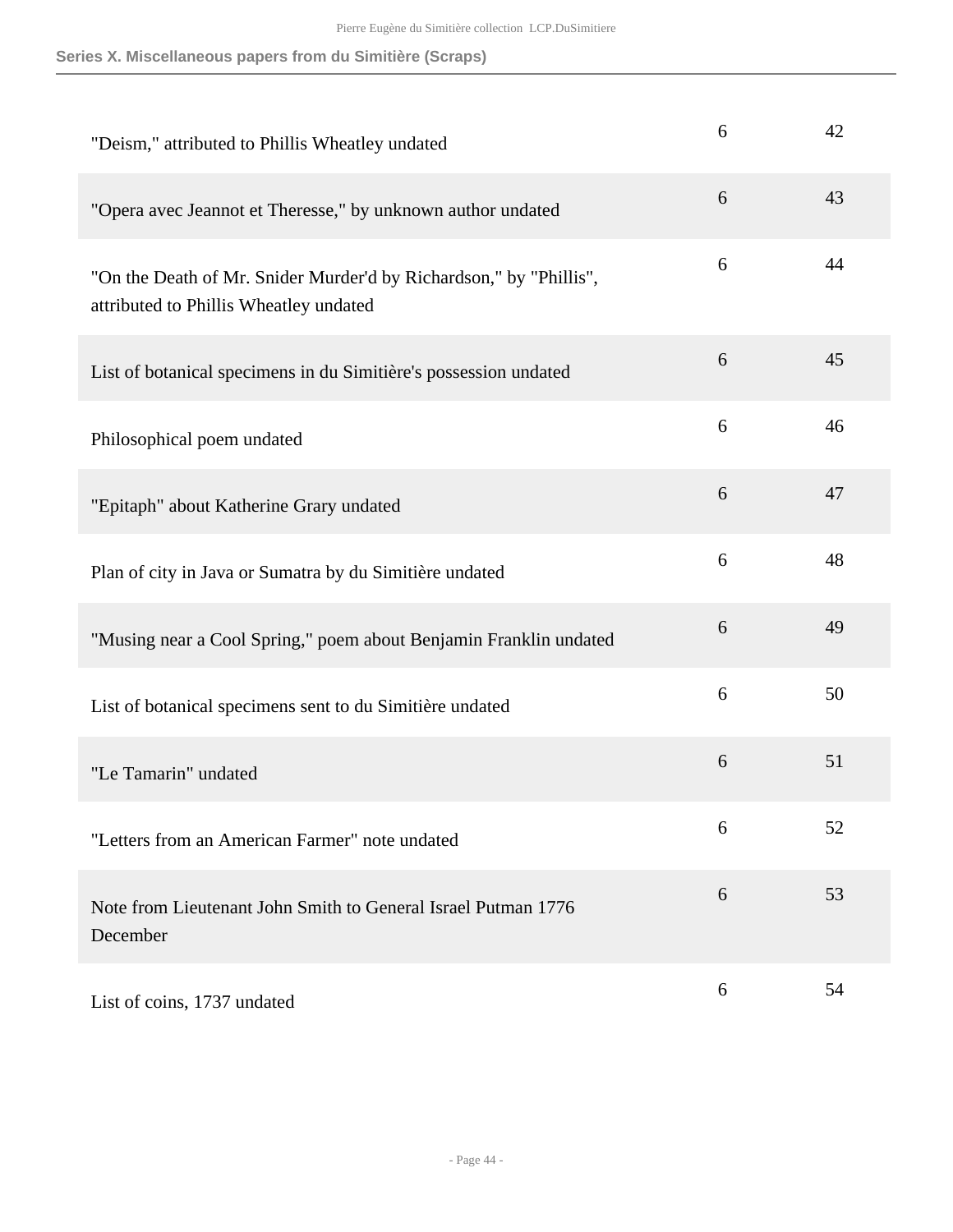| "Deism," attributed to Phillis Wheatley undated                                                              | 6 | 42 |
|--------------------------------------------------------------------------------------------------------------|---|----|
| "Opera avec Jeannot et Theresse," by unknown author undated                                                  | 6 | 43 |
| "On the Death of Mr. Snider Murder'd by Richardson," by "Phillis",<br>attributed to Phillis Wheatley undated | 6 | 44 |
| List of botanical specimens in du Simitière's possession undated                                             | 6 | 45 |
| Philosophical poem undated                                                                                   | 6 | 46 |
| "Epitaph" about Katherine Grary undated                                                                      | 6 | 47 |
| Plan of city in Java or Sumatra by du Simitière undated                                                      | 6 | 48 |
| "Musing near a Cool Spring," poem about Benjamin Franklin undated                                            | 6 | 49 |
| List of botanical specimens sent to du Simitière undated                                                     | 6 | 50 |
| "Le Tamarin" undated                                                                                         | 6 | 51 |
| "Letters from an American Farmer" note undated                                                               | 6 | 52 |
| Note from Lieutenant John Smith to General Israel Putman 1776<br>December                                    | 6 | 53 |
| List of coins, 1737 undated                                                                                  | 6 | 54 |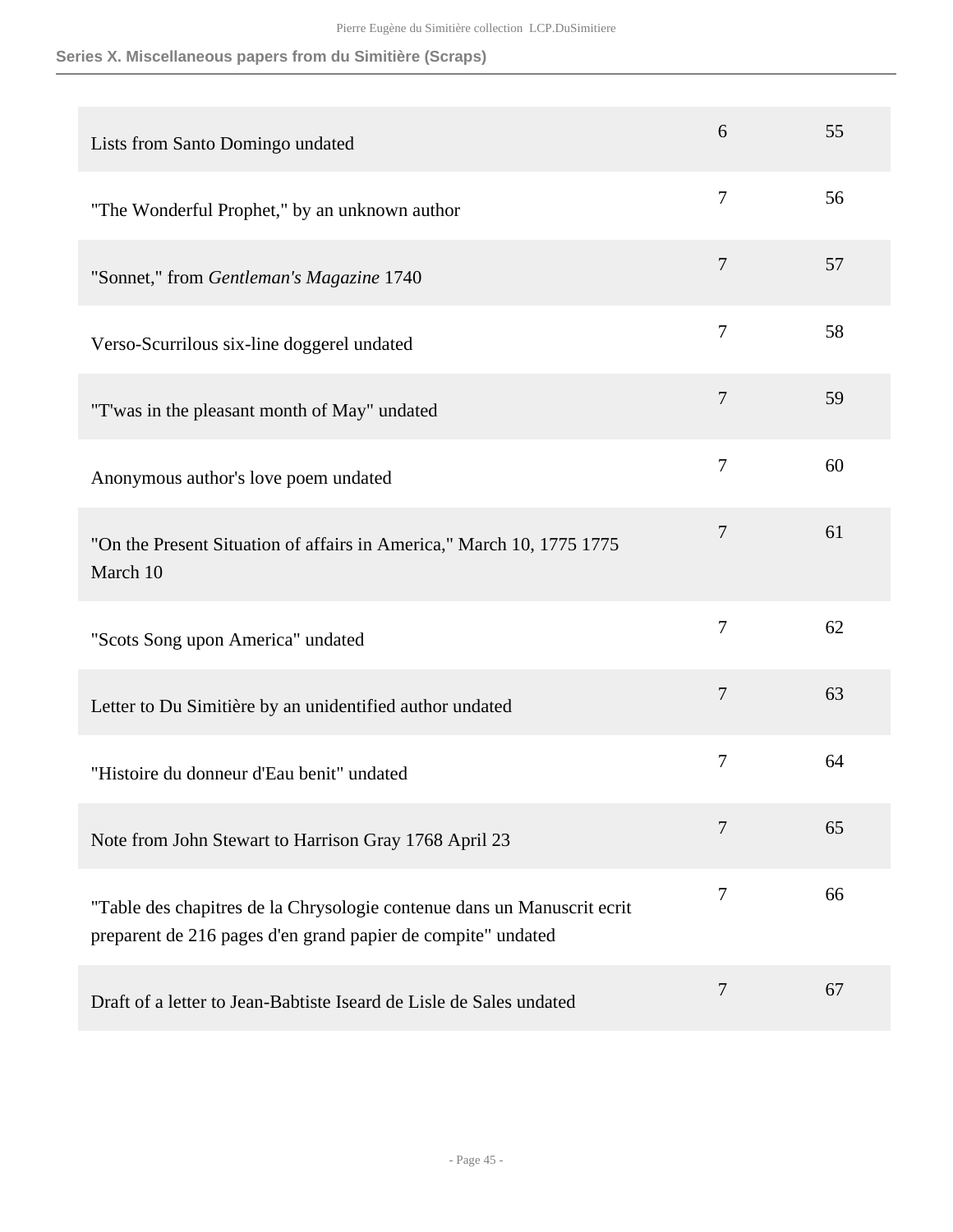| Lists from Santo Domingo undated                                                                                                        | 6              | 55 |
|-----------------------------------------------------------------------------------------------------------------------------------------|----------------|----|
| "The Wonderful Prophet," by an unknown author                                                                                           | 7              | 56 |
| "Sonnet," from Gentleman's Magazine 1740                                                                                                | $\overline{7}$ | 57 |
| Verso-Scurrilous six-line doggerel undated                                                                                              | 7              | 58 |
| "T'was in the pleasant month of May" undated                                                                                            | 7              | 59 |
| Anonymous author's love poem undated                                                                                                    | $\overline{7}$ | 60 |
| "On the Present Situation of affairs in America," March 10, 1775 1775<br>March 10                                                       | 7              | 61 |
| "Scots Song upon America" undated                                                                                                       | 7              | 62 |
| Letter to Du Simitière by an unidentified author undated                                                                                | 7              | 63 |
| "Histoire du donneur d'Eau benit" undated                                                                                               | 7              | 64 |
| Note from John Stewart to Harrison Gray 1768 April 23                                                                                   | 7              | 65 |
| "Table des chapitres de la Chrysologie contenue dans un Manuscrit ecrit<br>preparent de 216 pages d'en grand papier de compite" undated | 7              | 66 |
| Draft of a letter to Jean-Babtiste Iseard de Lisle de Sales undated                                                                     | 7              | 67 |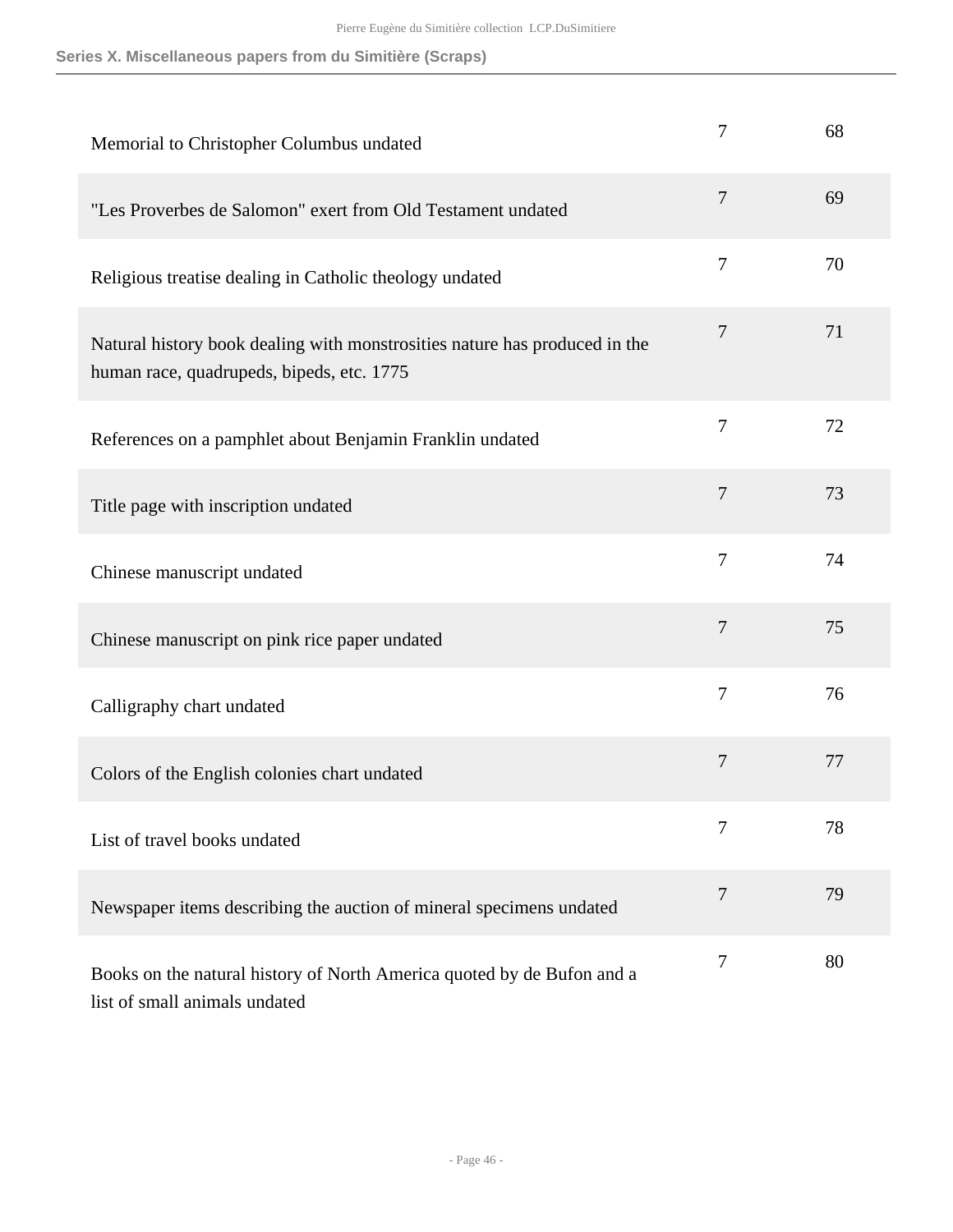| Memorial to Christopher Columbus undated                                                                                | 7              | 68 |
|-------------------------------------------------------------------------------------------------------------------------|----------------|----|
| "Les Proverbes de Salomon" exert from Old Testament undated                                                             | 7              | 69 |
| Religious treatise dealing in Catholic theology undated                                                                 | 7              | 70 |
| Natural history book dealing with monstrosities nature has produced in the<br>human race, quadrupeds, bipeds, etc. 1775 | 7              | 71 |
| References on a pamphlet about Benjamin Franklin undated                                                                | $\overline{7}$ | 72 |
| Title page with inscription undated                                                                                     | 7              | 73 |
| Chinese manuscript undated                                                                                              | 7              | 74 |
| Chinese manuscript on pink rice paper undated                                                                           | 7              | 75 |
| Calligraphy chart undated                                                                                               | 7              | 76 |
| Colors of the English colonies chart undated                                                                            | 7              | 77 |
| List of travel books undated                                                                                            | 7              | 78 |
| Newspaper items describing the auction of mineral specimens undated                                                     | 7              | 79 |
| Books on the natural history of North America quoted by de Bufon and a<br>list of small animals undated                 | 7              | 80 |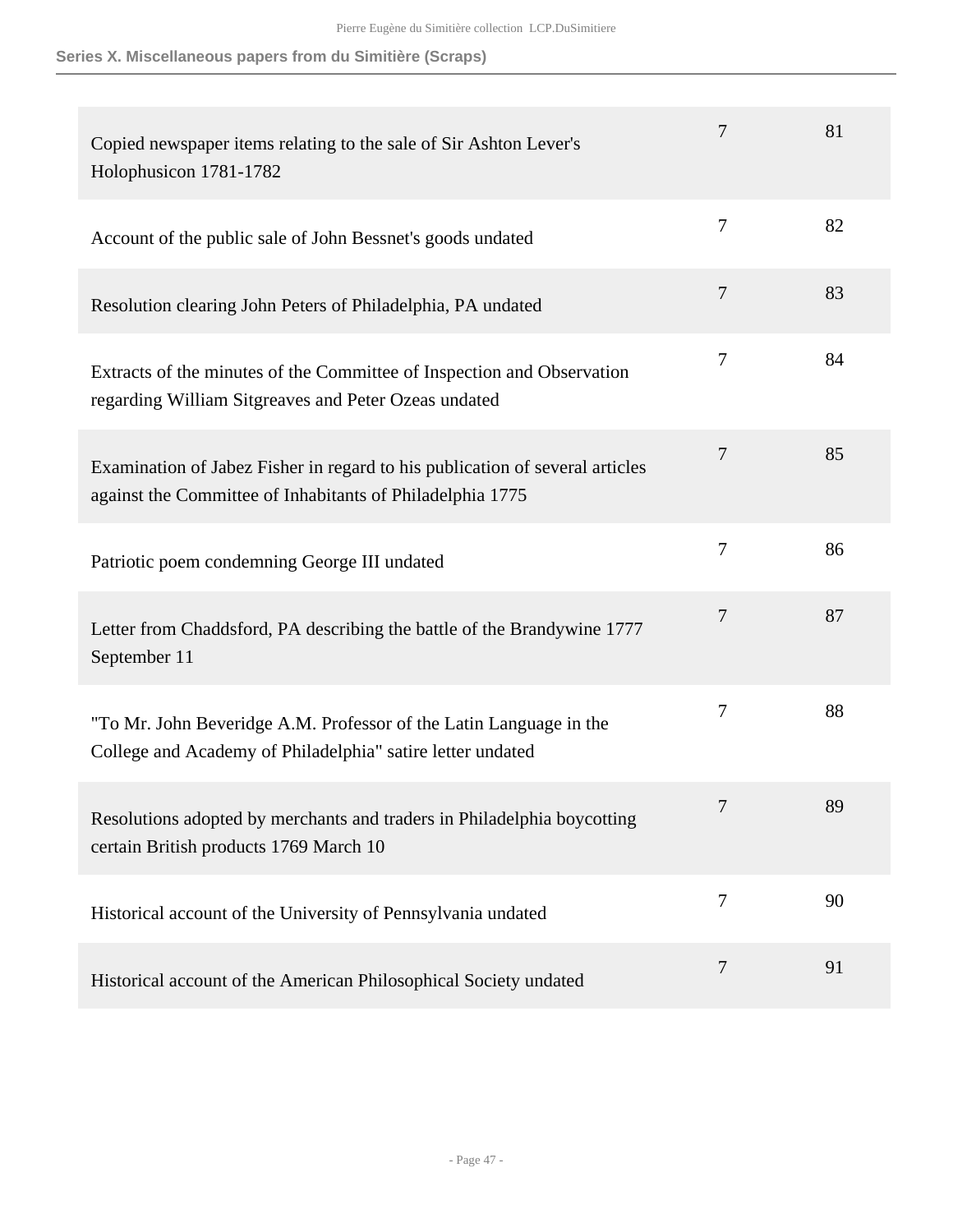| Copied newspaper items relating to the sale of Sir Ashton Lever's<br>Holophusicon 1781-1782                                               | 7      | 81 |
|-------------------------------------------------------------------------------------------------------------------------------------------|--------|----|
| Account of the public sale of John Bessnet's goods undated                                                                                | 7      | 82 |
| Resolution clearing John Peters of Philadelphia, PA undated                                                                               | $\tau$ | 83 |
| Extracts of the minutes of the Committee of Inspection and Observation<br>regarding William Sitgreaves and Peter Ozeas undated            | 7      | 84 |
| Examination of Jabez Fisher in regard to his publication of several articles<br>against the Committee of Inhabitants of Philadelphia 1775 | 7      | 85 |
| Patriotic poem condemning George III undated                                                                                              | $\tau$ | 86 |
| Letter from Chaddsford, PA describing the battle of the Brandywine 1777<br>September 11                                                   | 7      | 87 |
| "To Mr. John Beveridge A.M. Professor of the Latin Language in the<br>College and Academy of Philadelphia" satire letter undated          | 7      | 88 |
| Resolutions adopted by merchants and traders in Philadelphia boycotting<br>certain British products 1769 March 10                         |        | 89 |
| Historical account of the University of Pennsylvania undated                                                                              | 7      | 90 |
| Historical account of the American Philosophical Society undated                                                                          | 7      | 91 |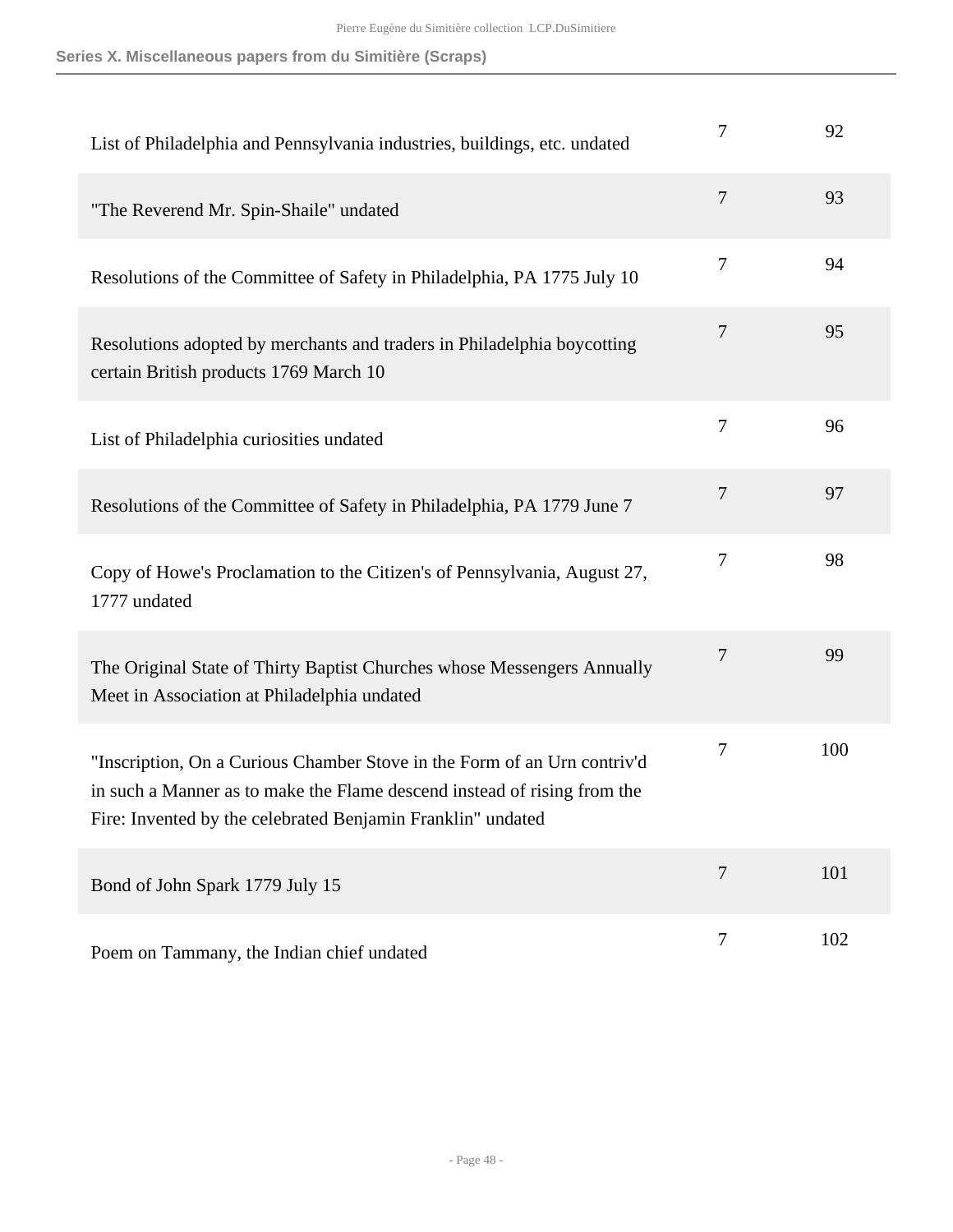| List of Philadelphia and Pennsylvania industries, buildings, etc. undated                                                                                                                                           | 7                | 92  |
|---------------------------------------------------------------------------------------------------------------------------------------------------------------------------------------------------------------------|------------------|-----|
| "The Reverend Mr. Spin-Shaile" undated                                                                                                                                                                              | 7                | 93  |
| Resolutions of the Committee of Safety in Philadelphia, PA 1775 July 10                                                                                                                                             | 7                | 94  |
| Resolutions adopted by merchants and traders in Philadelphia boycotting<br>certain British products 1769 March 10                                                                                                   | 7                | 95  |
| List of Philadelphia curiosities undated                                                                                                                                                                            | 7                | 96  |
| Resolutions of the Committee of Safety in Philadelphia, PA 1779 June 7                                                                                                                                              | $\overline{7}$   | 97  |
| Copy of Howe's Proclamation to the Citizen's of Pennsylvania, August 27,<br>1777 undated                                                                                                                            | 7                | 98  |
| The Original State of Thirty Baptist Churches whose Messengers Annually<br>Meet in Association at Philadelphia undated                                                                                              | 7                | 99  |
| "Inscription, On a Curious Chamber Stove in the Form of an Urn contriv'd<br>in such a Manner as to make the Flame descend instead of rising from the<br>Fire: Invented by the celebrated Benjamin Franklin" undated | 7                | 100 |
| Bond of John Spark 1779 July 15                                                                                                                                                                                     | $\overline{7}$   | 101 |
| Poem on Tammany, the Indian chief undated                                                                                                                                                                           | $\boldsymbol{7}$ | 102 |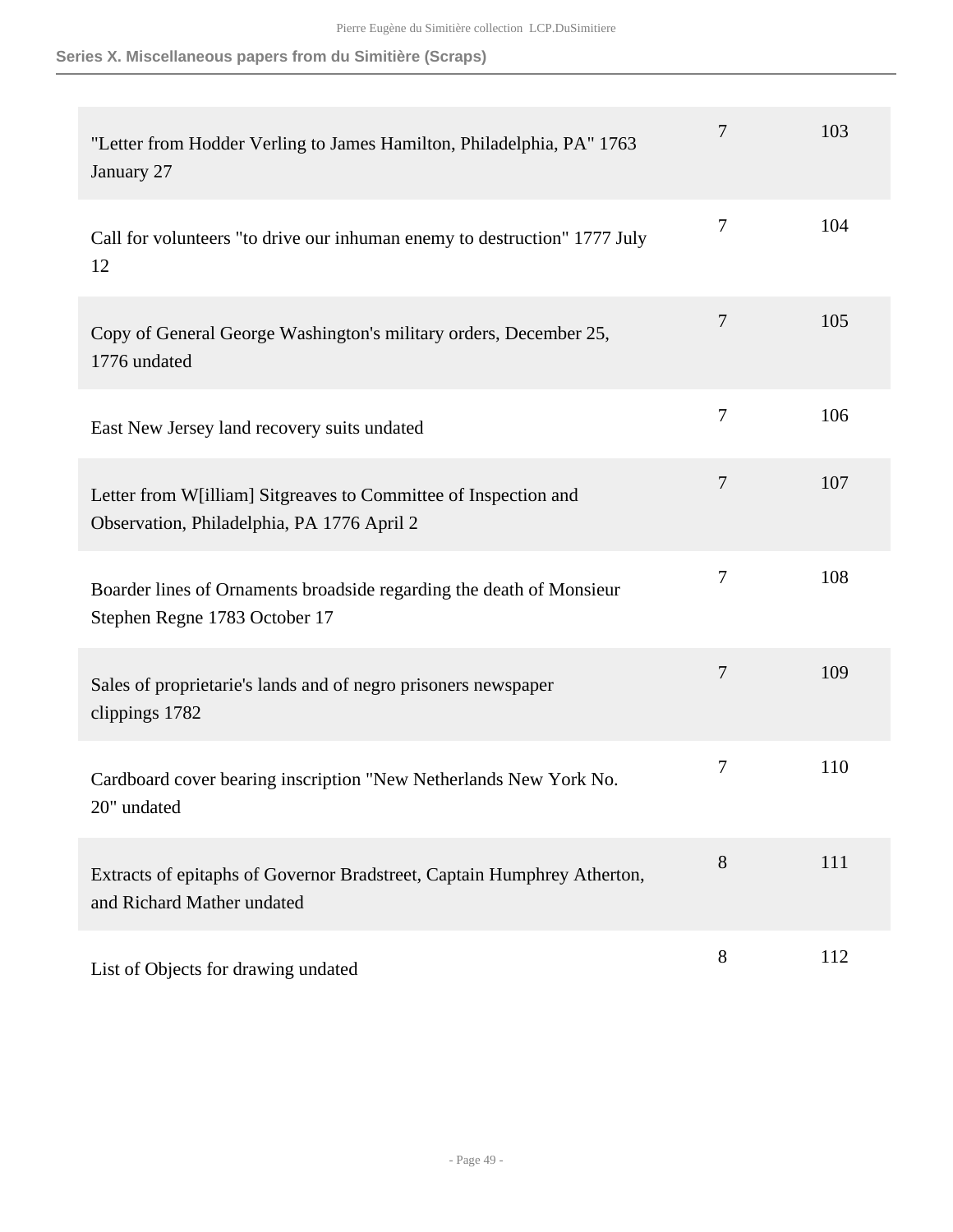| "Letter from Hodder Verling to James Hamilton, Philadelphia, PA" 1763<br>January 27                           | 7              | 103 |
|---------------------------------------------------------------------------------------------------------------|----------------|-----|
| Call for volunteers "to drive our inhuman enemy to destruction" 1777 July<br>12                               | $\tau$         | 104 |
| Copy of General George Washington's military orders, December 25,<br>1776 undated                             | $\tau$         | 105 |
| East New Jersey land recovery suits undated                                                                   | $\overline{7}$ | 106 |
| Letter from W[illiam] Sitgreaves to Committee of Inspection and<br>Observation, Philadelphia, PA 1776 April 2 | $\tau$         | 107 |
| Boarder lines of Ornaments broadside regarding the death of Monsieur<br>Stephen Regne 1783 October 17         | 7              | 108 |
| Sales of proprietarie's lands and of negro prisoners newspaper<br>clippings 1782                              | 7              | 109 |
| Cardboard cover bearing inscription "New Netherlands New York No.<br>20" undated                              | $\tau$         | 110 |
| Extracts of epitaphs of Governor Bradstreet, Captain Humphrey Atherton,<br>and Richard Mather undated         | 8              | 111 |
| List of Objects for drawing undated                                                                           | 8              | 112 |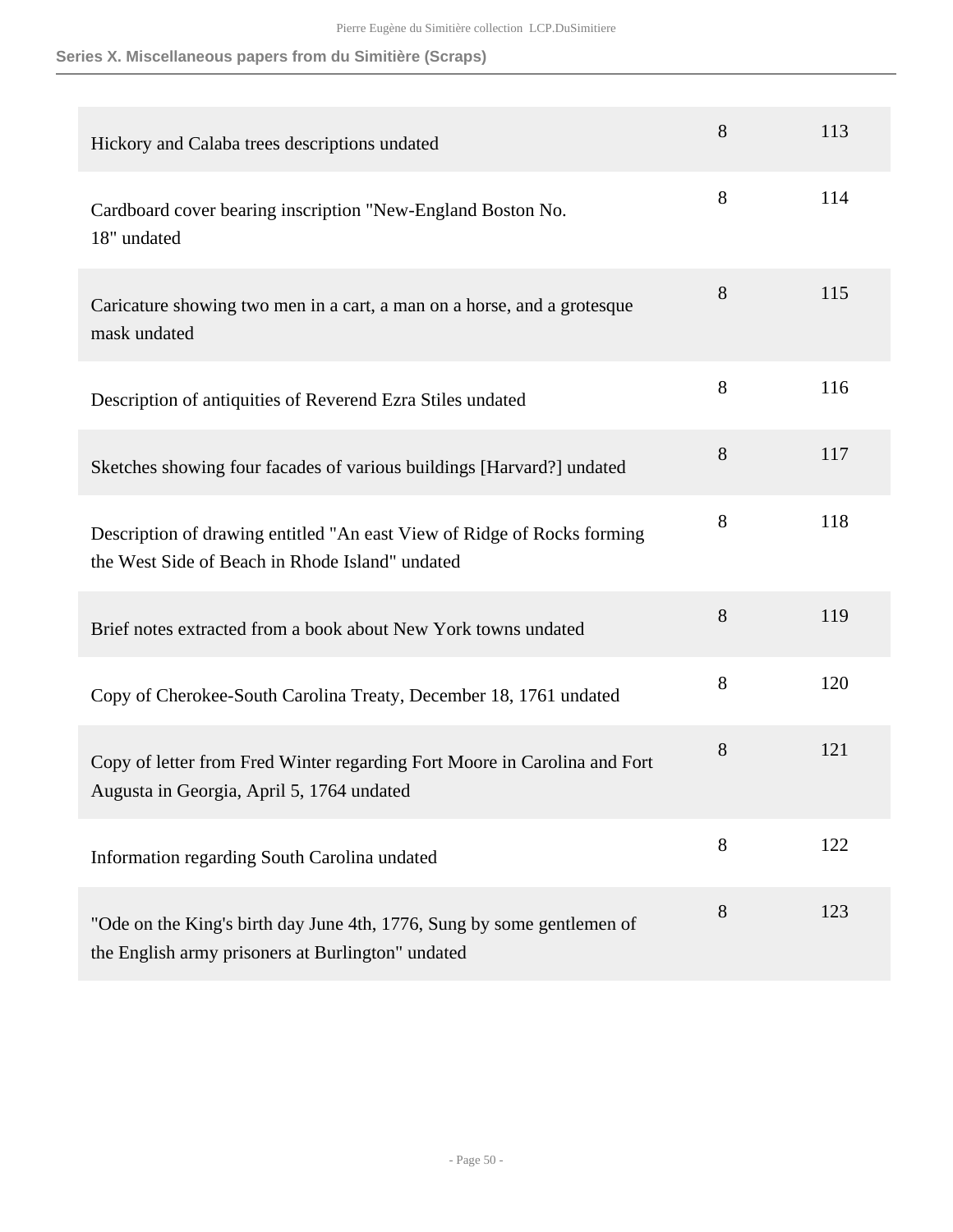| Hickory and Calaba trees descriptions undated                                                                               | 8 | 113 |
|-----------------------------------------------------------------------------------------------------------------------------|---|-----|
| Cardboard cover bearing inscription "New-England Boston No.<br>18" undated                                                  | 8 | 114 |
| Caricature showing two men in a cart, a man on a horse, and a grotesque<br>mask undated                                     | 8 | 115 |
| Description of antiquities of Reverend Ezra Stiles undated                                                                  | 8 | 116 |
| Sketches showing four facades of various buildings [Harvard?] undated                                                       | 8 | 117 |
| Description of drawing entitled "An east View of Ridge of Rocks forming<br>the West Side of Beach in Rhode Island" undated  | 8 | 118 |
| Brief notes extracted from a book about New York towns undated                                                              | 8 | 119 |
| Copy of Cherokee-South Carolina Treaty, December 18, 1761 undated                                                           | 8 | 120 |
| Copy of letter from Fred Winter regarding Fort Moore in Carolina and Fort<br>Augusta in Georgia, April 5, 1764 undated      | 8 | 121 |
| Information regarding South Carolina undated                                                                                | 8 | 122 |
| "Ode on the King's birth day June 4th, 1776, Sung by some gentlemen of<br>the English army prisoners at Burlington" undated | 8 | 123 |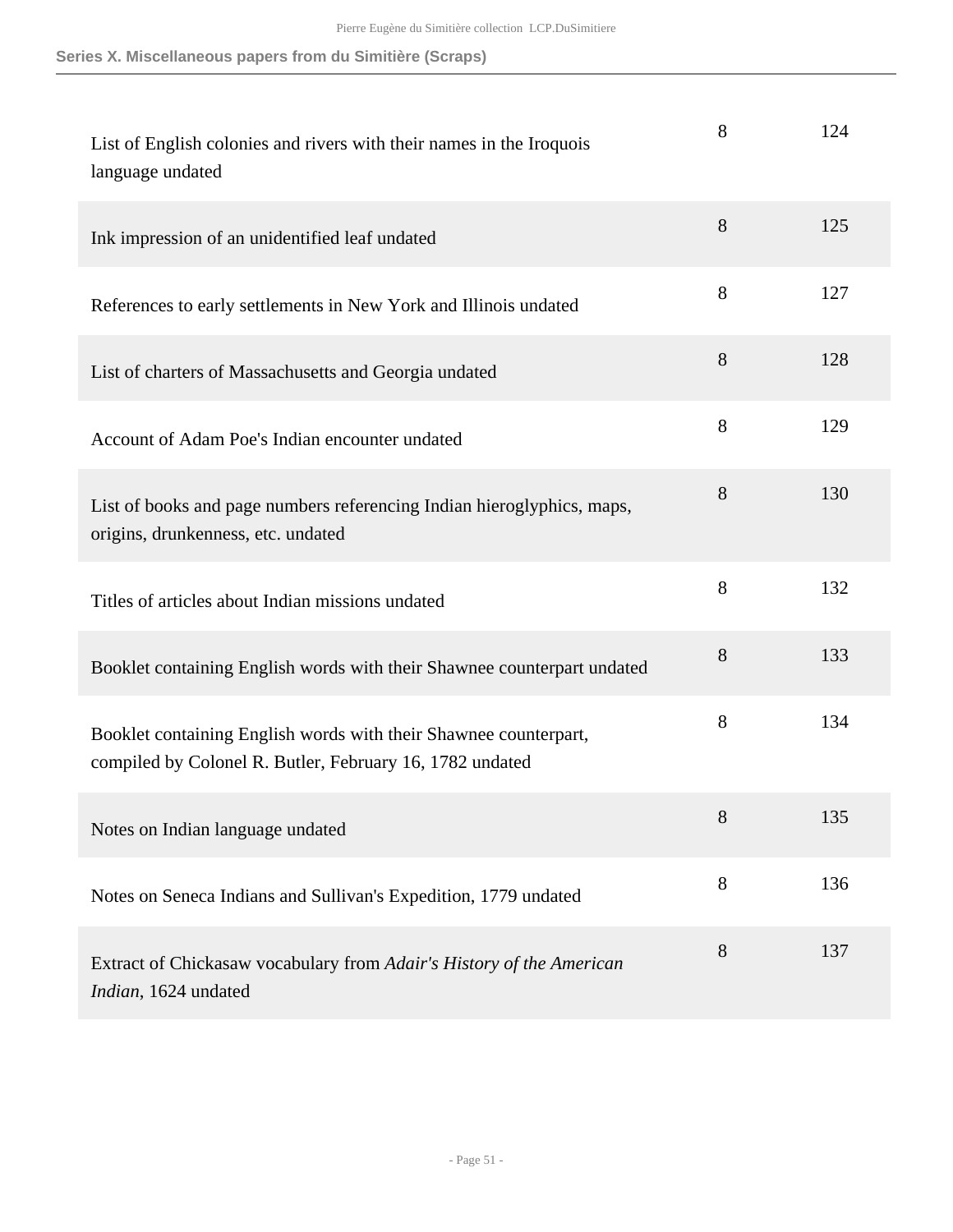| List of English colonies and rivers with their names in the Iroquois<br>language undated                                     | 8 | 124 |
|------------------------------------------------------------------------------------------------------------------------------|---|-----|
| Ink impression of an unidentified leaf undated                                                                               | 8 | 125 |
| References to early settlements in New York and Illinois undated                                                             | 8 | 127 |
| List of charters of Massachusetts and Georgia undated                                                                        | 8 | 128 |
| Account of Adam Poe's Indian encounter undated                                                                               | 8 | 129 |
| List of books and page numbers referencing Indian hieroglyphics, maps,<br>origins, drunkenness, etc. undated                 | 8 | 130 |
| Titles of articles about Indian missions undated                                                                             | 8 | 132 |
| Booklet containing English words with their Shawnee counterpart undated                                                      | 8 | 133 |
| Booklet containing English words with their Shawnee counterpart,<br>compiled by Colonel R. Butler, February 16, 1782 undated | 8 | 134 |
| Notes on Indian language undated                                                                                             | 8 | 135 |
| Notes on Seneca Indians and Sullivan's Expedition, 1779 undated                                                              | 8 | 136 |
| Extract of Chickasaw vocabulary from Adair's History of the American<br>Indian, 1624 undated                                 | 8 | 137 |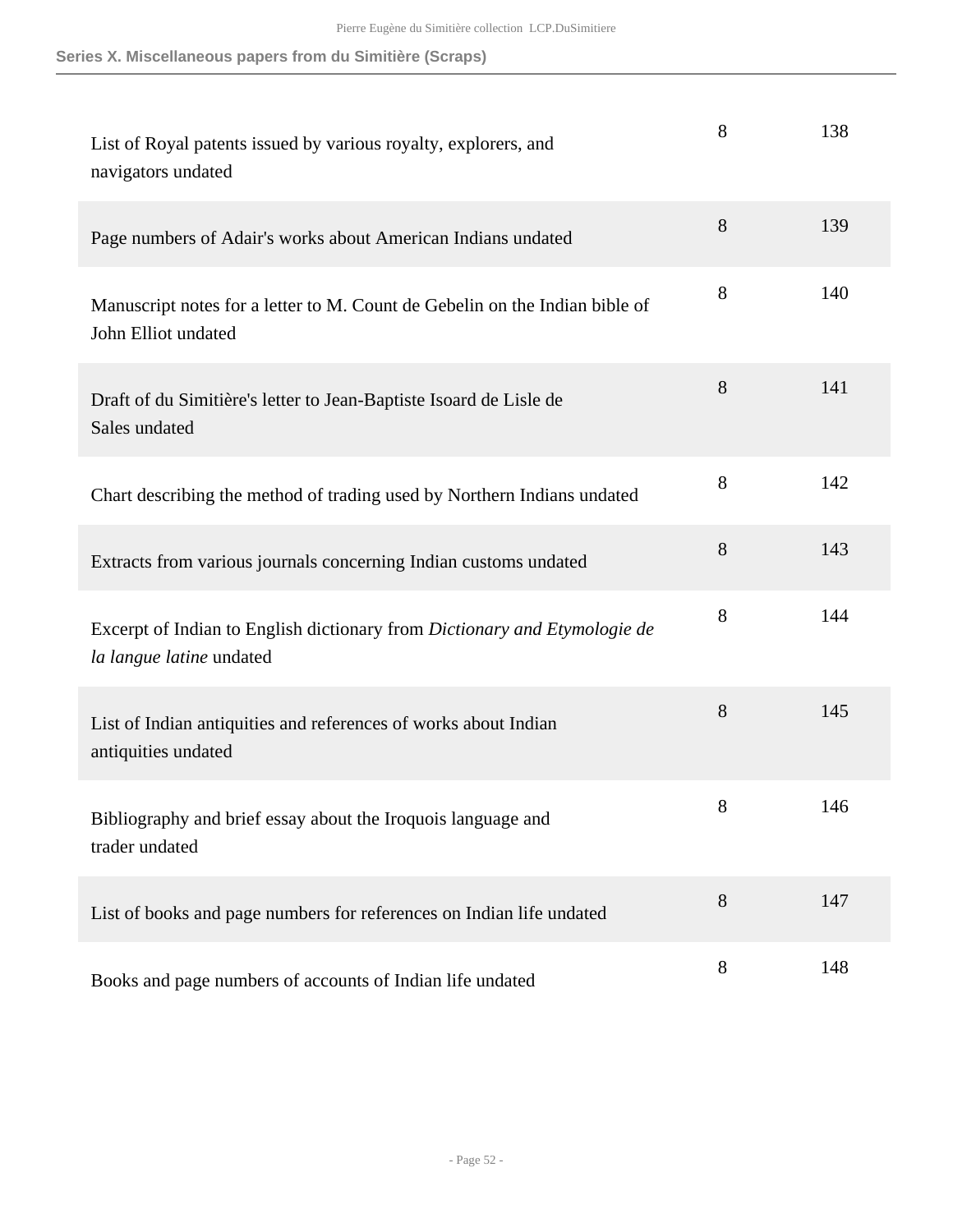| List of Royal patents issued by various royalty, explorers, and<br>navigators undated                 | 8     | 138 |
|-------------------------------------------------------------------------------------------------------|-------|-----|
| Page numbers of Adair's works about American Indians undated                                          | 8     | 139 |
| Manuscript notes for a letter to M. Count de Gebelin on the Indian bible of<br>John Elliot undated    | 8     | 140 |
| Draft of du Simitière's letter to Jean-Baptiste Isoard de Lisle de<br>Sales undated                   | 8     | 141 |
| Chart describing the method of trading used by Northern Indians undated                               | 8     | 142 |
| Extracts from various journals concerning Indian customs undated                                      | 8     | 143 |
| Excerpt of Indian to English dictionary from Dictionary and Etymologie de<br>la langue latine undated | 8     | 144 |
| List of Indian antiquities and references of works about Indian<br>antiquities undated                | 8     | 145 |
| Bibliography and brief essay about the Iroquois language and<br>trader undated                        | $8\,$ | 146 |
| List of books and page numbers for references on Indian life undated                                  | 8     | 147 |
| Books and page numbers of accounts of Indian life undated                                             | 8     | 148 |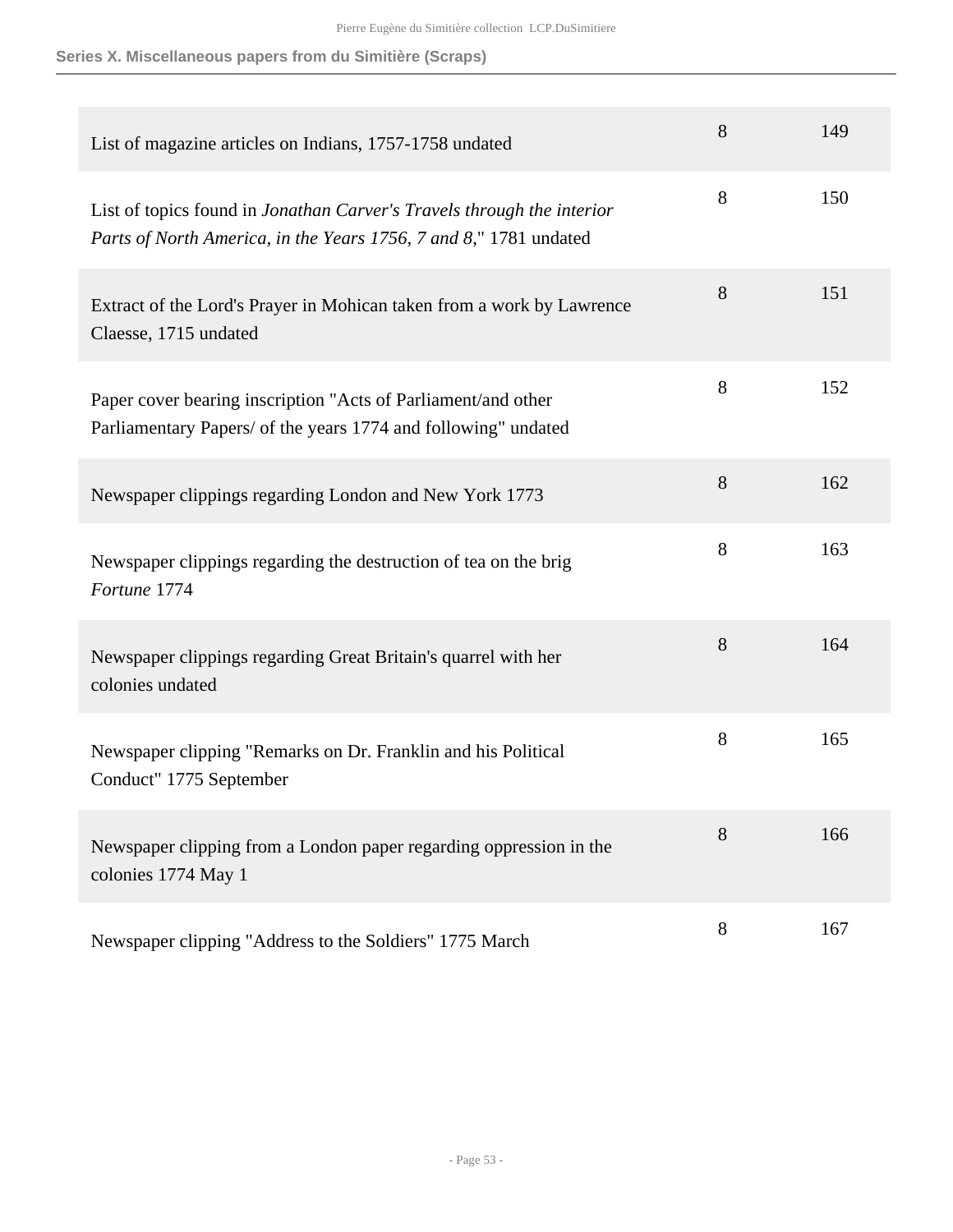| List of magazine articles on Indians, 1757-1758 undated                                                                                     | 8 | 149 |
|---------------------------------------------------------------------------------------------------------------------------------------------|---|-----|
| List of topics found in Jonathan Carver's Travels through the interior<br>Parts of North America, in the Years 1756, 7 and 8," 1781 undated | 8 | 150 |
| Extract of the Lord's Prayer in Mohican taken from a work by Lawrence<br>Claesse, 1715 undated                                              | 8 | 151 |
| Paper cover bearing inscription "Acts of Parliament/and other<br>Parliamentary Papers/ of the years 1774 and following" undated             | 8 | 152 |
| Newspaper clippings regarding London and New York 1773                                                                                      | 8 | 162 |
| Newspaper clippings regarding the destruction of tea on the brig<br>Fortune 1774                                                            | 8 | 163 |
| Newspaper clippings regarding Great Britain's quarrel with her<br>colonies undated                                                          | 8 | 164 |
| Newspaper clipping "Remarks on Dr. Franklin and his Political<br>Conduct" 1775 September                                                    | 8 | 165 |
| Newspaper clipping from a London paper regarding oppression in the<br>colonies 1774 May 1                                                   | 8 | 166 |
| Newspaper clipping "Address to the Soldiers" 1775 March                                                                                     | 8 | 167 |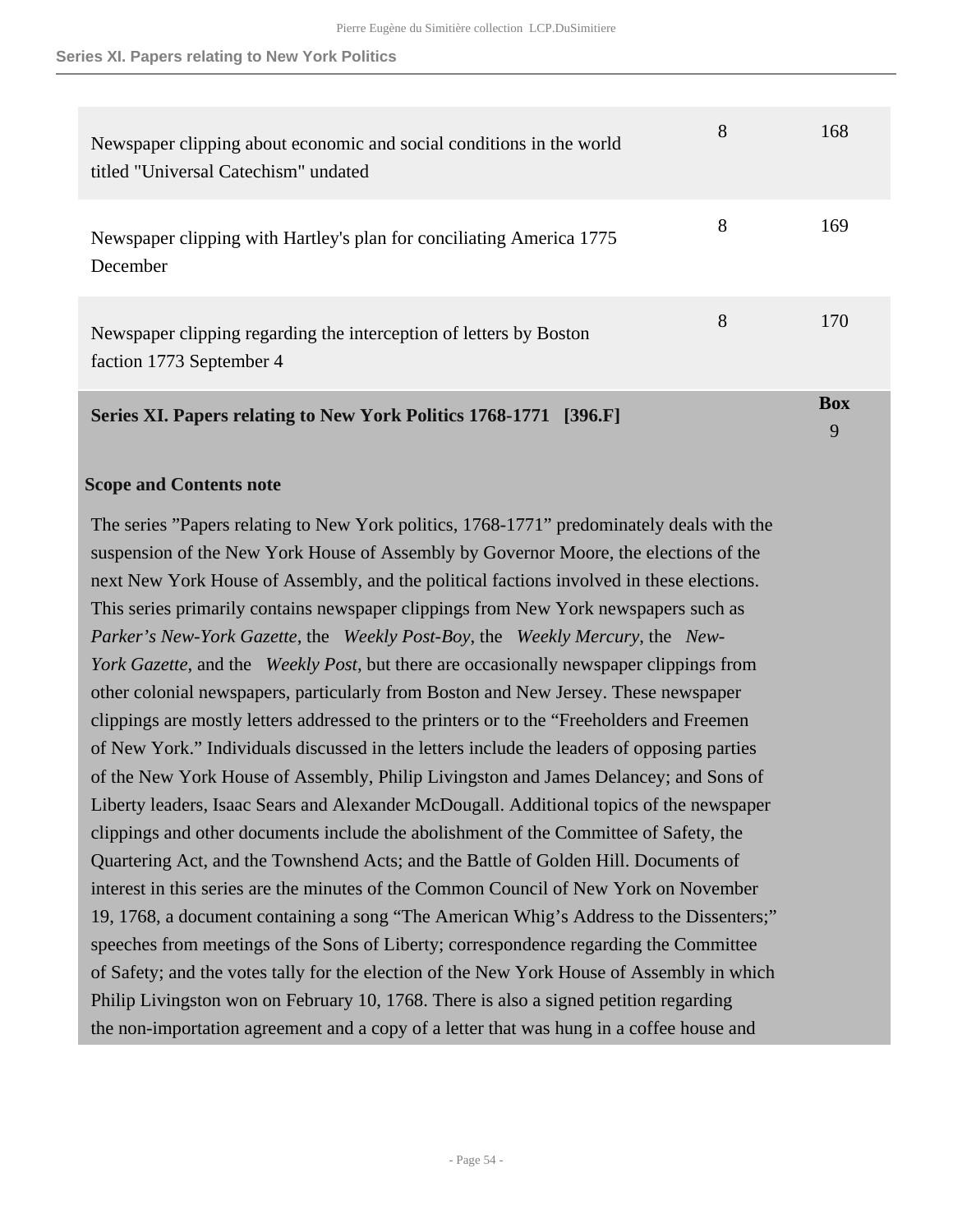| Newspaper clipping about economic and social conditions in the world<br>titled "Universal Catechism" undated | 8 | 168             |
|--------------------------------------------------------------------------------------------------------------|---|-----------------|
| Newspaper clipping with Hartley's plan for conciliating America 1775<br>December                             | 8 | 169             |
| Newspaper clipping regarding the interception of letters by Boston<br>faction 1773 September 4               | 8 | 170             |
| Series XI. Papers relating to New York Politics 1768-1771 [396.F]                                            |   | <b>Box</b><br>9 |

#### <span id="page-53-0"></span>**Scope and Contents note**

The series "Papers relating to New York politics, 1768-1771" predominately deals with the suspension of the New York House of Assembly by Governor Moore, the elections of the next New York House of Assembly, and the political factions involved in these elections. This series primarily contains newspaper clippings from New York newspapers such as *Parker's New-York Gazette*, the *Weekly Post-Boy*, the *Weekly Mercury*, the *New-York Gazette*, and the *Weekly Post*, but there are occasionally newspaper clippings from other colonial newspapers, particularly from Boston and New Jersey. These newspaper clippings are mostly letters addressed to the printers or to the "Freeholders and Freemen of New York." Individuals discussed in the letters include the leaders of opposing parties of the New York House of Assembly, Philip Livingston and James Delancey; and Sons of Liberty leaders, Isaac Sears and Alexander McDougall. Additional topics of the newspaper clippings and other documents include the abolishment of the Committee of Safety, the Quartering Act, and the Townshend Acts; and the Battle of Golden Hill. Documents of interest in this series are the minutes of the Common Council of New York on November 19, 1768, a document containing a song "The American Whig's Address to the Dissenters;" speeches from meetings of the Sons of Liberty; correspondence regarding the Committee of Safety; and the votes tally for the election of the New York House of Assembly in which Philip Livingston won on February 10, 1768. There is also a signed petition regarding the non-importation agreement and a copy of a letter that was hung in a coffee house and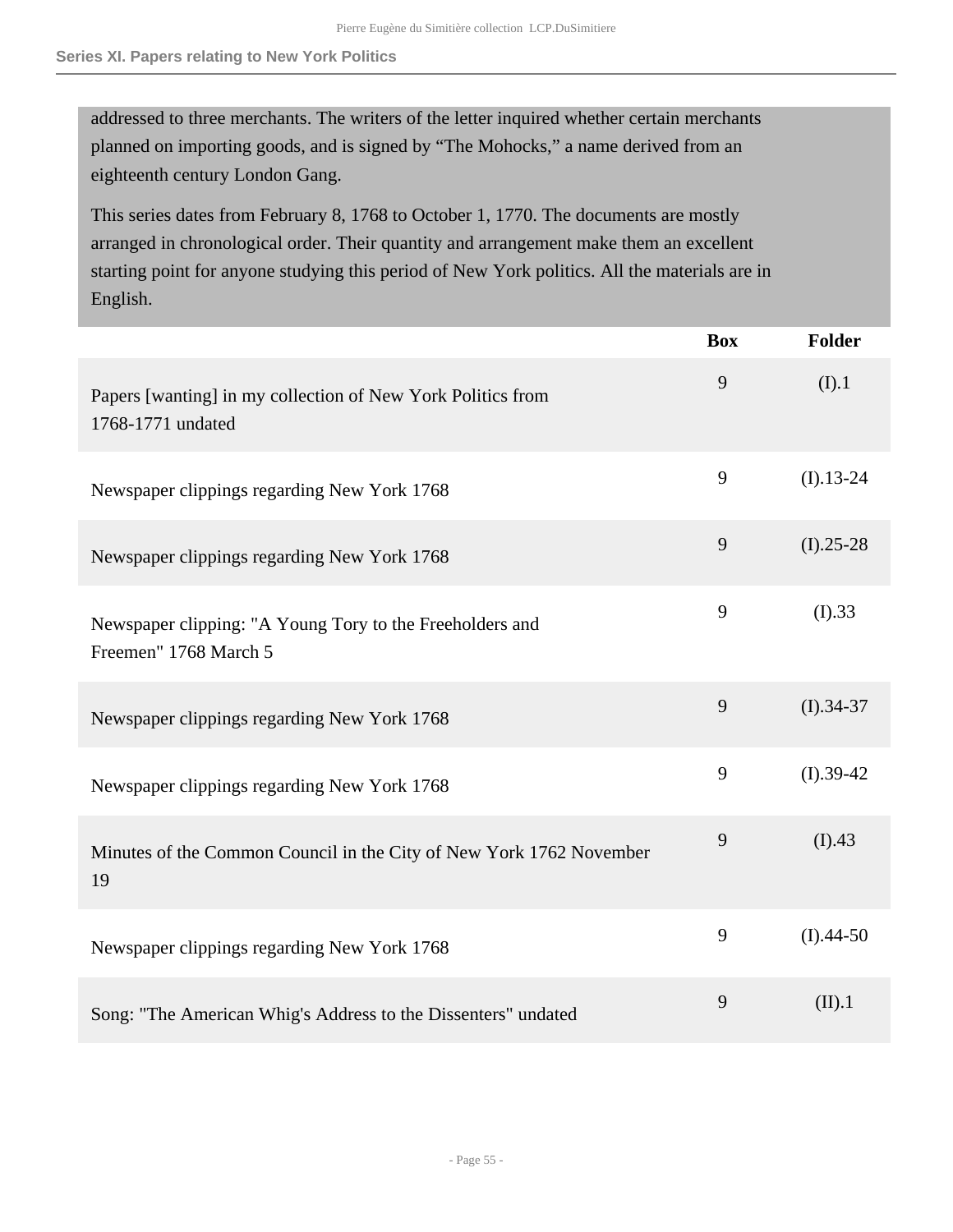addressed to three merchants. The writers of the letter inquired whether certain merchants planned on importing goods, and is signed by "The Mohocks," a name derived from an eighteenth century London Gang.

This series dates from February 8, 1768 to October 1, 1770. The documents are mostly arranged in chronological order. Their quantity and arrangement make them an excellent starting point for anyone studying this period of New York politics. All the materials are in English.

|                                                                                   | <b>Box</b> | <b>Folder</b> |
|-----------------------------------------------------------------------------------|------------|---------------|
| Papers [wanting] in my collection of New York Politics from<br>1768-1771 undated  | 9          | (I).1         |
| Newspaper clippings regarding New York 1768                                       | 9          | $(I).13-24$   |
| Newspaper clippings regarding New York 1768                                       | 9          | $(I).25-28$   |
| Newspaper clipping: "A Young Tory to the Freeholders and<br>Freemen" 1768 March 5 | 9          | (I).33        |
| Newspaper clippings regarding New York 1768                                       | 9          | $(I).34-37$   |
| Newspaper clippings regarding New York 1768                                       | 9          | $(I).39-42$   |
| Minutes of the Common Council in the City of New York 1762 November<br>19         | 9          | (I).43        |
| Newspaper clippings regarding New York 1768                                       | 9          | $(I).44-50$   |
| Song: "The American Whig's Address to the Dissenters" undated                     | 9          | (II).1        |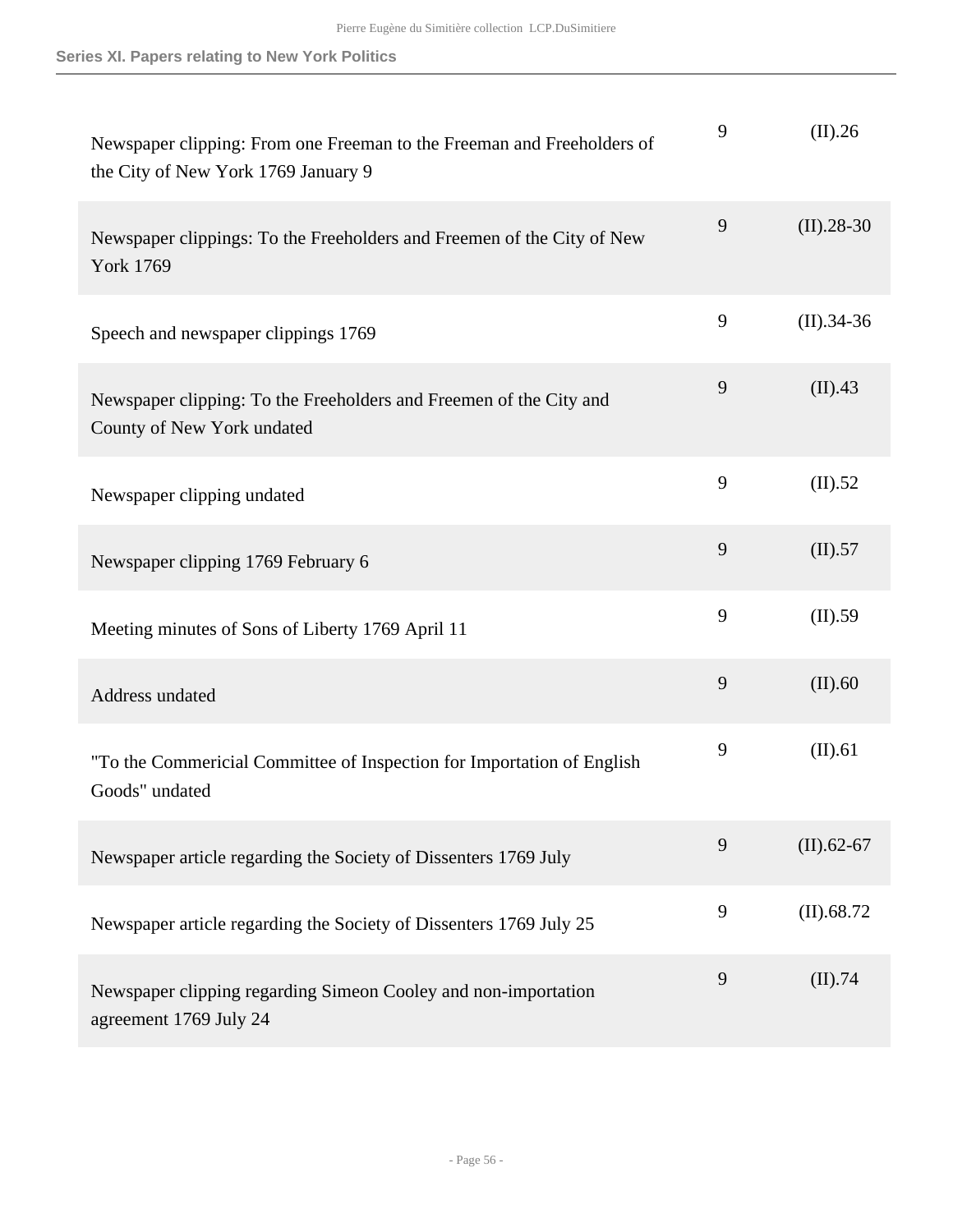| Newspaper clipping: From one Freeman to the Freeman and Freeholders of<br>the City of New York 1769 January 9 | 9 | (II).26       |
|---------------------------------------------------------------------------------------------------------------|---|---------------|
| Newspaper clippings: To the Freeholders and Freemen of the City of New<br><b>York 1769</b>                    | 9 | $(II).28-30$  |
| Speech and newspaper clippings 1769                                                                           | 9 | $(II).34-36$  |
| Newspaper clipping: To the Freeholders and Freemen of the City and<br>County of New York undated              | 9 | (II).43       |
| Newspaper clipping undated                                                                                    | 9 | (II).52       |
| Newspaper clipping 1769 February 6                                                                            | 9 | (II).57       |
| Meeting minutes of Sons of Liberty 1769 April 11                                                              | 9 | (II).59       |
| Address undated                                                                                               | 9 | (II).60       |
| "To the Commericial Committee of Inspection for Importation of English<br>Goods" undated                      | 9 | (II).61       |
| Newspaper article regarding the Society of Dissenters 1769 July                                               | 9 | $(II)$ .62-67 |
| Newspaper article regarding the Society of Dissenters 1769 July 25                                            | 9 | $(II)$ .68.72 |
| Newspaper clipping regarding Simeon Cooley and non-importation<br>agreement 1769 July 24                      | 9 | (II).74       |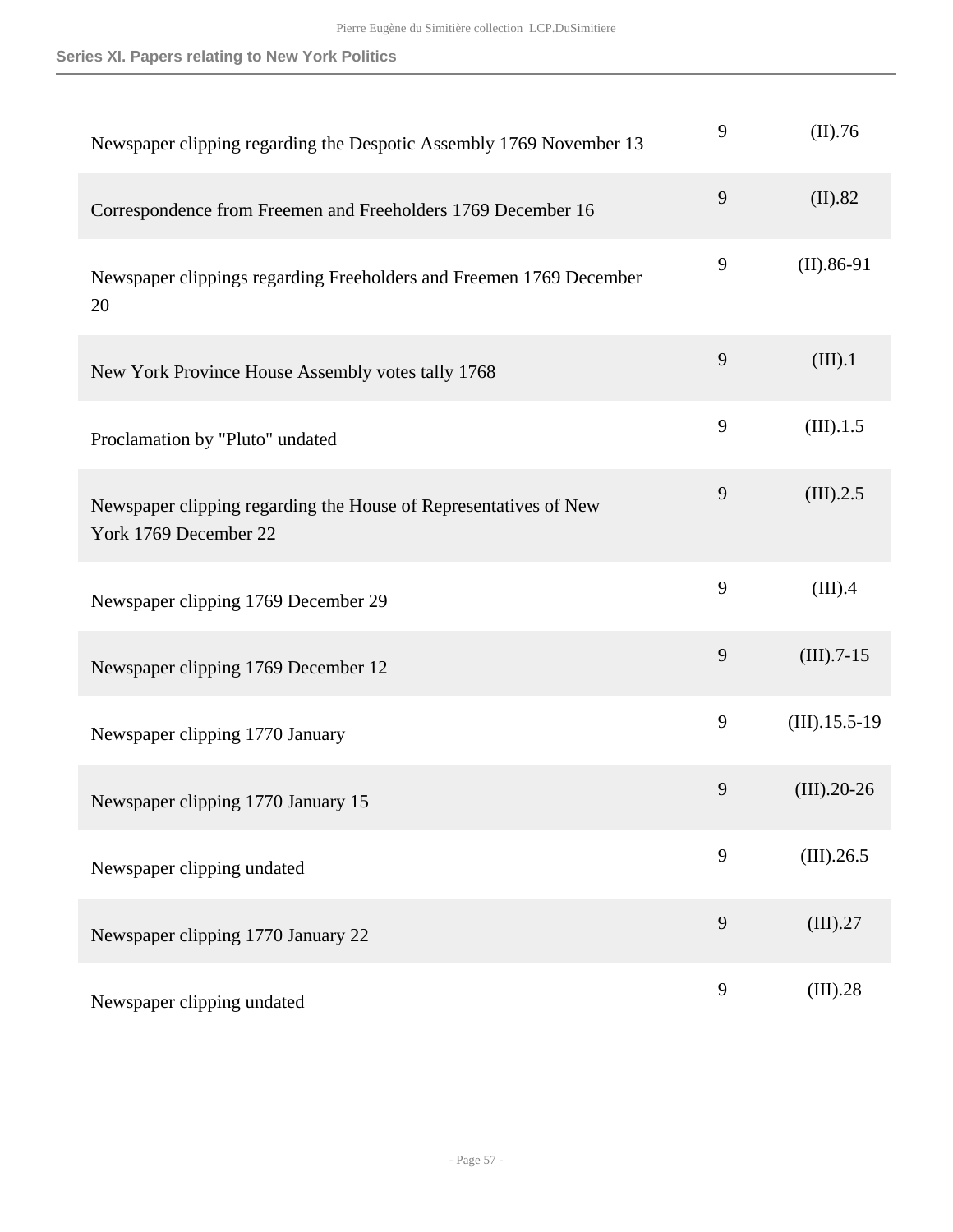| Newspaper clipping regarding the Despotic Assembly 1769 November 13                       | 9 | (II).76         |
|-------------------------------------------------------------------------------------------|---|-----------------|
| Correspondence from Freemen and Freeholders 1769 December 16                              | 9 | (II).82         |
| Newspaper clippings regarding Freeholders and Freemen 1769 December<br>20                 | 9 | $(II).86-91$    |
| New York Province House Assembly votes tally 1768                                         | 9 | (III).1         |
| Proclamation by "Pluto" undated                                                           | 9 | (III).1.5       |
| Newspaper clipping regarding the House of Representatives of New<br>York 1769 December 22 | 9 | (III).2.5       |
| Newspaper clipping 1769 December 29                                                       | 9 | (III).4         |
| Newspaper clipping 1769 December 12                                                       | 9 | $(III).7-15$    |
| Newspaper clipping 1770 January                                                           | 9 | $(III).15.5-19$ |
| Newspaper clipping 1770 January 15                                                        | 9 | $(III).20-26$   |
| Newspaper clipping undated                                                                | 9 | (III).26.5      |
| Newspaper clipping 1770 January 22                                                        | 9 | (III).27        |
| Newspaper clipping undated                                                                | 9 | (III).28        |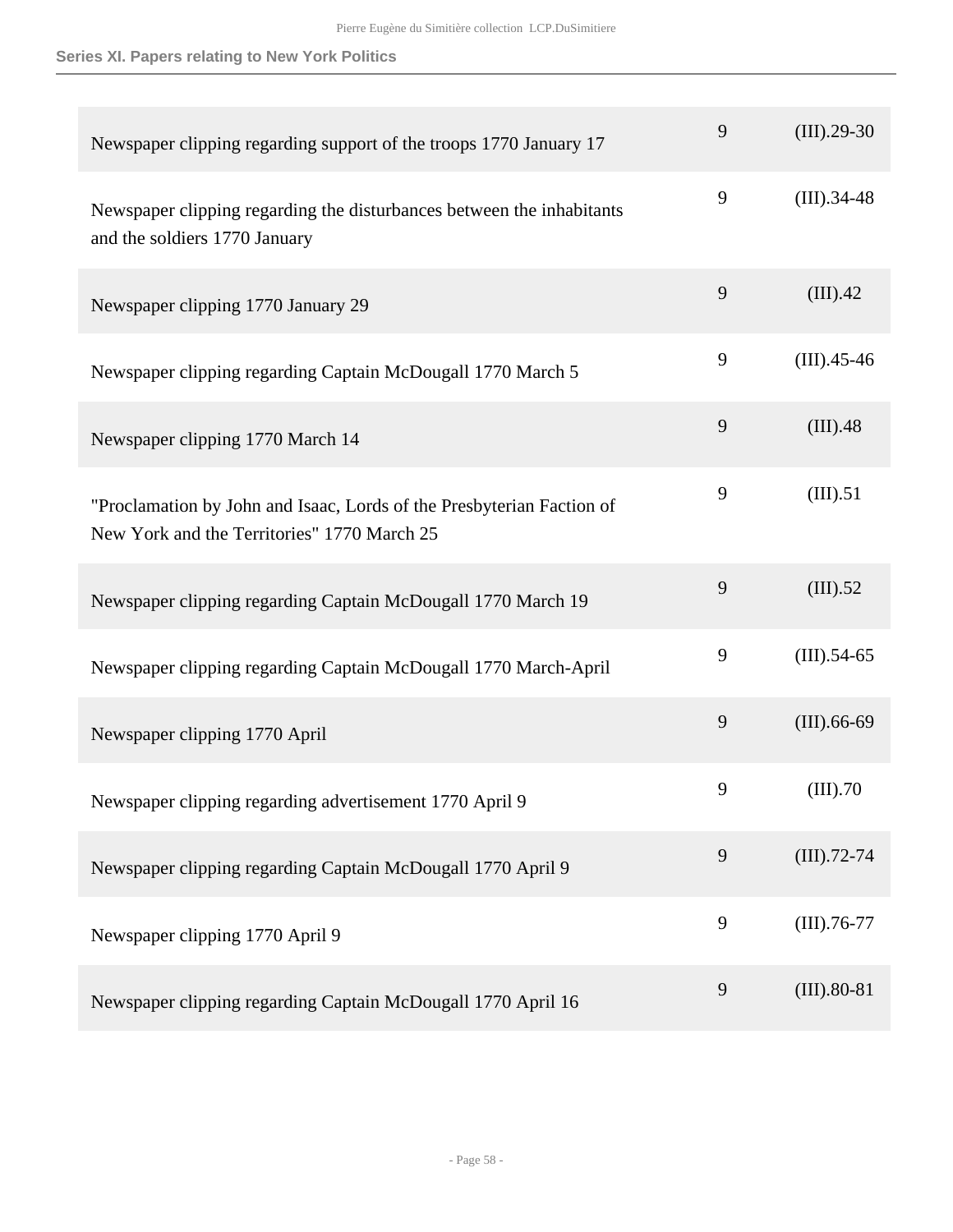| Newspaper clipping regarding support of the troops 1770 January 17                                                   | 9 | $(III).29-30$  |
|----------------------------------------------------------------------------------------------------------------------|---|----------------|
| Newspaper clipping regarding the disturbances between the inhabitants<br>and the soldiers 1770 January               | 9 | $(III).34-48$  |
| Newspaper clipping 1770 January 29                                                                                   | 9 | (III).42       |
| Newspaper clipping regarding Captain McDougall 1770 March 5                                                          | 9 | $(III).45-46$  |
| Newspaper clipping 1770 March 14                                                                                     | 9 | (III).48       |
| "Proclamation by John and Isaac, Lords of the Presbyterian Faction of<br>New York and the Territories" 1770 March 25 | 9 | (III).51       |
| Newspaper clipping regarding Captain McDougall 1770 March 19                                                         | 9 | (III).52       |
| Newspaper clipping regarding Captain McDougall 1770 March-April                                                      | 9 | $(III).54-65$  |
| Newspaper clipping 1770 April                                                                                        | 9 | $(III)$ .66-69 |
| Newspaper clipping regarding advertisement 1770 April 9                                                              | 9 | (III).70       |
| Newspaper clipping regarding Captain McDougall 1770 April 9                                                          | 9 | $(III)$ .72-74 |
| Newspaper clipping 1770 April 9                                                                                      | 9 | $(III)$ .76-77 |
| Newspaper clipping regarding Captain McDougall 1770 April 16                                                         | 9 | $(III).80-81$  |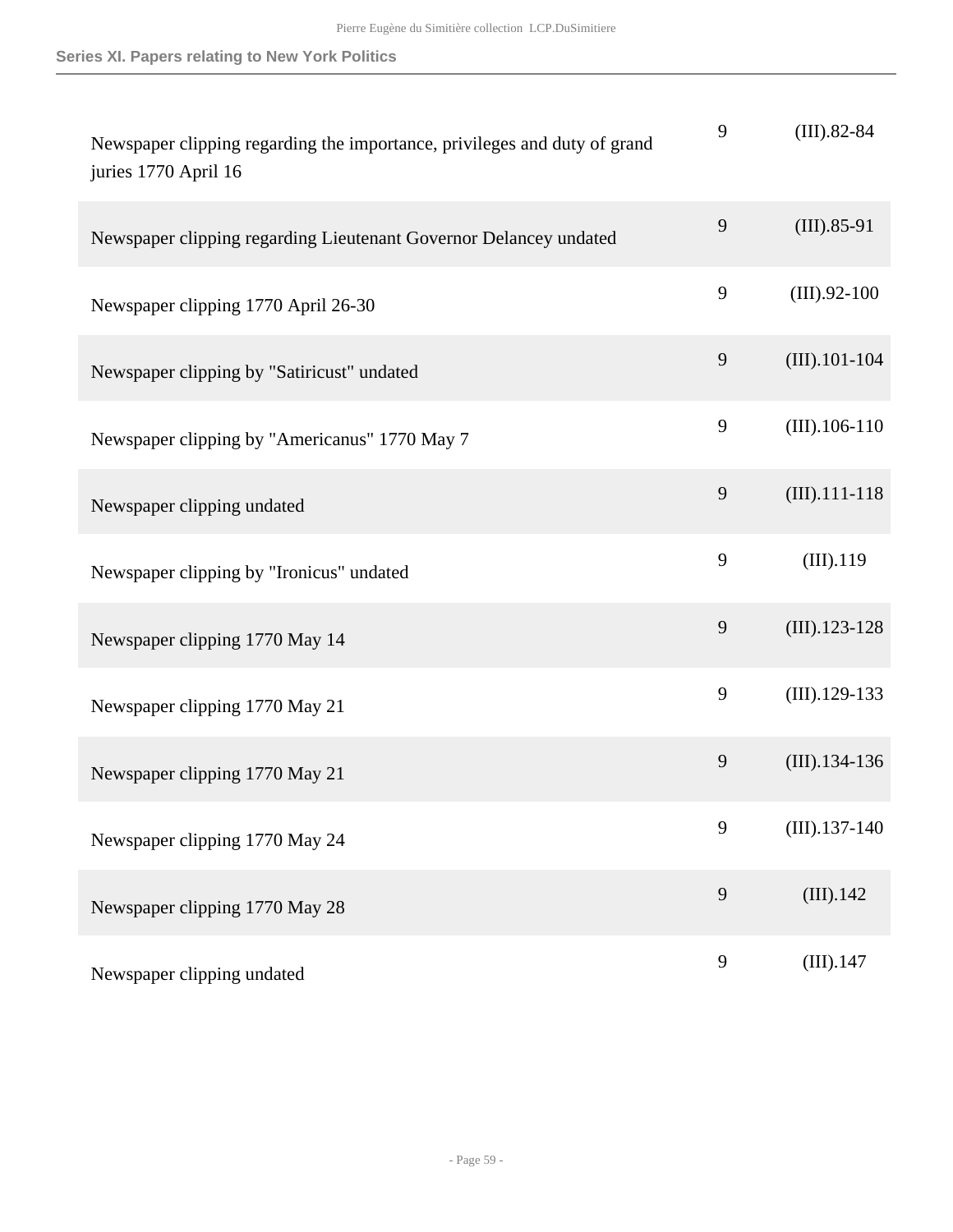| Newspaper clipping regarding the importance, privileges and duty of grand<br>juries 1770 April 16 | 9              | $(III).82-84$    |
|---------------------------------------------------------------------------------------------------|----------------|------------------|
| Newspaper clipping regarding Lieutenant Governor Delancey undated                                 | 9              | $(III).85-91$    |
| Newspaper clipping 1770 April 26-30                                                               | 9              | $(III).92-100$   |
| Newspaper clipping by "Satiricust" undated                                                        | $\overline{9}$ | $(III)$ .101-104 |
| Newspaper clipping by "Americanus" 1770 May 7                                                     | 9              | $(III)$ .106-110 |
| Newspaper clipping undated                                                                        | 9              | $(III)$ .111-118 |
| Newspaper clipping by "Ironicus" undated                                                          | 9              | (III).119        |
| Newspaper clipping 1770 May 14                                                                    | 9              | $(III).123-128$  |
| Newspaper clipping 1770 May 21                                                                    | $\mathbf{9}$   | $(III).129-133$  |
| Newspaper clipping 1770 May 21                                                                    | $\overline{9}$ | $(III).134-136$  |
| Newspaper clipping 1770 May 24                                                                    | 9              | $(III).137-140$  |
| Newspaper clipping 1770 May 28                                                                    | 9              | (III).142        |
| Newspaper clipping undated                                                                        | 9              | (III).147        |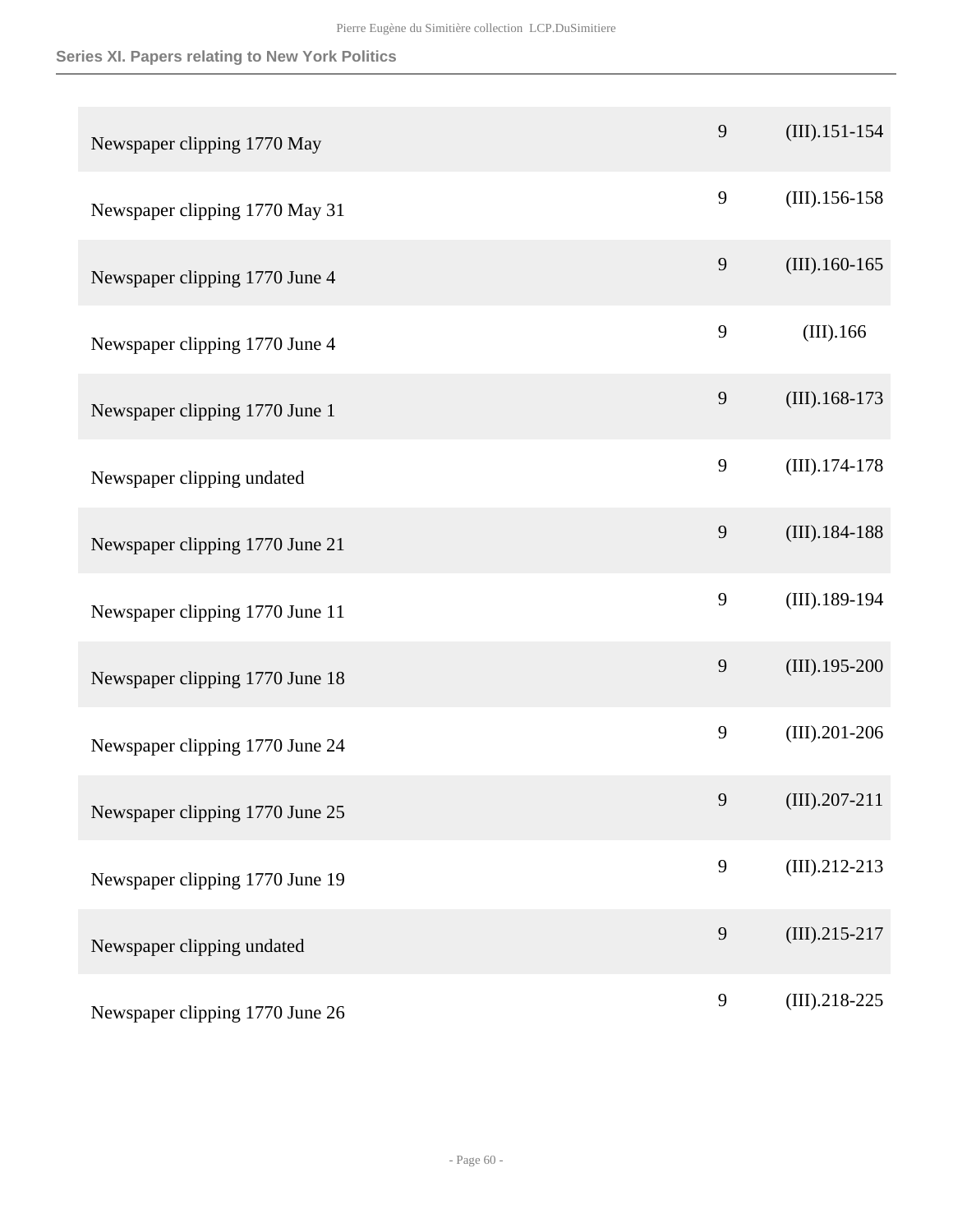| Newspaper clipping 1770 May     | 9            | $(III)$ .151-154 |
|---------------------------------|--------------|------------------|
| Newspaper clipping 1770 May 31  | 9            | $(III).156-158$  |
| Newspaper clipping 1770 June 4  | 9            | $(III).160-165$  |
| Newspaper clipping 1770 June 4  | 9            | (III).166        |
| Newspaper clipping 1770 June 1  | $\mathbf{9}$ | $(III).168-173$  |
| Newspaper clipping undated      | 9            | $(III).174-178$  |
| Newspaper clipping 1770 June 21 | 9            | $(III).184-188$  |
| Newspaper clipping 1770 June 11 | 9            | $(III).189-194$  |
| Newspaper clipping 1770 June 18 | 9            | $(III).195-200$  |
| Newspaper clipping 1770 June 24 | 9            | $(III).201-206$  |
| Newspaper clipping 1770 June 25 | 9            | $(III).207-211$  |
| Newspaper clipping 1770 June 19 | 9            | $(III).212-213$  |
| Newspaper clipping undated      | 9            | $(III).215-217$  |
| Newspaper clipping 1770 June 26 | 9            | $(III).218-225$  |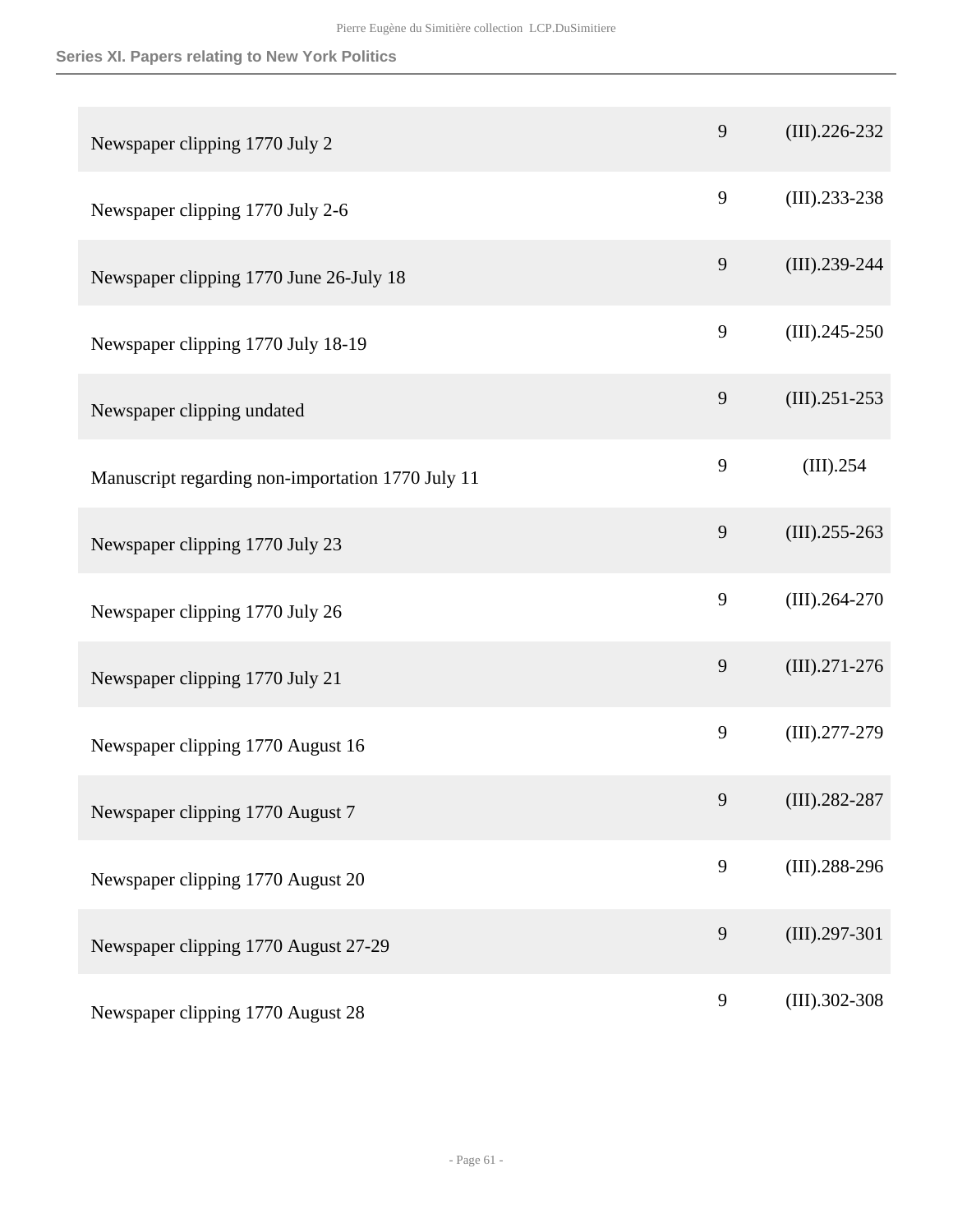| Newspaper clipping 1770 July 2                    | 9              | $(III).226-232$ |
|---------------------------------------------------|----------------|-----------------|
| Newspaper clipping 1770 July 2-6                  | 9              | $(III).233-238$ |
| Newspaper clipping 1770 June 26-July 18           | $\mathbf{9}$   | $(III).239-244$ |
| Newspaper clipping 1770 July 18-19                | 9              | $(III).245-250$ |
| Newspaper clipping undated                        | $\overline{9}$ | $(III).251-253$ |
| Manuscript regarding non-importation 1770 July 11 | 9              | (III).254       |
| Newspaper clipping 1770 July 23                   | $\mathbf{9}$   | $(III).255-263$ |
| Newspaper clipping 1770 July 26                   | 9              | $(III).264-270$ |
| Newspaper clipping 1770 July 21                   | $\mathbf{9}$   | $(III).271-276$ |
| Newspaper clipping 1770 August 16                 | 9              | $(III).277-279$ |
| Newspaper clipping 1770 August 7                  | 9              | $(III).282-287$ |
| Newspaper clipping 1770 August 20                 | $\mathbf{9}$   | $(III).288-296$ |
| Newspaper clipping 1770 August 27-29              | $\mathbf{9}$   | $(III).297-301$ |
| Newspaper clipping 1770 August 28                 | $\mathbf{9}$   | $(III).302-308$ |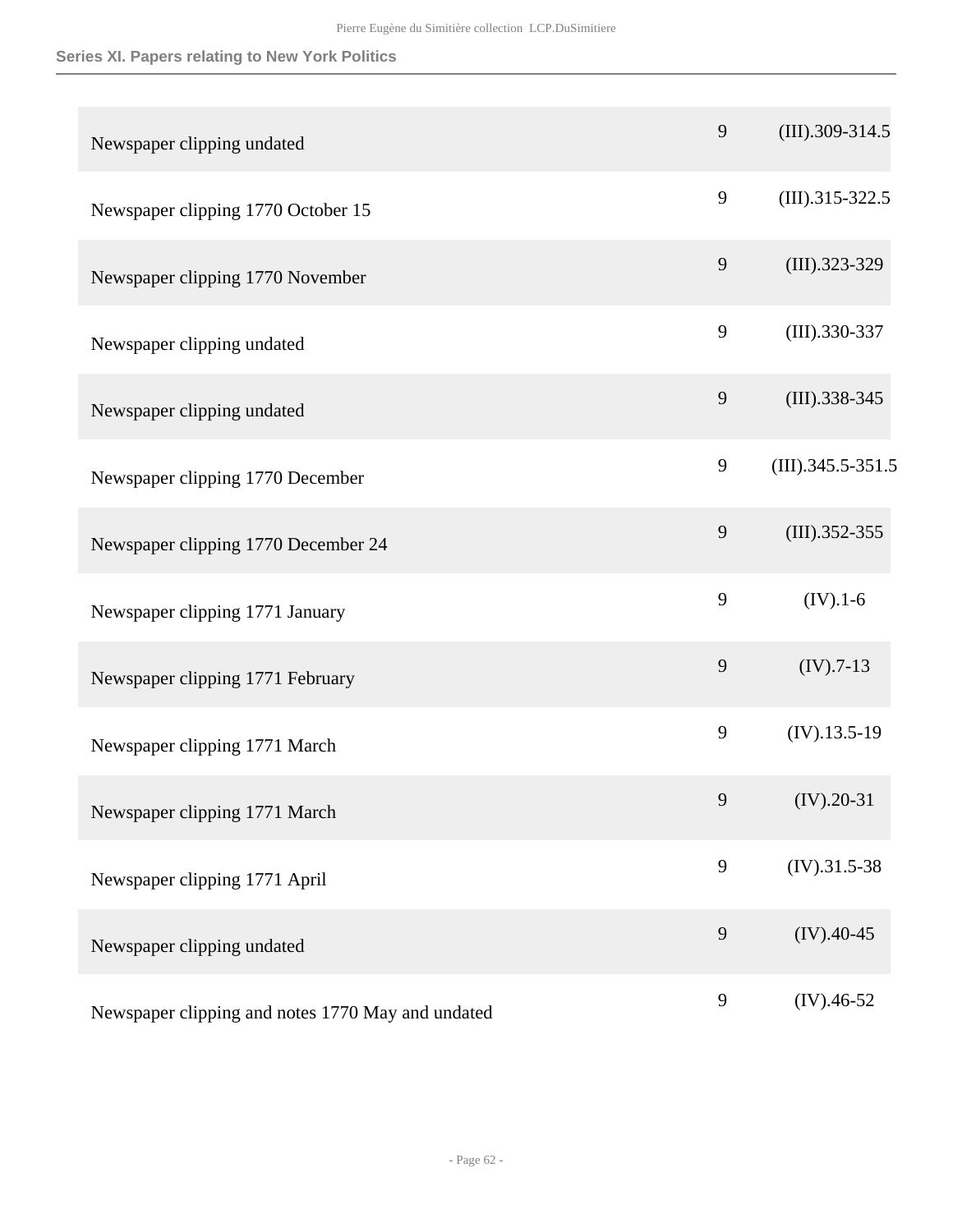| Newspaper clipping undated                        | 9              | $(III).309-314.5$    |
|---------------------------------------------------|----------------|----------------------|
| Newspaper clipping 1770 October 15                | 9              | $(III).315-322.5$    |
| Newspaper clipping 1770 November                  | 9              | $(III).323-329$      |
| Newspaper clipping undated                        | 9              | $(III).330-337$      |
| Newspaper clipping undated                        | 9              | $(III).338-345$      |
| Newspaper clipping 1770 December                  | 9              | $(III)$ .345.5-351.5 |
| Newspaper clipping 1770 December 24               | 9              | $(III).352-355$      |
| Newspaper clipping 1771 January                   | 9              | $(IV).1-6$           |
| Newspaper clipping 1771 February                  | $\overline{9}$ | $(IV).7-13$          |
| Newspaper clipping 1771 March                     | 9              | $(IV).13.5-19$       |
| Newspaper clipping 1771 March                     | 9              | $(IV).20-31$         |
| Newspaper clipping 1771 April                     | 9              | $(IV).31.5-38$       |
| Newspaper clipping undated                        | 9              | $(IV).40-45$         |
| Newspaper clipping and notes 1770 May and undated | 9              | $(IV).46-52$         |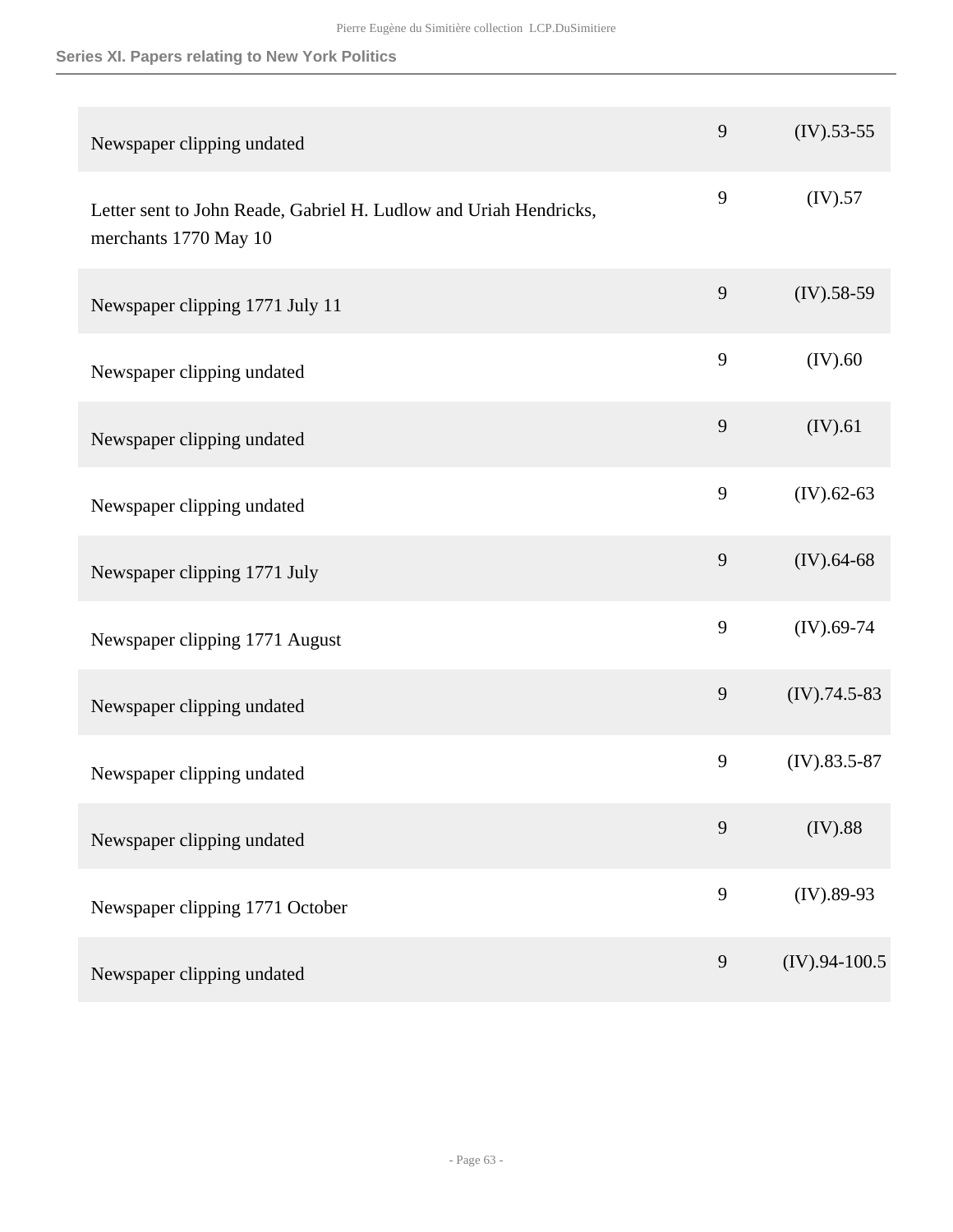| Newspaper clipping undated                                                                 | 9              | $(IV).53-55$    |
|--------------------------------------------------------------------------------------------|----------------|-----------------|
| Letter sent to John Reade, Gabriel H. Ludlow and Uriah Hendricks,<br>merchants 1770 May 10 | 9              | (IV).57         |
| Newspaper clipping 1771 July 11                                                            | 9              | $(IV).58-59$    |
| Newspaper clipping undated                                                                 | 9              | (IV).60         |
| Newspaper clipping undated                                                                 | 9              | (IV).61         |
| Newspaper clipping undated                                                                 | 9              | $(IV).62-63$    |
| Newspaper clipping 1771 July                                                               | 9              | $(IV).64-68$    |
| Newspaper clipping 1771 August                                                             | 9              | $(IV).69-74$    |
| Newspaper clipping undated                                                                 | $\mathbf{9}$   | $(IV).74.5-83$  |
| Newspaper clipping undated                                                                 | 9              | $(IV).83.5-87$  |
| Newspaper clipping undated                                                                 | 9              | (IV).88         |
| Newspaper clipping 1771 October                                                            | 9              | $(IV).89-93$    |
| Newspaper clipping undated                                                                 | $\overline{9}$ | $(IV).94-100.5$ |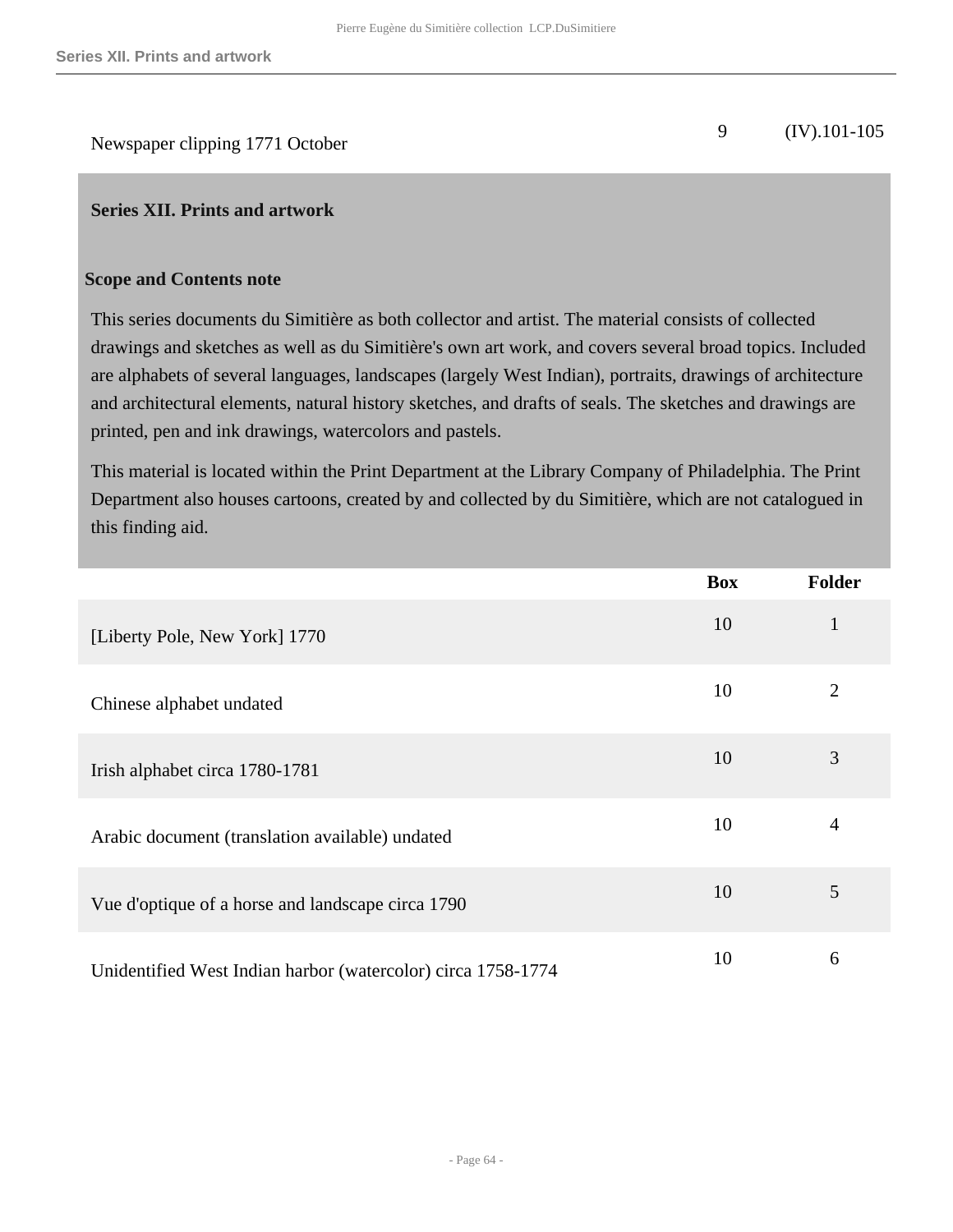Newspaper clipping 1771 October 9 (IV).101-105

#### <span id="page-63-0"></span>**Series XII. Prints and artwork**

#### **Scope and Contents note**

This series documents du Simitière as both collector and artist. The material consists of collected drawings and sketches as well as du Simitière's own art work, and covers several broad topics. Included are alphabets of several languages, landscapes (largely West Indian), portraits, drawings of architecture and architectural elements, natural history sketches, and drafts of seals. The sketches and drawings are printed, pen and ink drawings, watercolors and pastels.

This material is located within the Print Department at the Library Company of Philadelphia. The Print Department also houses cartoons, created by and collected by du Simitière, which are not catalogued in this finding aid.

|                                                              | <b>Box</b> | <b>Folder</b>  |
|--------------------------------------------------------------|------------|----------------|
| [Liberty Pole, New York] 1770                                | 10         | $\mathbf{1}$   |
| Chinese alphabet undated                                     | 10         | $\overline{2}$ |
| Irish alphabet circa 1780-1781                               | 10         | 3              |
| Arabic document (translation available) undated              | 10         | 4              |
| Vue d'optique of a horse and landscape circa 1790            | 10         | 5              |
| Unidentified West Indian harbor (watercolor) circa 1758-1774 | 10         | 6              |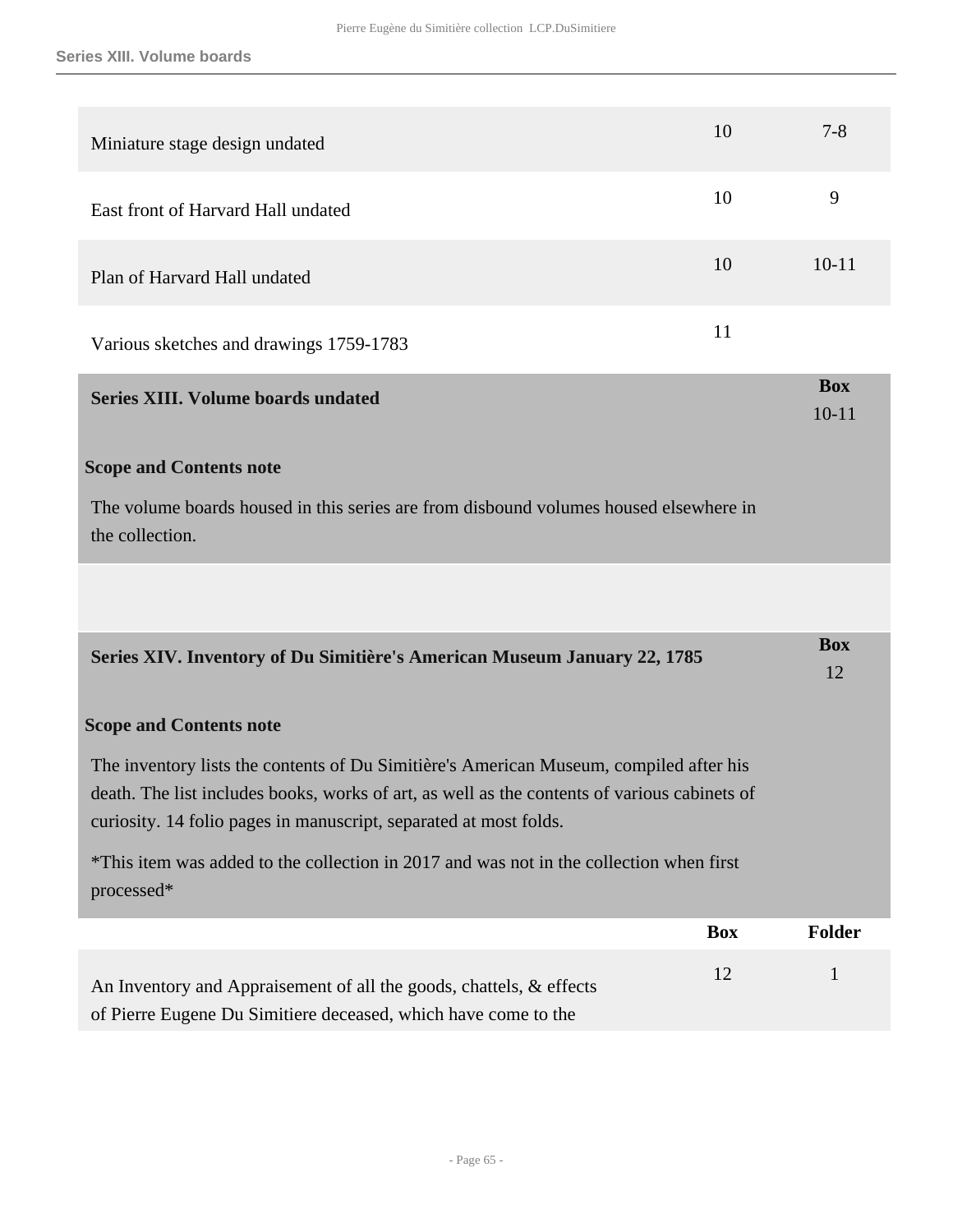<span id="page-64-1"></span><span id="page-64-0"></span>

| Miniature stage design undated                                                                                                                                                                                                                              | 10         | $7 - 8$                 |
|-------------------------------------------------------------------------------------------------------------------------------------------------------------------------------------------------------------------------------------------------------------|------------|-------------------------|
| East front of Harvard Hall undated                                                                                                                                                                                                                          | 10         | 9                       |
| Plan of Harvard Hall undated                                                                                                                                                                                                                                | 10         | $10 - 11$               |
| Various sketches and drawings 1759-1783                                                                                                                                                                                                                     | 11         |                         |
| <b>Series XIII. Volume boards undated</b>                                                                                                                                                                                                                   |            | <b>Box</b><br>$10 - 11$ |
| <b>Scope and Contents note</b>                                                                                                                                                                                                                              |            |                         |
| The volume boards housed in this series are from disbound volumes housed elsewhere in<br>the collection.                                                                                                                                                    |            |                         |
|                                                                                                                                                                                                                                                             |            |                         |
| Series XIV. Inventory of Du Simitière's American Museum January 22, 1785                                                                                                                                                                                    |            | <b>Box</b><br>12        |
| <b>Scope and Contents note</b>                                                                                                                                                                                                                              |            |                         |
| The inventory lists the contents of Du Simitière's American Museum, compiled after his<br>death. The list includes books, works of art, as well as the contents of various cabinets of<br>curiosity. 14 folio pages in manuscript, separated at most folds. |            |                         |
| *This item was added to the collection in 2017 and was not in the collection when first<br>processed*                                                                                                                                                       |            |                         |
|                                                                                                                                                                                                                                                             | <b>Box</b> | <b>Folder</b>           |
| An Inventory and Appraisement of all the goods, chattels, & effects                                                                                                                                                                                         | 12         | $\mathbf{1}$            |